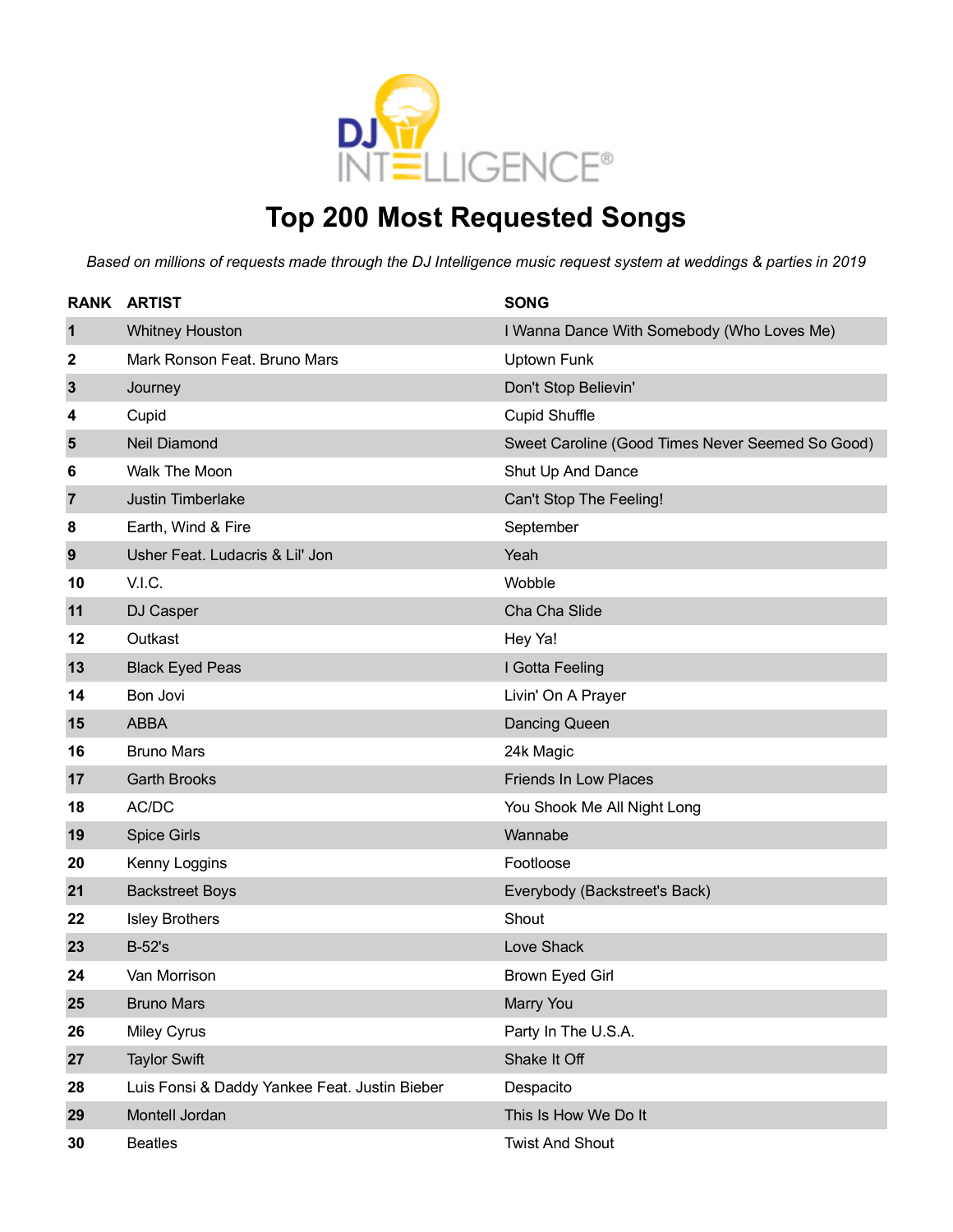

### **Top 200 Most Requested Songs**

|                | <b>RANK ARTIST</b>                            | <b>SONG</b>                                      |
|----------------|-----------------------------------------------|--------------------------------------------------|
| $\mathbf 1$    | <b>Whitney Houston</b>                        | I Wanna Dance With Somebody (Who Loves Me)       |
| 2              | Mark Ronson Feat. Bruno Mars                  | <b>Uptown Funk</b>                               |
| $\mathbf{3}$   | Journey                                       | Don't Stop Believin'                             |
| 4              | Cupid                                         | <b>Cupid Shuffle</b>                             |
| 5              | <b>Neil Diamond</b>                           | Sweet Caroline (Good Times Never Seemed So Good) |
| 6              | Walk The Moon                                 | Shut Up And Dance                                |
| $\overline{7}$ | Justin Timberlake                             | Can't Stop The Feeling!                          |
| 8              | Earth, Wind & Fire                            | September                                        |
| 9              | Usher Feat. Ludacris & Lil' Jon               | Yeah                                             |
| 10             | V.I.C.                                        | Wobble                                           |
| 11             | DJ Casper                                     | Cha Cha Slide                                    |
| 12             | Outkast                                       | Hey Ya!                                          |
| 13             | <b>Black Eyed Peas</b>                        | I Gotta Feeling                                  |
| 14             | Bon Jovi                                      | Livin' On A Prayer                               |
| 15             | <b>ABBA</b>                                   | <b>Dancing Queen</b>                             |
| 16             | <b>Bruno Mars</b>                             | 24k Magic                                        |
| 17             | <b>Garth Brooks</b>                           | <b>Friends In Low Places</b>                     |
| 18             | AC/DC                                         | You Shook Me All Night Long                      |
| 19             | <b>Spice Girls</b>                            | Wannabe                                          |
| 20             | Kenny Loggins                                 | Footloose                                        |
| 21             | <b>Backstreet Boys</b>                        | Everybody (Backstreet's Back)                    |
| 22             | <b>Isley Brothers</b>                         | Shout                                            |
| 23             | <b>B-52's</b>                                 | Love Shack                                       |
| 24             | Van Morrison                                  | Brown Eyed Girl                                  |
| 25             | <b>Bruno Mars</b>                             | Marry You                                        |
| 26             | Miley Cyrus                                   | Party In The U.S.A.                              |
| 27             | <b>Taylor Swift</b>                           | Shake It Off                                     |
| 28             | Luis Fonsi & Daddy Yankee Feat. Justin Bieber | Despacito                                        |
| 29             | Montell Jordan                                | This Is How We Do It                             |
| 30             | <b>Beatles</b>                                | <b>Twist And Shout</b>                           |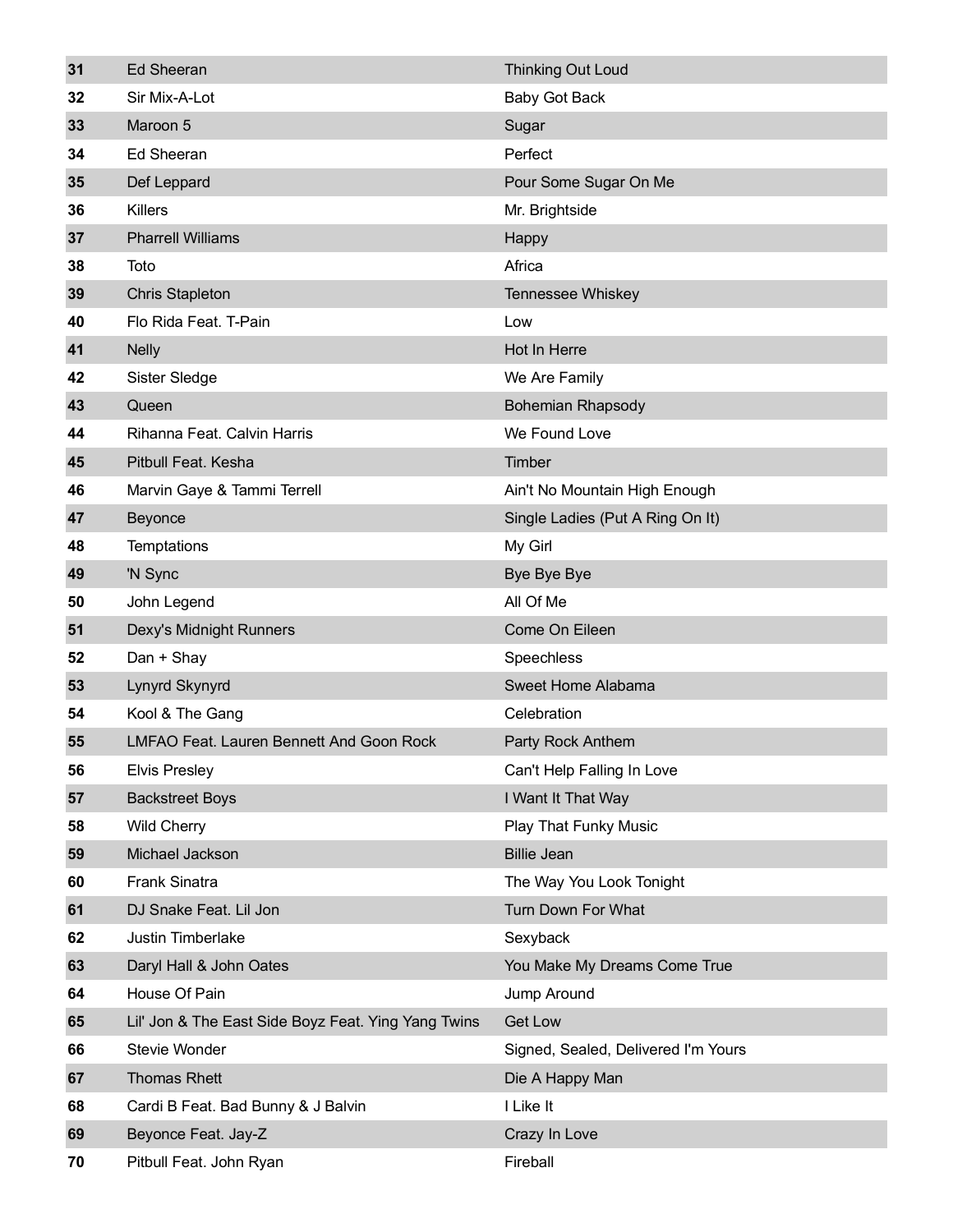| 31 | <b>Ed Sheeran</b>                                   | <b>Thinking Out Loud</b>            |
|----|-----------------------------------------------------|-------------------------------------|
| 32 | Sir Mix-A-Lot                                       | <b>Baby Got Back</b>                |
| 33 | Maroon 5                                            | Sugar                               |
| 34 | <b>Ed Sheeran</b>                                   | Perfect                             |
| 35 | Def Leppard                                         | Pour Some Sugar On Me               |
| 36 | <b>Killers</b>                                      | Mr. Brightside                      |
| 37 | <b>Pharrell Williams</b>                            | Happy                               |
| 38 | Toto                                                | Africa                              |
| 39 | <b>Chris Stapleton</b>                              | Tennessee Whiskey                   |
| 40 | Flo Rida Feat. T-Pain                               | Low                                 |
| 41 | <b>Nelly</b>                                        | Hot In Herre                        |
| 42 | Sister Sledge                                       | We Are Family                       |
| 43 | Queen                                               | <b>Bohemian Rhapsody</b>            |
| 44 | Rihanna Feat. Calvin Harris                         | We Found Love                       |
| 45 | Pitbull Feat. Kesha                                 | Timber                              |
| 46 | Marvin Gaye & Tammi Terrell                         | Ain't No Mountain High Enough       |
| 47 | Beyonce                                             | Single Ladies (Put A Ring On It)    |
| 48 | Temptations                                         | My Girl                             |
| 49 | 'N Sync                                             | Bye Bye Bye                         |
| 50 | John Legend                                         | All Of Me                           |
| 51 | Dexy's Midnight Runners                             | Come On Eileen                      |
| 52 | Dan + Shay                                          | Speechless                          |
| 53 | Lynyrd Skynyrd                                      | Sweet Home Alabama                  |
| 54 | Kool & The Gang                                     | Celebration                         |
| 55 | <b>LMFAO Feat. Lauren Bennett And Goon Rock</b>     | Party Rock Anthem                   |
| 56 | <b>Elvis Presley</b>                                | Can't Help Falling In Love          |
| 57 | <b>Backstreet Boys</b>                              | I Want It That Way                  |
| 58 | <b>Wild Cherry</b>                                  | Play That Funky Music               |
| 59 | Michael Jackson                                     | <b>Billie Jean</b>                  |
| 60 | <b>Frank Sinatra</b>                                | The Way You Look Tonight            |
| 61 | DJ Snake Feat. Lil Jon                              | Turn Down For What                  |
| 62 | Justin Timberlake                                   | Sexyback                            |
| 63 | Daryl Hall & John Oates                             | You Make My Dreams Come True        |
| 64 | House Of Pain                                       | Jump Around                         |
| 65 | Lil' Jon & The East Side Boyz Feat. Ying Yang Twins | <b>Get Low</b>                      |
| 66 | Stevie Wonder                                       | Signed, Sealed, Delivered I'm Yours |
| 67 | Thomas Rhett                                        | Die A Happy Man                     |
| 68 | Cardi B Feat. Bad Bunny & J Balvin                  | I Like It                           |
| 69 | Beyonce Feat. Jay-Z                                 | Crazy In Love                       |
| 70 | Pitbull Feat. John Ryan                             | Fireball                            |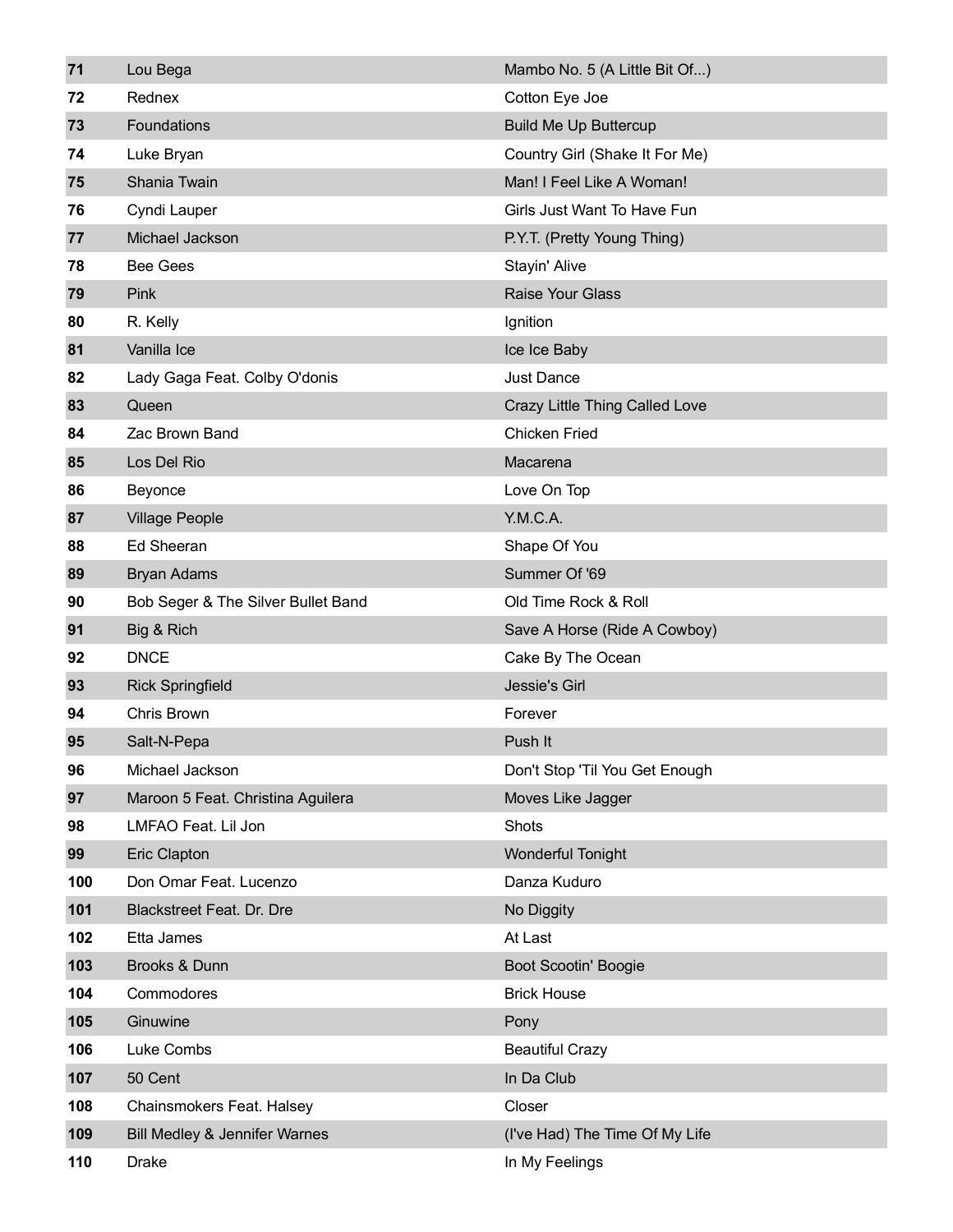| 71  | Lou Bega                                 | Mambo No. 5 (A Little Bit Of)  |
|-----|------------------------------------------|--------------------------------|
| 72  | Rednex                                   | Cotton Eye Joe                 |
| 73  | Foundations                              | <b>Build Me Up Buttercup</b>   |
| 74  | Luke Bryan                               | Country Girl (Shake It For Me) |
| 75  | Shania Twain                             | Man! I Feel Like A Woman!      |
| 76  | Cyndi Lauper                             | Girls Just Want To Have Fun    |
| 77  | Michael Jackson                          | P.Y.T. (Pretty Young Thing)    |
| 78  | <b>Bee Gees</b>                          | Stayin' Alive                  |
| 79  | Pink                                     | Raise Your Glass               |
| 80  | R. Kelly                                 | Ignition                       |
| 81  | Vanilla Ice                              | Ice Ice Baby                   |
| 82  | Lady Gaga Feat. Colby O'donis            | <b>Just Dance</b>              |
| 83  | Queen                                    | Crazy Little Thing Called Love |
| 84  | Zac Brown Band                           | <b>Chicken Fried</b>           |
| 85  | Los Del Rio                              | Macarena                       |
| 86  | Beyonce                                  | Love On Top                    |
| 87  | <b>Village People</b>                    | Y.M.C.A.                       |
| 88  | <b>Ed Sheeran</b>                        | Shape Of You                   |
| 89  | <b>Bryan Adams</b>                       | Summer Of '69                  |
| 90  | Bob Seger & The Silver Bullet Band       | Old Time Rock & Roll           |
| 91  | Big & Rich                               | Save A Horse (Ride A Cowboy)   |
| 92  | <b>DNCE</b>                              | Cake By The Ocean              |
| 93  | <b>Rick Springfield</b>                  | Jessie's Girl                  |
| 94  | Chris Brown                              | Forever                        |
| 95  | Salt-N-Pepa                              | Push It                        |
| 96  | Michael Jackson                          | Don't Stop 'Til You Get Enough |
| 97  | Maroon 5 Feat. Christina Aguilera        | Moves Like Jagger              |
| 98  | LMFAO Feat. Lil Jon                      | Shots                          |
| 99  | <b>Eric Clapton</b>                      | Wonderful Tonight              |
| 100 | Don Omar Feat. Lucenzo                   | Danza Kuduro                   |
| 101 | <b>Blackstreet Feat. Dr. Dre</b>         | No Diggity                     |
| 102 | Etta James                               | At Last                        |
| 103 | Brooks & Dunn                            | <b>Boot Scootin' Boogie</b>    |
| 104 | Commodores                               | <b>Brick House</b>             |
| 105 | Ginuwine                                 | Pony                           |
| 106 | Luke Combs                               | <b>Beautiful Crazy</b>         |
| 107 | 50 Cent                                  | In Da Club                     |
| 108 | Chainsmokers Feat. Halsey                | Closer                         |
| 109 | <b>Bill Medley &amp; Jennifer Warnes</b> | (I've Had) The Time Of My Life |
| 110 | <b>Drake</b>                             | In My Feelings                 |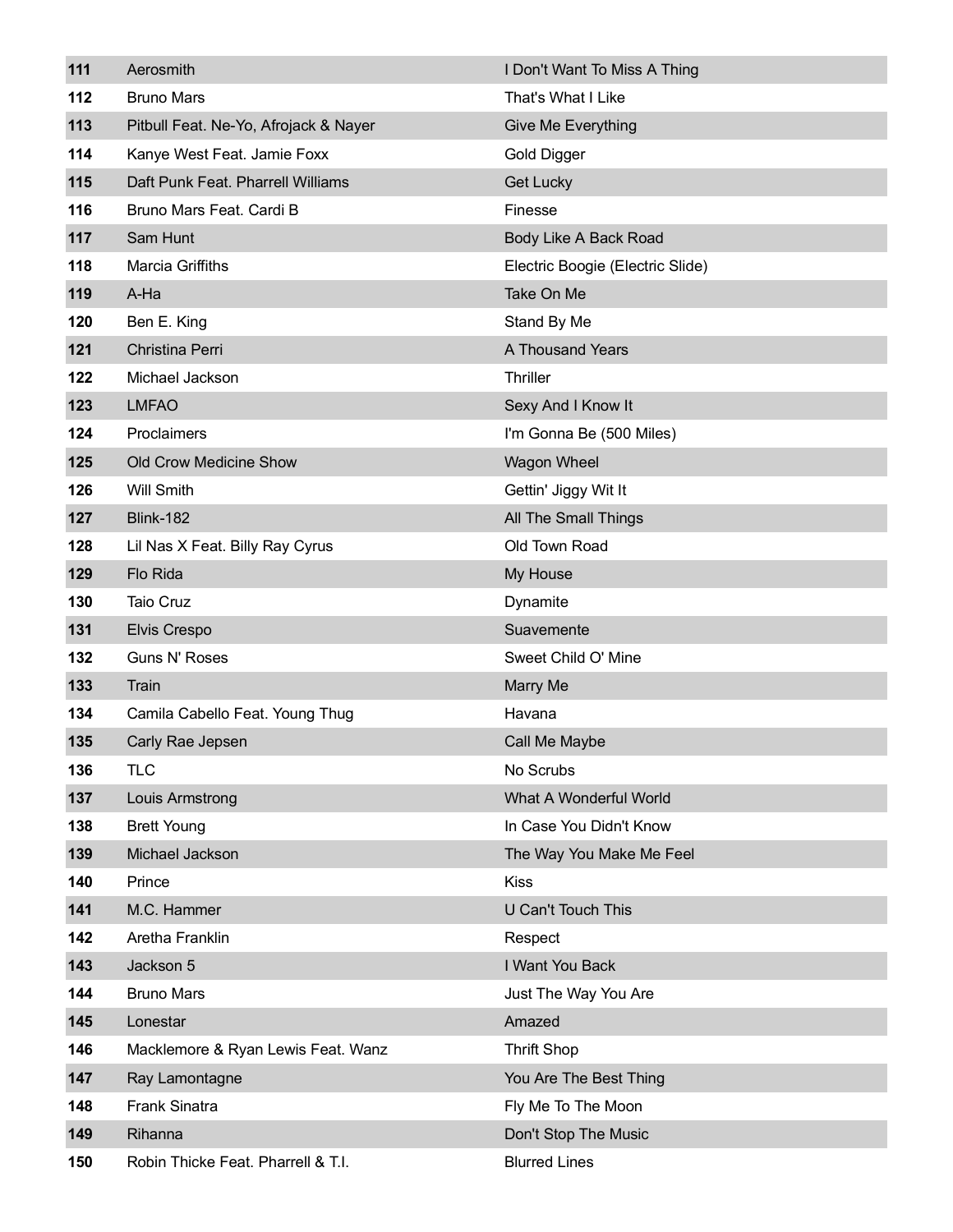| 111 | Aerosmith                             | I Don't Want To Miss A Thing     |
|-----|---------------------------------------|----------------------------------|
| 112 | <b>Bruno Mars</b>                     | That's What I Like               |
| 113 | Pitbull Feat. Ne-Yo, Afrojack & Nayer | Give Me Everything               |
| 114 | Kanye West Feat. Jamie Foxx           | Gold Digger                      |
| 115 | Daft Punk Feat. Pharrell Williams     | Get Lucky                        |
| 116 | Bruno Mars Feat. Cardi B              | Finesse                          |
| 117 | Sam Hunt                              | Body Like A Back Road            |
| 118 | <b>Marcia Griffiths</b>               | Electric Boogie (Electric Slide) |
| 119 | A-Ha                                  | Take On Me                       |
| 120 | Ben E. King                           | Stand By Me                      |
| 121 | Christina Perri                       | A Thousand Years                 |
| 122 | Michael Jackson                       | Thriller                         |
| 123 | <b>LMFAO</b>                          | Sexy And I Know It               |
| 124 | Proclaimers                           | I'm Gonna Be (500 Miles)         |
| 125 | Old Crow Medicine Show                | Wagon Wheel                      |
| 126 | <b>Will Smith</b>                     | Gettin' Jiggy Wit It             |
| 127 | <b>Blink-182</b>                      | All The Small Things             |
| 128 | Lil Nas X Feat. Billy Ray Cyrus       | Old Town Road                    |
| 129 | Flo Rida                              | My House                         |
| 130 | Taio Cruz                             | Dynamite                         |
| 131 | Elvis Crespo                          | Suavemente                       |
| 132 | Guns N' Roses                         | Sweet Child O' Mine              |
| 133 | Train                                 | <b>Marry Me</b>                  |
| 134 | Camila Cabello Feat. Young Thug       | Havana                           |
| 135 | Carly Rae Jepsen                      | Call Me Maybe                    |
| 136 | <b>TLC</b>                            | No Scrubs                        |
| 137 | Louis Armstrong                       | What A Wonderful World           |
| 138 | <b>Brett Young</b>                    | In Case You Didn't Know          |
| 139 | Michael Jackson                       | The Way You Make Me Feel         |
| 140 | Prince                                | <b>Kiss</b>                      |
| 141 | M.C. Hammer                           | <b>U Can't Touch This</b>        |
| 142 | Aretha Franklin                       | Respect                          |
| 143 | Jackson 5                             | I Want You Back                  |
| 144 | <b>Bruno Mars</b>                     | Just The Way You Are             |
| 145 | Lonestar                              | Amazed                           |
| 146 | Macklemore & Ryan Lewis Feat. Wanz    | <b>Thrift Shop</b>               |
| 147 | Ray Lamontagne                        | You Are The Best Thing           |
| 148 | <b>Frank Sinatra</b>                  | Fly Me To The Moon               |
| 149 | Rihanna                               | Don't Stop The Music             |
| 150 | Robin Thicke Feat. Pharrell & T.I.    | <b>Blurred Lines</b>             |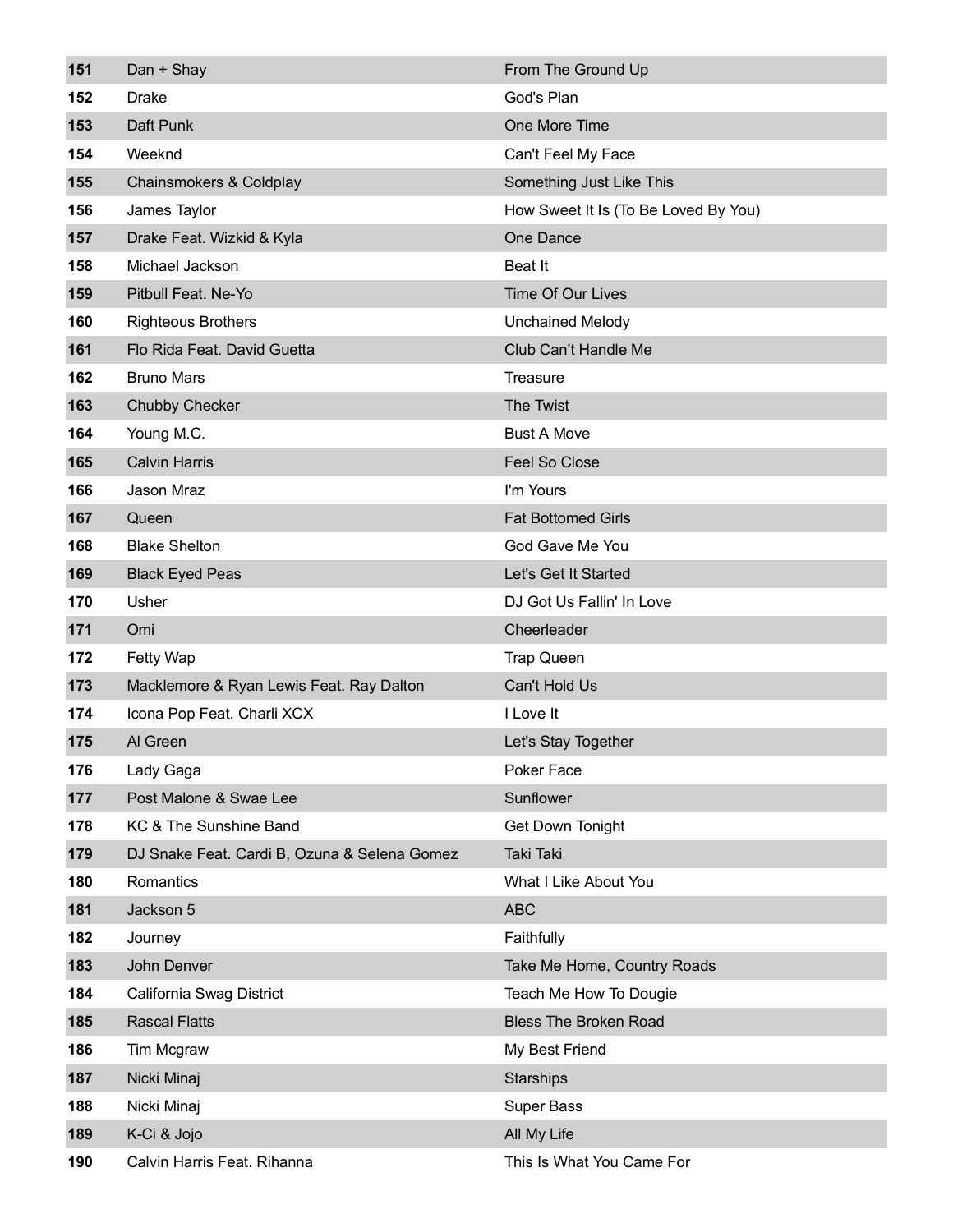| 151 | Dan + Shay                                   | From The Ground Up                   |
|-----|----------------------------------------------|--------------------------------------|
| 152 | <b>Drake</b>                                 | God's Plan                           |
| 153 | Daft Punk                                    | One More Time                        |
| 154 | Weeknd                                       | Can't Feel My Face                   |
| 155 | Chainsmokers & Coldplay                      | Something Just Like This             |
| 156 | James Taylor                                 | How Sweet It Is (To Be Loved By You) |
| 157 | Drake Feat. Wizkid & Kyla                    | One Dance                            |
| 158 | Michael Jackson                              | <b>Beat It</b>                       |
| 159 | Pitbull Feat. Ne-Yo                          | <b>Time Of Our Lives</b>             |
| 160 | <b>Righteous Brothers</b>                    | <b>Unchained Melody</b>              |
| 161 | Flo Rida Feat. David Guetta                  | Club Can't Handle Me                 |
| 162 | <b>Bruno Mars</b>                            | Treasure                             |
| 163 | <b>Chubby Checker</b>                        | The Twist                            |
| 164 | Young M.C.                                   | <b>Bust A Move</b>                   |
| 165 | <b>Calvin Harris</b>                         | Feel So Close                        |
| 166 | Jason Mraz                                   | I'm Yours                            |
| 167 | Queen                                        | <b>Fat Bottomed Girls</b>            |
| 168 | <b>Blake Shelton</b>                         | God Gave Me You                      |
| 169 | <b>Black Eyed Peas</b>                       | Let's Get It Started                 |
| 170 | Usher                                        | DJ Got Us Fallin' In Love            |
| 171 | Omi                                          | Cheerleader                          |
| 172 | Fetty Wap                                    | <b>Trap Queen</b>                    |
| 173 | Macklemore & Ryan Lewis Feat. Ray Dalton     | Can't Hold Us                        |
| 174 | Icona Pop Feat. Charli XCX                   | I Love It                            |
| 175 | Al Green                                     | Let's Stay Together                  |
| 176 | Lady Gaga                                    | Poker Face                           |
| 177 | Post Malone & Swae Lee                       | Sunflower                            |
| 178 | KC & The Sunshine Band                       | <b>Get Down Tonight</b>              |
| 179 | DJ Snake Feat. Cardi B, Ozuna & Selena Gomez | <b>Taki Taki</b>                     |
| 180 | Romantics                                    | What I Like About You                |
| 181 | Jackson 5                                    | <b>ABC</b>                           |
| 182 | Journey                                      | Faithfully                           |
| 183 | John Denver                                  | Take Me Home, Country Roads          |
| 184 | California Swag District                     | Teach Me How To Dougie               |
| 185 | <b>Rascal Flatts</b>                         | <b>Bless The Broken Road</b>         |
| 186 | Tim Mcgraw                                   | My Best Friend                       |
| 187 | Nicki Minaj                                  | Starships                            |
| 188 | Nicki Minaj                                  | Super Bass                           |
| 189 | K-Ci & Jojo                                  | All My Life                          |
| 190 | Calvin Harris Feat. Rihanna                  | This Is What You Came For            |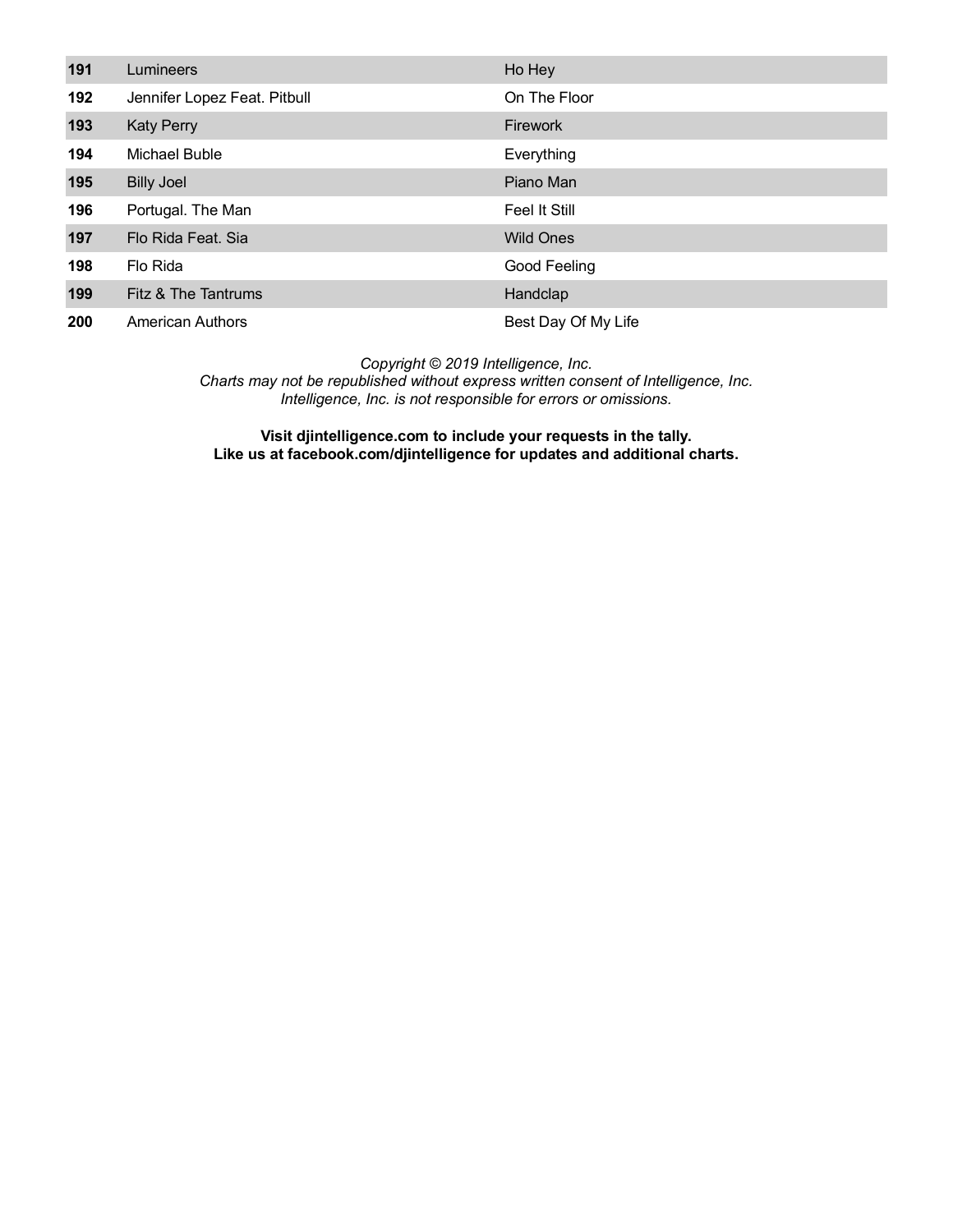| 191 | Lumineers                    | Ho Hey              |
|-----|------------------------------|---------------------|
| 192 | Jennifer Lopez Feat. Pitbull | On The Floor        |
| 193 | <b>Katy Perry</b>            | <b>Firework</b>     |
| 194 | Michael Buble                | Everything          |
| 195 | <b>Billy Joel</b>            | Piano Man           |
| 196 | Portugal. The Man            | Feel It Still       |
| 197 | Flo Rida Feat, Sia           | <b>Wild Ones</b>    |
| 198 | Flo Rida                     | Good Feeling        |
| 199 | Fitz & The Tantrums          | Handclap            |
| 200 | <b>American Authors</b>      | Best Day Of My Life |

*Charts may not be republished without express written consent of Intelligence, Inc. Intelligence, Inc. is not responsible for errors or omissions.*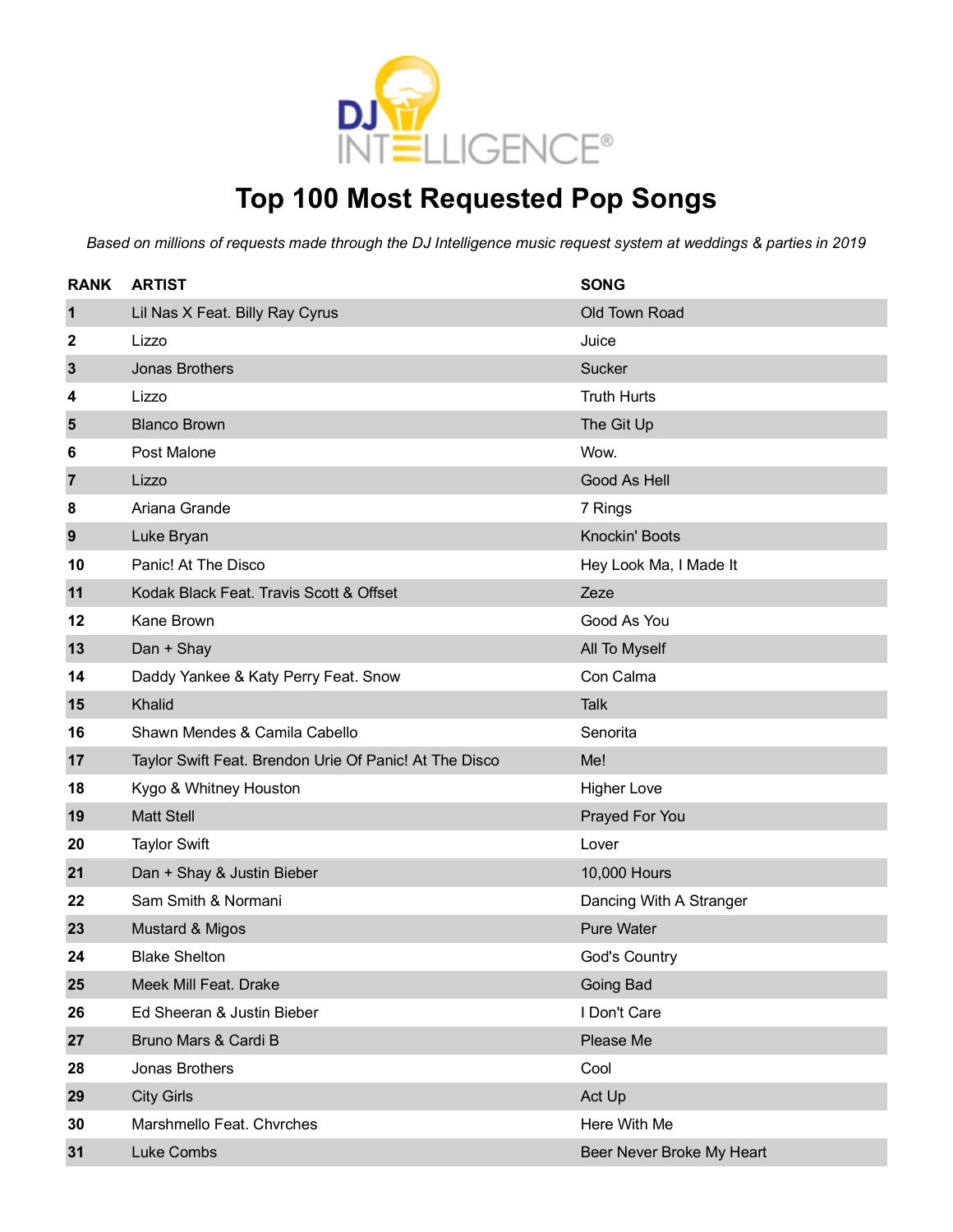

### **Top 100 Most Requested Pop Songs**

| <b>RANK</b>    | <b>ARTIST</b>                                          | <b>SONG</b>               |
|----------------|--------------------------------------------------------|---------------------------|
| $\mathbf 1$    | Lil Nas X Feat. Billy Ray Cyrus                        | Old Town Road             |
| 2              | Lizzo                                                  | Juice                     |
| $\mathbf{3}$   | <b>Jonas Brothers</b>                                  | <b>Sucker</b>             |
| 4              | Lizzo                                                  | <b>Truth Hurts</b>        |
| 5              | <b>Blanco Brown</b>                                    | The Git Up                |
| 6              | Post Malone                                            | Wow.                      |
| $\overline{7}$ | Lizzo                                                  | Good As Hell              |
| 8              | Ariana Grande                                          | 7 Rings                   |
| 9              | Luke Bryan                                             | Knockin' Boots            |
| 10             | Panic! At The Disco                                    | Hey Look Ma, I Made It    |
| 11             | Kodak Black Feat. Travis Scott & Offset                | Zeze                      |
| 12             | Kane Brown                                             | Good As You               |
| 13             | Dan + Shay                                             | All To Myself             |
| 14             | Daddy Yankee & Katy Perry Feat. Snow                   | Con Calma                 |
| 15             | Khalid                                                 | <b>Talk</b>               |
| 16             | Shawn Mendes & Camila Cabello                          | Senorita                  |
| 17             | Taylor Swift Feat. Brendon Urie Of Panic! At The Disco | Me!                       |
| 18             | Kygo & Whitney Houston                                 | <b>Higher Love</b>        |
| 19             | <b>Matt Stell</b>                                      | Prayed For You            |
| 20             | <b>Taylor Swift</b>                                    | Lover                     |
| 21             | Dan + Shay & Justin Bieber                             | 10,000 Hours              |
| 22             | Sam Smith & Normani                                    | Dancing With A Stranger   |
| 23             | <b>Mustard &amp; Migos</b>                             | <b>Pure Water</b>         |
| 24             | <b>Blake Shelton</b>                                   | God's Country             |
| 25             | Meek Mill Feat. Drake                                  | Going Bad                 |
| 26             | Ed Sheeran & Justin Bieber                             | I Don't Care              |
| 27             | Bruno Mars & Cardi B                                   | Please Me                 |
| 28             | Jonas Brothers                                         | Cool                      |
| 29             | <b>City Girls</b>                                      | Act Up                    |
| 30             | Marshmello Feat, Chyrches                              | Here With Me              |
| 31             | Luke Combs                                             | Beer Never Broke My Heart |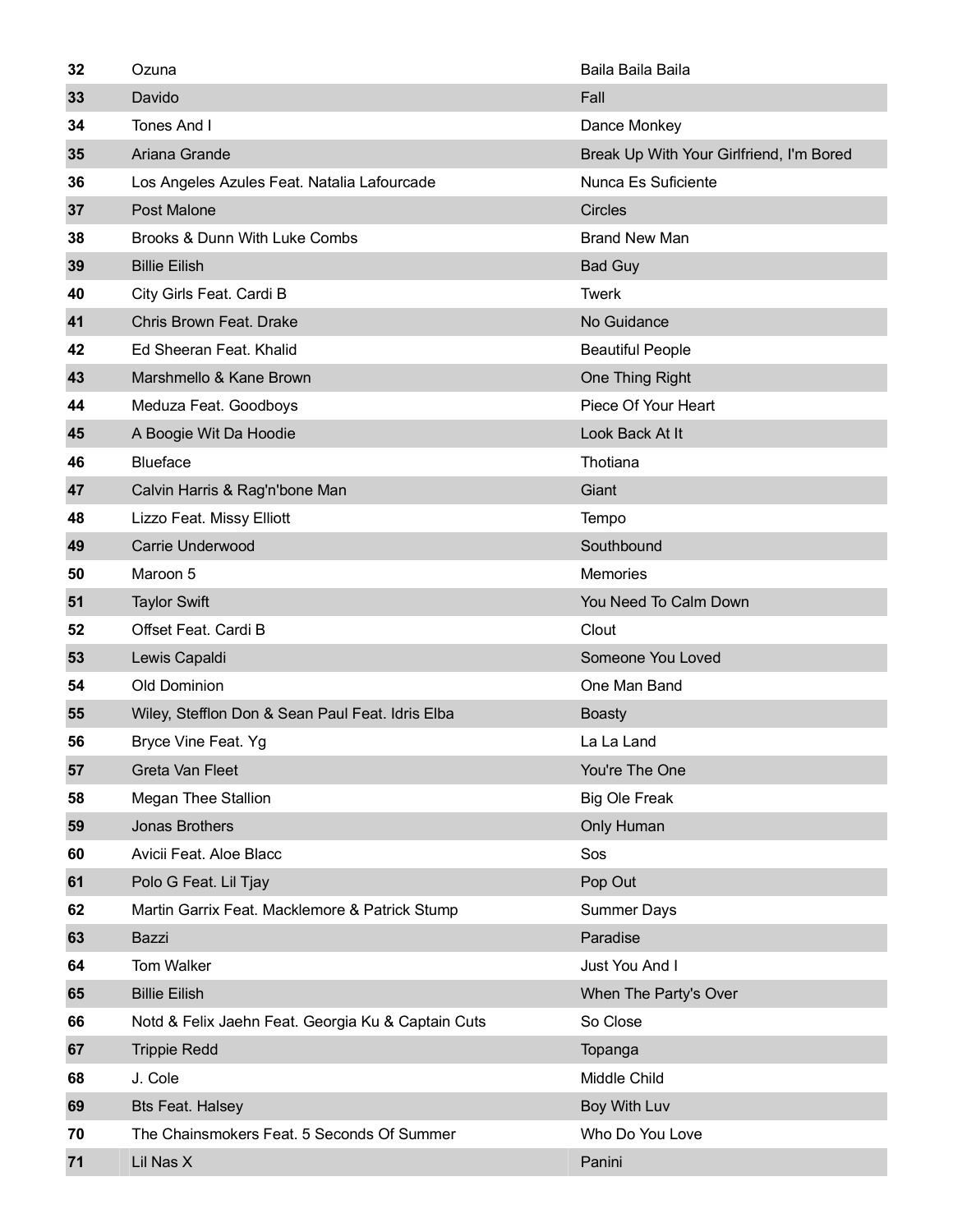| 32 | Ozuna                                              | Baila Baila Baila                        |
|----|----------------------------------------------------|------------------------------------------|
| 33 | Davido                                             | Fall                                     |
| 34 | Tones And I                                        | Dance Monkey                             |
| 35 | Ariana Grande                                      | Break Up With Your Girlfriend, I'm Bored |
| 36 | Los Angeles Azules Feat. Natalia Lafourcade        | Nunca Es Suficiente                      |
| 37 | Post Malone                                        | <b>Circles</b>                           |
| 38 | Brooks & Dunn With Luke Combs                      | <b>Brand New Man</b>                     |
| 39 | <b>Billie Eilish</b>                               | <b>Bad Guy</b>                           |
| 40 | City Girls Feat. Cardi B                           | <b>Twerk</b>                             |
| 41 | Chris Brown Feat. Drake                            | No Guidance                              |
| 42 | Ed Sheeran Feat. Khalid                            | <b>Beautiful People</b>                  |
| 43 | Marshmello & Kane Brown                            | One Thing Right                          |
| 44 | Meduza Feat. Goodboys                              | Piece Of Your Heart                      |
| 45 | A Boogie Wit Da Hoodie                             | Look Back At It                          |
| 46 | <b>Blueface</b>                                    | Thotiana                                 |
| 47 | Calvin Harris & Rag'n'bone Man                     | Giant                                    |
| 48 | Lizzo Feat. Missy Elliott                          | Tempo                                    |
| 49 | Carrie Underwood                                   | Southbound                               |
| 50 | Maroon 5                                           | <b>Memories</b>                          |
| 51 | <b>Taylor Swift</b>                                | You Need To Calm Down                    |
| 52 | Offset Feat. Cardi B                               | Clout                                    |
| 53 | Lewis Capaldi                                      | Someone You Loved                        |
| 54 | <b>Old Dominion</b>                                | One Man Band                             |
| 55 | Wiley, Stefflon Don & Sean Paul Feat. Idris Elba   | <b>Boasty</b>                            |
| 56 | Bryce Vine Feat. Yg                                | La La Land                               |
| 57 | Greta Van Fleet                                    | You're The One                           |
| 58 | <b>Megan Thee Stallion</b>                         | <b>Big Ole Freak</b>                     |
| 59 | Jonas Brothers                                     | Only Human                               |
| 60 | Avicii Feat. Aloe Blacc                            | Sos                                      |
| 61 | Polo G Feat. Lil Tjay                              | Pop Out                                  |
| 62 | Martin Garrix Feat. Macklemore & Patrick Stump     | <b>Summer Days</b>                       |
| 63 | Bazzi                                              | Paradise                                 |
| 64 | Tom Walker                                         | Just You And I                           |
| 65 | <b>Billie Eilish</b>                               | When The Party's Over                    |
| 66 | Notd & Felix Jaehn Feat. Georgia Ku & Captain Cuts | So Close                                 |
| 67 | <b>Trippie Redd</b>                                | Topanga                                  |
| 68 | J. Cole                                            | Middle Child                             |
| 69 | <b>Bts Feat. Halsey</b>                            | Boy With Luv                             |
| 70 | The Chainsmokers Feat. 5 Seconds Of Summer         | Who Do You Love                          |
| 71 | Lil Nas X                                          | Panini                                   |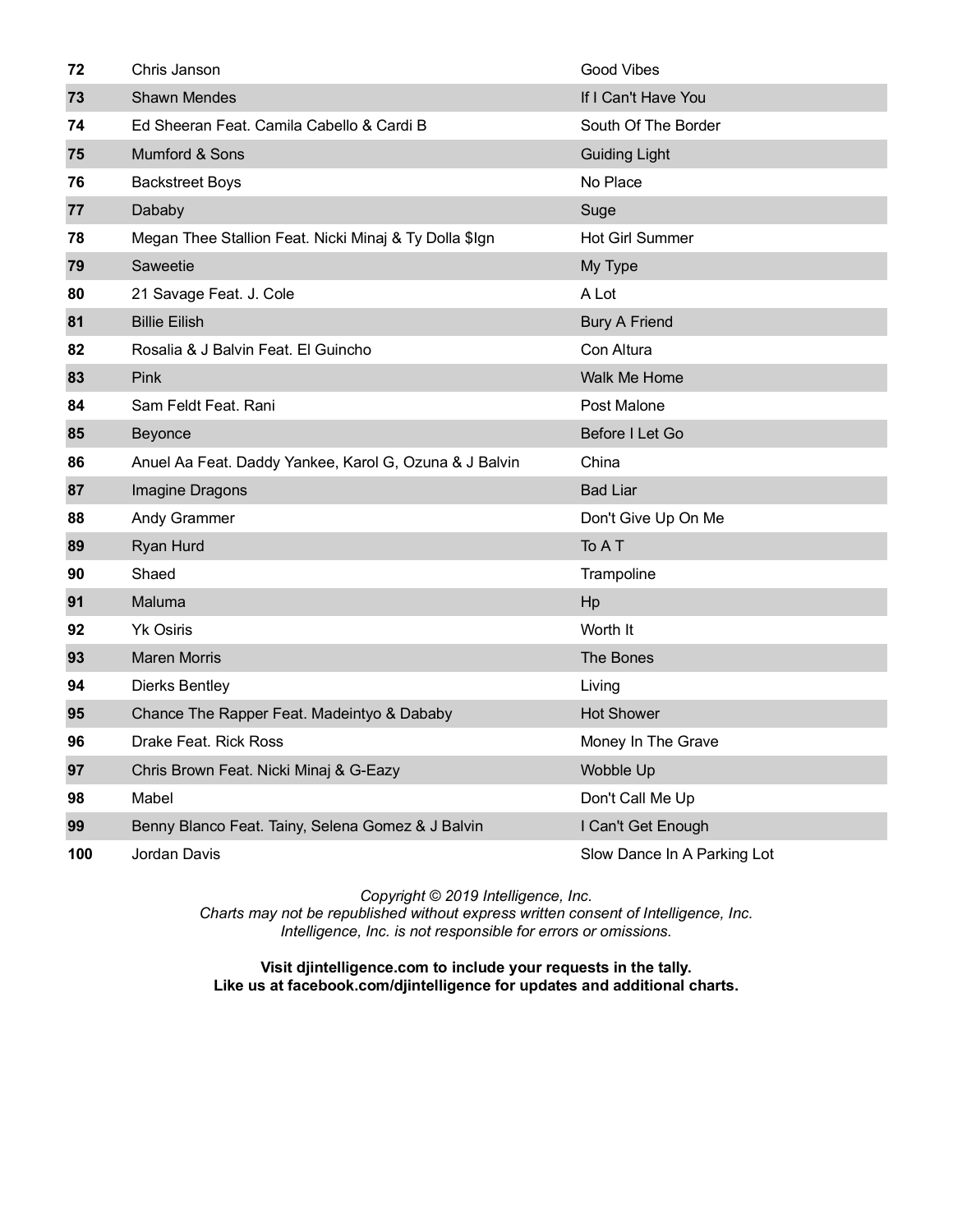| 72  | Chris Janson                                           | Good Vibes                  |
|-----|--------------------------------------------------------|-----------------------------|
| 73  | <b>Shawn Mendes</b>                                    | If I Can't Have You         |
| 74  | Ed Sheeran Feat. Camila Cabello & Cardi B              | South Of The Border         |
| 75  | Mumford & Sons                                         | <b>Guiding Light</b>        |
| 76  | <b>Backstreet Boys</b>                                 | No Place                    |
| 77  | Dababy                                                 | Suge                        |
| 78  | Megan Thee Stallion Feat. Nicki Minaj & Ty Dolla \$Ign | <b>Hot Girl Summer</b>      |
| 79  | Saweetie                                               | My Type                     |
| 80  | 21 Savage Feat. J. Cole                                | A Lot                       |
| 81  | <b>Billie Eilish</b>                                   | <b>Bury A Friend</b>        |
| 82  | Rosalia & J Balvin Feat. El Guincho                    | Con Altura                  |
| 83  | Pink                                                   | <b>Walk Me Home</b>         |
| 84  | Sam Feldt Feat, Rani                                   | Post Malone                 |
| 85  | Beyonce                                                | Before I Let Go             |
| 86  | Anuel Aa Feat. Daddy Yankee, Karol G, Ozuna & J Balvin | China                       |
| 87  | Imagine Dragons                                        | <b>Bad Liar</b>             |
| 88  | Andy Grammer                                           | Don't Give Up On Me         |
| 89  | Ryan Hurd                                              | To A T                      |
| 90  | Shaed                                                  | Trampoline                  |
| 91  | Maluma                                                 | Hp                          |
| 92  | <b>Yk Osiris</b>                                       | Worth It                    |
| 93  | <b>Maren Morris</b>                                    | The Bones                   |
| 94  | <b>Dierks Bentley</b>                                  | Living                      |
| 95  | Chance The Rapper Feat. Madeintyo & Dababy             | <b>Hot Shower</b>           |
| 96  | Drake Feat. Rick Ross                                  | Money In The Grave          |
| 97  | Chris Brown Feat. Nicki Minaj & G-Eazy                 | Wobble Up                   |
| 98  | Mabel                                                  | Don't Call Me Up            |
| 99  | Benny Blanco Feat. Tainy, Selena Gomez & J Balvin      | I Can't Get Enough          |
| 100 | Jordan Davis                                           | Slow Dance In A Parking Lot |

*Charts may not be republished without express written consent of Intelligence, Inc. Intelligence, Inc. is not responsible for errors or omissions.*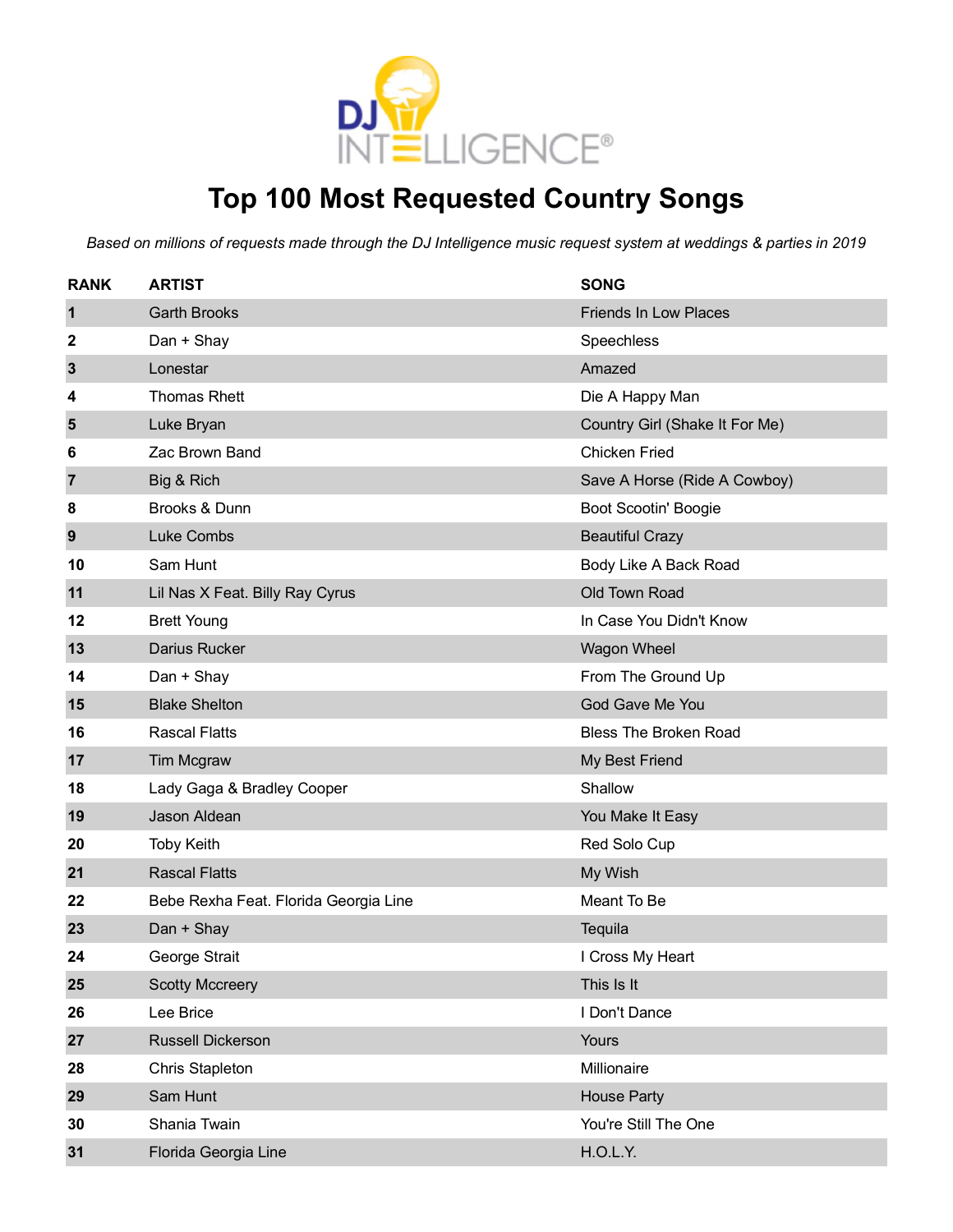

#### **Top 100 Most Requested Country Songs**

| <b>RANK</b>  | <b>ARTIST</b>                         | <b>SONG</b>                    |
|--------------|---------------------------------------|--------------------------------|
| $\mathbf 1$  | <b>Garth Brooks</b>                   | <b>Friends In Low Places</b>   |
| 2            | Dan + Shay                            | Speechless                     |
| $\mathbf{3}$ | Lonestar                              | Amazed                         |
| 4            | <b>Thomas Rhett</b>                   | Die A Happy Man                |
| 5            | Luke Bryan                            | Country Girl (Shake It For Me) |
| 6            | Zac Brown Band                        | <b>Chicken Fried</b>           |
| 7            | Big & Rich                            | Save A Horse (Ride A Cowboy)   |
| 8            | Brooks & Dunn                         | Boot Scootin' Boogie           |
| 9            | Luke Combs                            | <b>Beautiful Crazy</b>         |
| 10           | Sam Hunt                              | Body Like A Back Road          |
| 11           | Lil Nas X Feat. Billy Ray Cyrus       | Old Town Road                  |
| 12           | <b>Brett Young</b>                    | In Case You Didn't Know        |
| 13           | Darius Rucker                         | Wagon Wheel                    |
| 14           | Dan + Shay                            | From The Ground Up             |
| 15           | <b>Blake Shelton</b>                  | God Gave Me You                |
| 16           | <b>Rascal Flatts</b>                  | <b>Bless The Broken Road</b>   |
| 17           | Tim Mcgraw                            | My Best Friend                 |
| 18           | Lady Gaga & Bradley Cooper            | Shallow                        |
| 19           | Jason Aldean                          | You Make It Easy               |
| 20           | <b>Toby Keith</b>                     | Red Solo Cup                   |
| 21           | <b>Rascal Flatts</b>                  | My Wish                        |
| 22           | Bebe Rexha Feat. Florida Georgia Line | Meant To Be                    |
| 23           | Dan + Shay                            | Tequila                        |
| 24           | George Strait                         | I Cross My Heart               |
| 25           | <b>Scotty Mccreery</b>                | This Is It                     |
| 26           | Lee Brice                             | I Don't Dance                  |
| 27           | Russell Dickerson                     | Yours                          |
| 28           | <b>Chris Stapleton</b>                | Millionaire                    |
| 29           | Sam Hunt                              | <b>House Party</b>             |
| 30           | Shania Twain                          | You're Still The One           |
| 31           | Florida Georgia Line                  | H.O.L.Y.                       |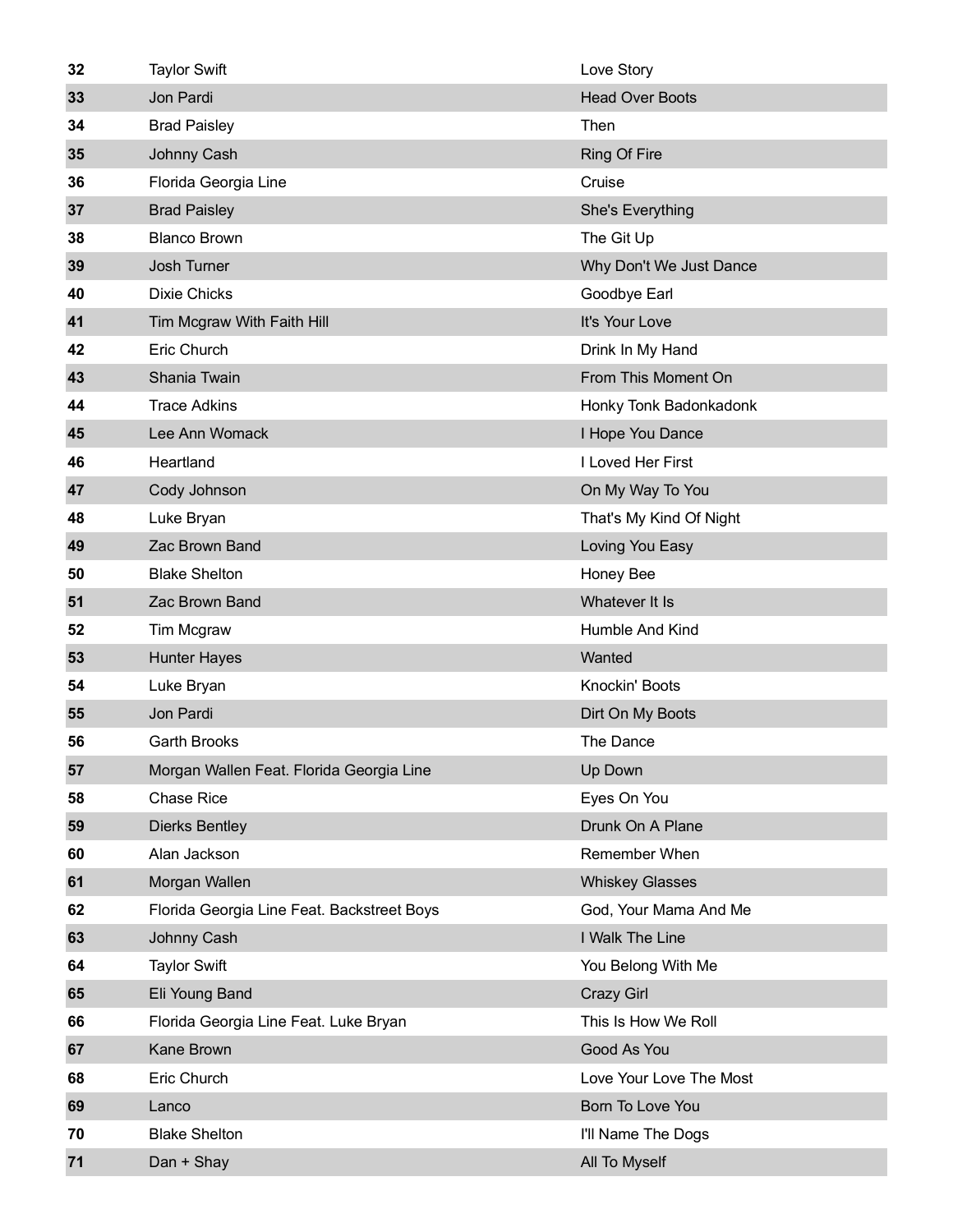| 32 | <b>Taylor Swift</b>                        | Love Story              |
|----|--------------------------------------------|-------------------------|
| 33 | Jon Pardi                                  | <b>Head Over Boots</b>  |
| 34 | <b>Brad Paisley</b>                        | Then                    |
| 35 | Johnny Cash                                | <b>Ring Of Fire</b>     |
| 36 | Florida Georgia Line                       | Cruise                  |
| 37 | <b>Brad Paisley</b>                        | She's Everything        |
| 38 | <b>Blanco Brown</b>                        | The Git Up              |
| 39 | Josh Turner                                | Why Don't We Just Dance |
| 40 | <b>Dixie Chicks</b>                        | Goodbye Earl            |
| 41 | Tim Mcgraw With Faith Hill                 | It's Your Love          |
| 42 | Eric Church                                | Drink In My Hand        |
| 43 | Shania Twain                               | From This Moment On     |
| 44 | <b>Trace Adkins</b>                        | Honky Tonk Badonkadonk  |
| 45 | Lee Ann Womack                             | I Hope You Dance        |
| 46 | Heartland                                  | I Loved Her First       |
| 47 | Cody Johnson                               | On My Way To You        |
| 48 | Luke Bryan                                 | That's My Kind Of Night |
| 49 | Zac Brown Band                             | Loving You Easy         |
| 50 | <b>Blake Shelton</b>                       | Honey Bee               |
| 51 | Zac Brown Band                             | Whatever It Is          |
| 52 | Tim Mcgraw                                 | Humble And Kind         |
| 53 | <b>Hunter Hayes</b>                        | Wanted                  |
| 54 | Luke Bryan                                 | Knockin' Boots          |
| 55 | Jon Pardi                                  | Dirt On My Boots        |
| 56 | <b>Garth Brooks</b>                        | The Dance               |
| 57 | Morgan Wallen Feat. Florida Georgia Line   | Up Down                 |
| 58 | <b>Chase Rice</b>                          | Eyes On You             |
| 59 | <b>Dierks Bentley</b>                      | Drunk On A Plane        |
| 60 | Alan Jackson                               | Remember When           |
| 61 | Morgan Wallen                              | <b>Whiskey Glasses</b>  |
| 62 | Florida Georgia Line Feat. Backstreet Boys | God, Your Mama And Me   |
| 63 | Johnny Cash                                | I Walk The Line         |
| 64 | <b>Taylor Swift</b>                        | You Belong With Me      |
| 65 | Eli Young Band                             | Crazy Girl              |
| 66 | Florida Georgia Line Feat. Luke Bryan      | This Is How We Roll     |
| 67 | <b>Kane Brown</b>                          | Good As You             |
| 68 | Eric Church                                | Love Your Love The Most |
| 69 | Lanco                                      | Born To Love You        |
| 70 | <b>Blake Shelton</b>                       | I'll Name The Dogs      |
| 71 | Dan + Shay                                 | All To Myself           |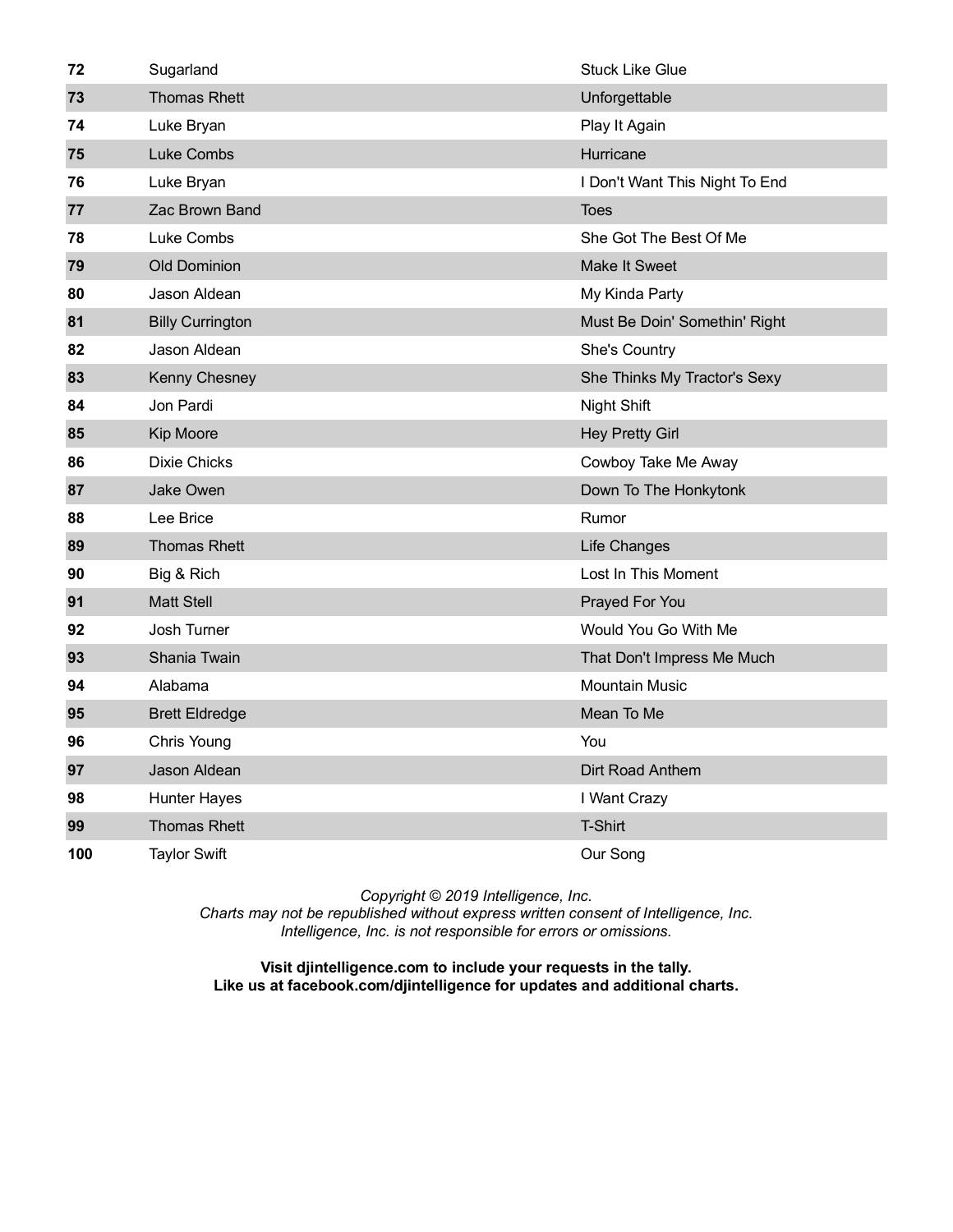| 72  | Sugarland               | <b>Stuck Like Glue</b>         |
|-----|-------------------------|--------------------------------|
| 73  | <b>Thomas Rhett</b>     | Unforgettable                  |
| 74  | Luke Bryan              | Play It Again                  |
| 75  | <b>Luke Combs</b>       | Hurricane                      |
| 76  | Luke Bryan              | I Don't Want This Night To End |
| 77  | Zac Brown Band          | <b>Toes</b>                    |
| 78  | Luke Combs              | She Got The Best Of Me         |
| 79  | <b>Old Dominion</b>     | <b>Make It Sweet</b>           |
| 80  | Jason Aldean            | My Kinda Party                 |
| 81  | <b>Billy Currington</b> | Must Be Doin' Somethin' Right  |
| 82  | Jason Aldean            | She's Country                  |
| 83  | Kenny Chesney           | She Thinks My Tractor's Sexy   |
| 84  | Jon Pardi               | Night Shift                    |
| 85  | <b>Kip Moore</b>        | <b>Hey Pretty Girl</b>         |
| 86  | <b>Dixie Chicks</b>     | Cowboy Take Me Away            |
| 87  | Jake Owen               | Down To The Honkytonk          |
| 88  | Lee Brice               | Rumor                          |
| 89  | <b>Thomas Rhett</b>     | Life Changes                   |
| 90  | Big & Rich              | Lost In This Moment            |
| 91  | <b>Matt Stell</b>       | Prayed For You                 |
| 92  | Josh Turner             | Would You Go With Me           |
| 93  | Shania Twain            | That Don't Impress Me Much     |
| 94  | Alabama                 | <b>Mountain Music</b>          |
| 95  | <b>Brett Eldredge</b>   | Mean To Me                     |
| 96  | Chris Young             | You                            |
| 97  | Jason Aldean            | Dirt Road Anthem               |
| 98  | <b>Hunter Hayes</b>     | I Want Crazy                   |
| 99  | <b>Thomas Rhett</b>     | <b>T-Shirt</b>                 |
| 100 | <b>Taylor Swift</b>     | Our Song                       |

*Charts may not be republished without express written consent of Intelligence, Inc. Intelligence, Inc. is not responsible for errors or omissions.*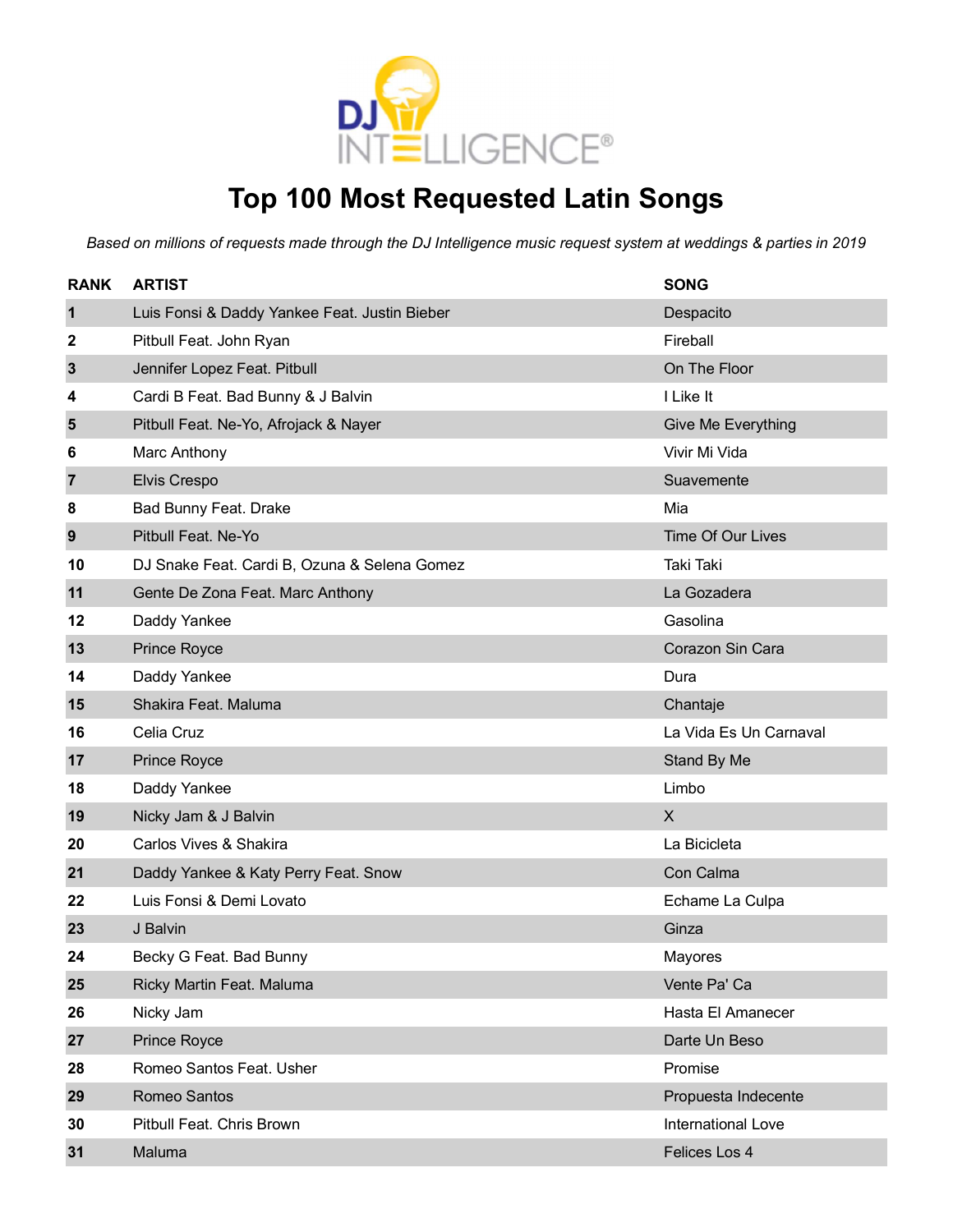

### **Top 100 Most Requested Latin Songs**

| <b>RANK</b>    | <b>ARTIST</b>                                 | <b>SONG</b>              |
|----------------|-----------------------------------------------|--------------------------|
| $\mathbf 1$    | Luis Fonsi & Daddy Yankee Feat. Justin Bieber | Despacito                |
| 2              | Pitbull Feat. John Ryan                       | Fireball                 |
| 3              | Jennifer Lopez Feat. Pitbull                  | On The Floor             |
| 4              | Cardi B Feat. Bad Bunny & J Balvin            | I Like It                |
| 5              | Pitbull Feat. Ne-Yo, Afrojack & Nayer         | Give Me Everything       |
| 6              | Marc Anthony                                  | Vivir Mi Vida            |
| $\overline{7}$ | Elvis Crespo                                  | Suavemente               |
| 8              | Bad Bunny Feat. Drake                         | Mia                      |
| 9              | Pitbull Feat. Ne-Yo                           | <b>Time Of Our Lives</b> |
| 10             | DJ Snake Feat. Cardi B, Ozuna & Selena Gomez  | Taki Taki                |
| 11             | Gente De Zona Feat. Marc Anthony              | La Gozadera              |
| 12             | Daddy Yankee                                  | Gasolina                 |
| 13             | Prince Royce                                  | Corazon Sin Cara         |
| 14             | Daddy Yankee                                  | Dura                     |
| 15             | Shakira Feat. Maluma                          | Chantaje                 |
| 16             | Celia Cruz                                    | La Vida Es Un Carnaval   |
| 17             | Prince Royce                                  | Stand By Me              |
| 18             | Daddy Yankee                                  | Limbo                    |
| 19             | Nicky Jam & J Balvin                          | X                        |
| 20             | Carlos Vives & Shakira                        | La Bicicleta             |
| 21             | Daddy Yankee & Katy Perry Feat. Snow          | Con Calma                |
| 22             | Luis Fonsi & Demi Lovato                      | Echame La Culpa          |
| 23             | J Balvin                                      | Ginza                    |
| 24             | Becky G Feat. Bad Bunny                       | Mayores                  |
| 25             | Ricky Martin Feat. Maluma                     | Vente Pa' Ca             |
| 26             | Nicky Jam                                     | Hasta El Amanecer        |
| 27             | Prince Royce                                  | Darte Un Beso            |
| 28             | Romeo Santos Feat. Usher                      | Promise                  |
| 29             | Romeo Santos                                  | Propuesta Indecente      |
| 30             | Pitbull Feat. Chris Brown                     | International Love       |
| 31             | Maluma                                        | Felices Los 4            |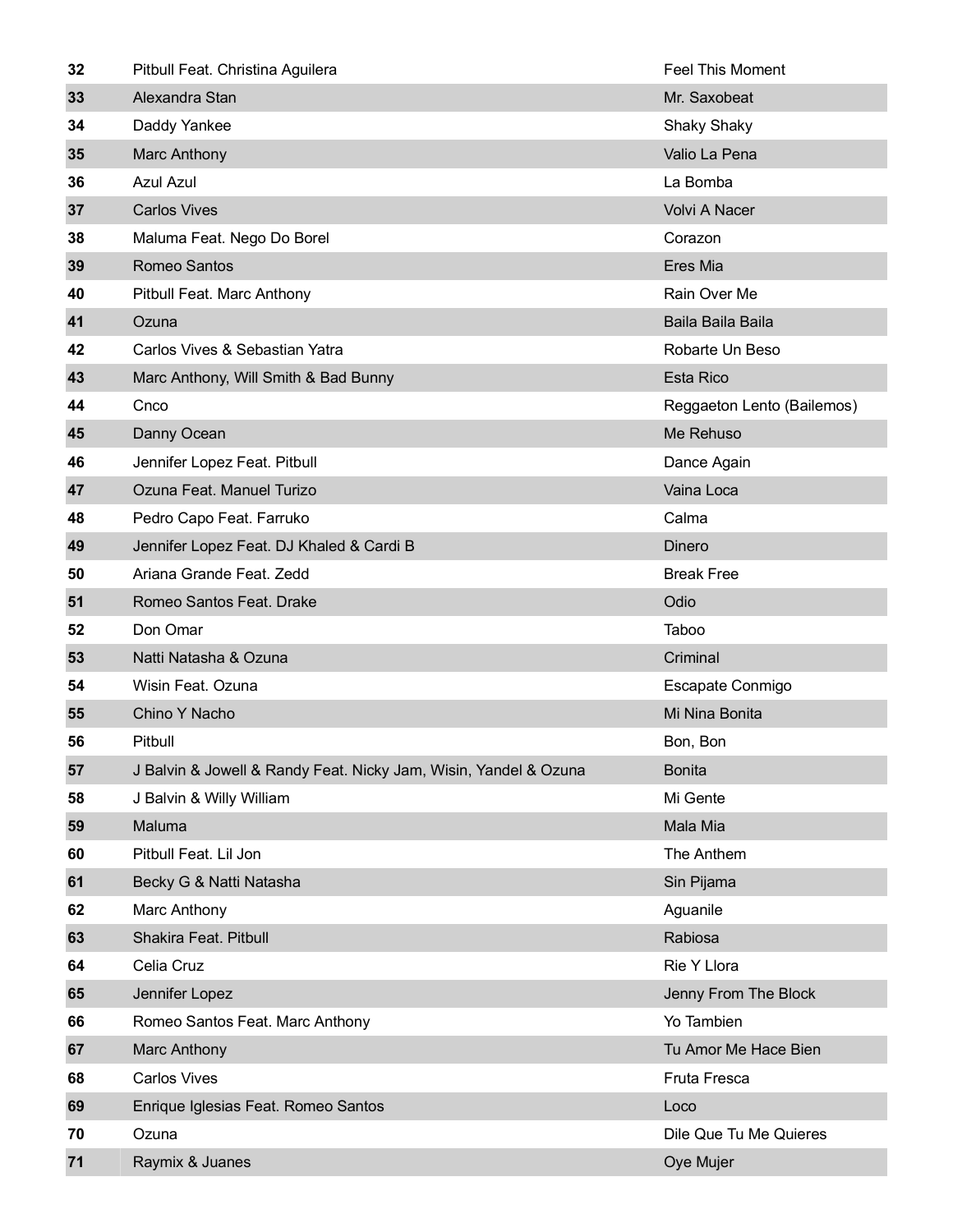| 32 | Pitbull Feat. Christina Aguilera                                 | <b>Feel This Moment</b>    |
|----|------------------------------------------------------------------|----------------------------|
| 33 | Alexandra Stan                                                   | Mr. Saxobeat               |
| 34 | Daddy Yankee                                                     | <b>Shaky Shaky</b>         |
| 35 | Marc Anthony                                                     | Valio La Pena              |
| 36 | <b>Azul Azul</b>                                                 | La Bomba                   |
| 37 | <b>Carlos Vives</b>                                              | Volvi A Nacer              |
| 38 | Maluma Feat. Nego Do Borel                                       | Corazon                    |
| 39 | Romeo Santos                                                     | Eres Mia                   |
| 40 | Pitbull Feat. Marc Anthony                                       | Rain Over Me               |
| 41 | Ozuna                                                            | Baila Baila Baila          |
| 42 | Carlos Vives & Sebastian Yatra                                   | Robarte Un Beso            |
| 43 | Marc Anthony, Will Smith & Bad Bunny                             | <b>Esta Rico</b>           |
| 44 | Cnco                                                             | Reggaeton Lento (Bailemos) |
| 45 | Danny Ocean                                                      | Me Rehuso                  |
| 46 | Jennifer Lopez Feat. Pitbull                                     | Dance Again                |
| 47 | Ozuna Feat. Manuel Turizo                                        | Vaina Loca                 |
| 48 | Pedro Capo Feat. Farruko                                         | Calma                      |
| 49 | Jennifer Lopez Feat. DJ Khaled & Cardi B                         | Dinero                     |
| 50 | Ariana Grande Feat. Zedd                                         | <b>Break Free</b>          |
| 51 | Romeo Santos Feat. Drake                                         | Odio                       |
| 52 | Don Omar                                                         | Taboo                      |
| 53 | Natti Natasha & Ozuna                                            | Criminal                   |
| 54 | Wisin Feat. Ozuna                                                | Escapate Conmigo           |
| 55 | Chino Y Nacho                                                    | Mi Nina Bonita             |
| 56 | Pitbull                                                          | Bon, Bon                   |
| 57 | J Balvin & Jowell & Randy Feat. Nicky Jam, Wisin, Yandel & Ozuna | <b>Bonita</b>              |
| 58 | J Balvin & Willy William                                         | Mi Gente                   |
| 59 | Maluma                                                           | Mala Mia                   |
| 60 | Pitbull Feat. Lil Jon                                            | The Anthem                 |
| 61 | Becky G & Natti Natasha                                          | Sin Pijama                 |
| 62 | Marc Anthony                                                     | Aguanile                   |
| 63 | Shakira Feat. Pitbull                                            | Rabiosa                    |
| 64 | Celia Cruz                                                       | Rie Y Llora                |
| 65 | Jennifer Lopez                                                   | Jenny From The Block       |
| 66 | Romeo Santos Feat. Marc Anthony                                  | Yo Tambien                 |
| 67 | Marc Anthony                                                     | Tu Amor Me Hace Bien       |
| 68 | <b>Carlos Vives</b>                                              | Fruta Fresca               |
| 69 | Enrique Iglesias Feat. Romeo Santos                              | Loco                       |
| 70 | Ozuna                                                            | Dile Que Tu Me Quieres     |
| 71 | Raymix & Juanes                                                  | Oye Mujer                  |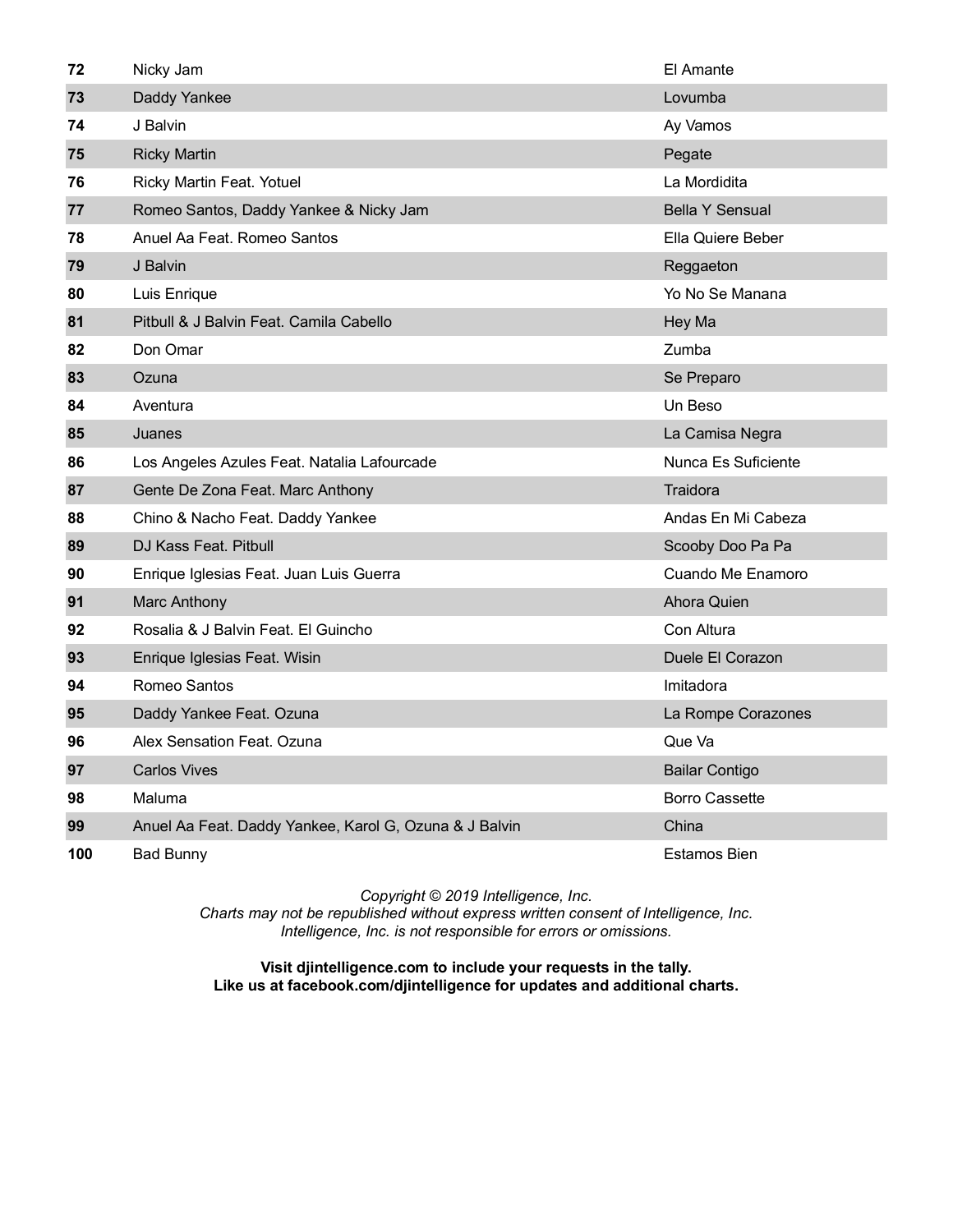| 72  | Nicky Jam                                              | El Amante              |
|-----|--------------------------------------------------------|------------------------|
| 73  | Daddy Yankee                                           | Lovumba                |
| 74  | J Balvin                                               | Ay Vamos               |
| 75  | <b>Ricky Martin</b>                                    | Pegate                 |
| 76  | Ricky Martin Feat. Yotuel                              | La Mordidita           |
| 77  | Romeo Santos, Daddy Yankee & Nicky Jam                 | <b>Bella Y Sensual</b> |
| 78  | Anuel Aa Feat. Romeo Santos                            | Ella Quiere Beber      |
| 79  | J Balvin                                               | Reggaeton              |
| 80  | Luis Enrique                                           | Yo No Se Manana        |
| 81  | Pitbull & J Balvin Feat. Camila Cabello                | Hey Ma                 |
| 82  | Don Omar                                               | Zumba                  |
| 83  | Ozuna                                                  | Se Preparo             |
| 84  | Aventura                                               | Un Beso                |
| 85  | Juanes                                                 | La Camisa Negra        |
| 86  | Los Angeles Azules Feat. Natalia Lafourcade            | Nunca Es Suficiente    |
| 87  | Gente De Zona Feat. Marc Anthony                       | Traidora               |
| 88  | Chino & Nacho Feat. Daddy Yankee                       | Andas En Mi Cabeza     |
| 89  | DJ Kass Feat. Pitbull                                  | Scooby Doo Pa Pa       |
| 90  | Enrique Iglesias Feat. Juan Luis Guerra                | Cuando Me Enamoro      |
| 91  | Marc Anthony                                           | Ahora Quien            |
| 92  | Rosalia & J Balvin Feat. El Guincho                    | Con Altura             |
| 93  | Enrique Iglesias Feat. Wisin                           | Duele El Corazon       |
| 94  | Romeo Santos                                           | Imitadora              |
| 95  | Daddy Yankee Feat. Ozuna                               | La Rompe Corazones     |
| 96  | Alex Sensation Feat, Ozuna                             | Que Va                 |
| 97  | <b>Carlos Vives</b>                                    | <b>Bailar Contigo</b>  |
| 98  | Maluma                                                 | <b>Borro Cassette</b>  |
| 99  | Anuel Aa Feat. Daddy Yankee, Karol G, Ozuna & J Balvin | China                  |
| 100 | <b>Bad Bunny</b>                                       | Estamos Bien           |

*Charts may not be republished without express written consent of Intelligence, Inc. Intelligence, Inc. is not responsible for errors or omissions.*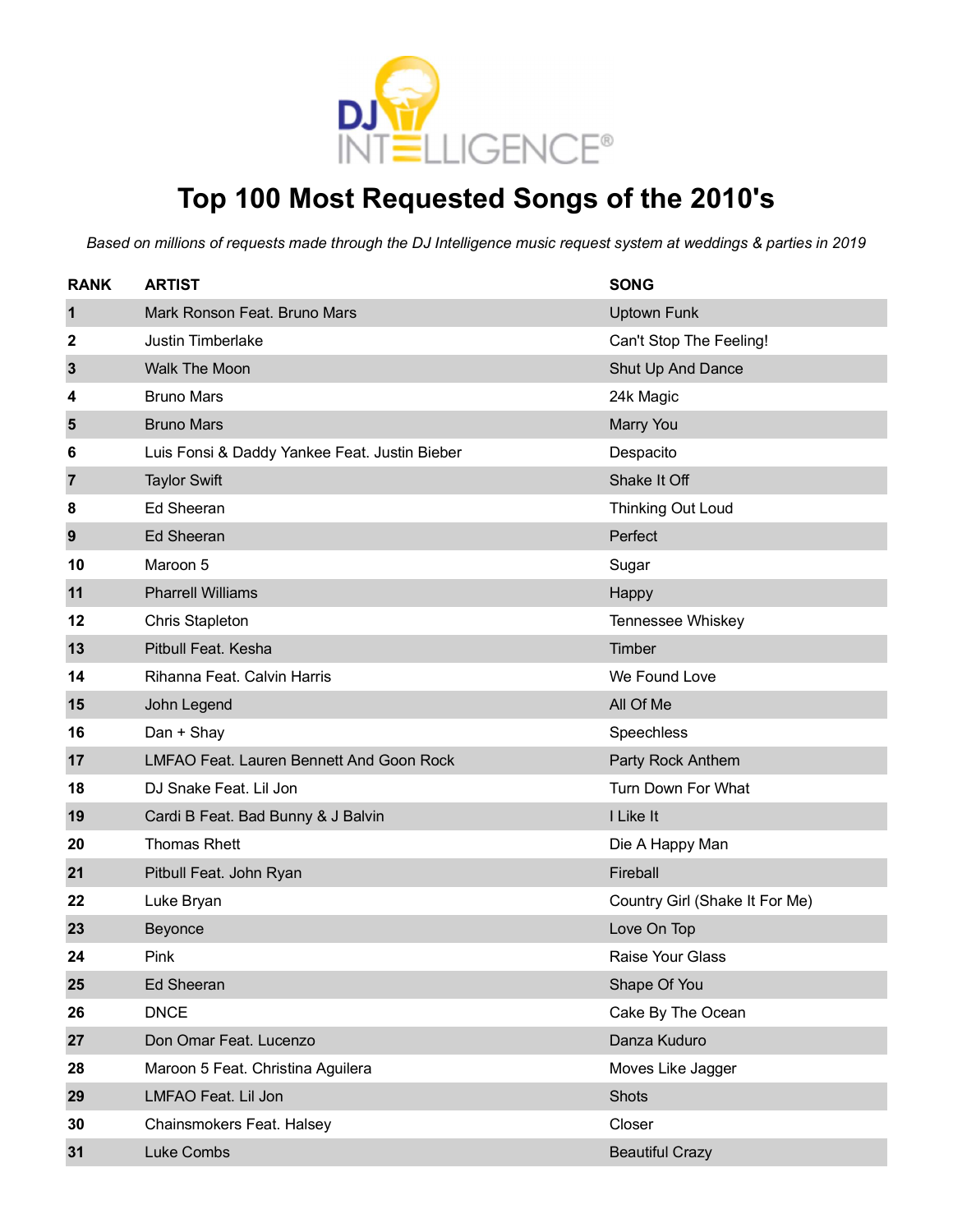

# **Top 100 Most Requested Songs of the 2010's**

| <b>RANK</b> | <b>ARTIST</b>                                   | <b>SONG</b>                    |
|-------------|-------------------------------------------------|--------------------------------|
| $\mathbf 1$ | Mark Ronson Feat. Bruno Mars                    | <b>Uptown Funk</b>             |
| 2           | <b>Justin Timberlake</b>                        | Can't Stop The Feeling!        |
| 3           | Walk The Moon                                   | Shut Up And Dance              |
| 4           | <b>Bruno Mars</b>                               | 24k Magic                      |
| 5           | <b>Bruno Mars</b>                               | Marry You                      |
| 6           | Luis Fonsi & Daddy Yankee Feat. Justin Bieber   | Despacito                      |
| 7           | <b>Taylor Swift</b>                             | Shake It Off                   |
| 8           | <b>Ed Sheeran</b>                               | Thinking Out Loud              |
| 9           | <b>Ed Sheeran</b>                               | Perfect                        |
| 10          | Maroon 5                                        | Sugar                          |
| 11          | <b>Pharrell Williams</b>                        | Happy                          |
| 12          | <b>Chris Stapleton</b>                          | Tennessee Whiskey              |
| 13          | Pitbull Feat. Kesha                             | Timber                         |
| 14          | Rihanna Feat. Calvin Harris                     | We Found Love                  |
| 15          | John Legend                                     | All Of Me                      |
| 16          | Dan + Shay                                      | Speechless                     |
| 17          | <b>LMFAO Feat. Lauren Bennett And Goon Rock</b> | Party Rock Anthem              |
| 18          | DJ Snake Feat. Lil Jon                          | Turn Down For What             |
| 19          | Cardi B Feat. Bad Bunny & J Balvin              | I Like It                      |
| 20          | <b>Thomas Rhett</b>                             | Die A Happy Man                |
| 21          | Pitbull Feat. John Ryan                         | Fireball                       |
| 22          | Luke Bryan                                      | Country Girl (Shake It For Me) |
| 23          | Beyonce                                         | Love On Top                    |
| 24          | Pink                                            | <b>Raise Your Glass</b>        |
| 25          | <b>Ed Sheeran</b>                               | Shape Of You                   |
| 26          | <b>DNCE</b>                                     | Cake By The Ocean              |
| 27          | Don Omar Feat. Lucenzo                          | Danza Kuduro                   |
| 28          | Maroon 5 Feat. Christina Aguilera               | Moves Like Jagger              |
| 29          | LMFAO Feat. Lil Jon                             | <b>Shots</b>                   |
| 30          | Chainsmokers Feat. Halsey                       | Closer                         |
| 31          | Luke Combs                                      | <b>Beautiful Crazy</b>         |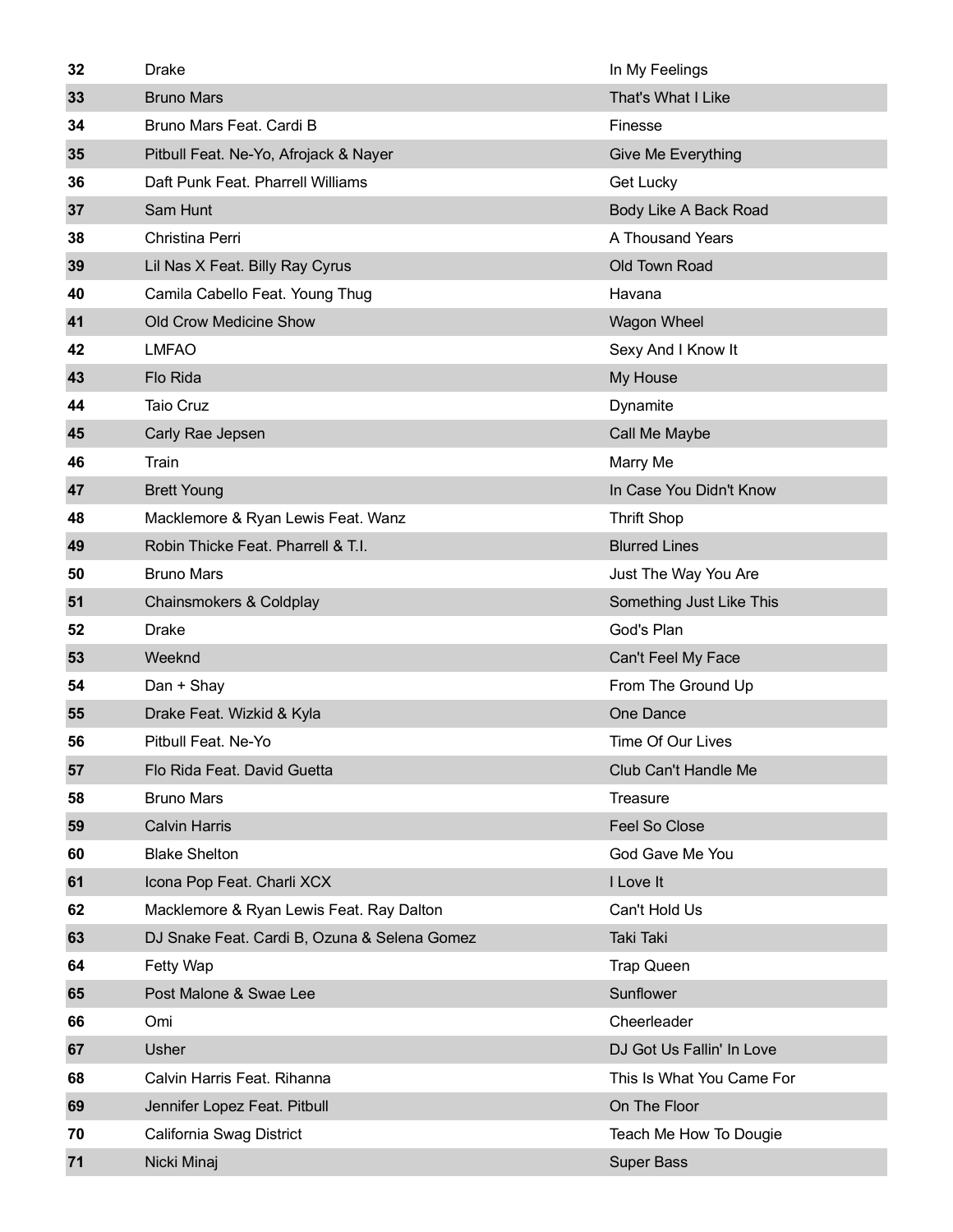| 32 | <b>Drake</b>                                 | In My Feelings            |
|----|----------------------------------------------|---------------------------|
| 33 | <b>Bruno Mars</b>                            | That's What I Like        |
| 34 | Bruno Mars Feat. Cardi B                     | Finesse                   |
| 35 | Pitbull Feat. Ne-Yo, Afrojack & Nayer        | Give Me Everything        |
| 36 | Daft Punk Feat. Pharrell Williams            | Get Lucky                 |
| 37 | Sam Hunt                                     | Body Like A Back Road     |
| 38 | Christina Perri                              | A Thousand Years          |
| 39 | Lil Nas X Feat. Billy Ray Cyrus              | Old Town Road             |
| 40 | Camila Cabello Feat. Young Thug              | Havana                    |
| 41 | Old Crow Medicine Show                       | Wagon Wheel               |
| 42 | <b>LMFAO</b>                                 | Sexy And I Know It        |
| 43 | Flo Rida                                     | My House                  |
| 44 | <b>Taio Cruz</b>                             | Dynamite                  |
| 45 | Carly Rae Jepsen                             | Call Me Maybe             |
| 46 | Train                                        | Marry Me                  |
| 47 | <b>Brett Young</b>                           | In Case You Didn't Know   |
| 48 | Macklemore & Ryan Lewis Feat. Wanz           | <b>Thrift Shop</b>        |
| 49 | Robin Thicke Feat. Pharrell & T.I.           | <b>Blurred Lines</b>      |
| 50 | <b>Bruno Mars</b>                            | Just The Way You Are      |
| 51 | Chainsmokers & Coldplay                      | Something Just Like This  |
| 52 | <b>Drake</b>                                 | God's Plan                |
| 53 | Weeknd                                       | Can't Feel My Face        |
| 54 | Dan + Shay                                   | From The Ground Up        |
| 55 | Drake Feat. Wizkid & Kyla                    | One Dance                 |
| 56 | Pitbull Feat. Ne-Yo                          | Time Of Our Lives         |
| 57 | Flo Rida Feat. David Guetta                  | Club Can't Handle Me      |
| 58 | <b>Bruno Mars</b>                            | Treasure                  |
| 59 | <b>Calvin Harris</b>                         | Feel So Close             |
| 60 | <b>Blake Shelton</b>                         | God Gave Me You           |
| 61 | Icona Pop Feat. Charli XCX                   | I Love It                 |
| 62 | Macklemore & Ryan Lewis Feat. Ray Dalton     | Can't Hold Us             |
| 63 | DJ Snake Feat. Cardi B, Ozuna & Selena Gomez | Taki Taki                 |
| 64 | Fetty Wap                                    | <b>Trap Queen</b>         |
| 65 | Post Malone & Swae Lee                       | Sunflower                 |
| 66 | Omi                                          | Cheerleader               |
| 67 | Usher                                        | DJ Got Us Fallin' In Love |
| 68 | Calvin Harris Feat. Rihanna                  | This Is What You Came For |
| 69 | Jennifer Lopez Feat. Pitbull                 | On The Floor              |
| 70 | California Swag District                     | Teach Me How To Dougie    |
| 71 | Nicki Minaj                                  | <b>Super Bass</b>         |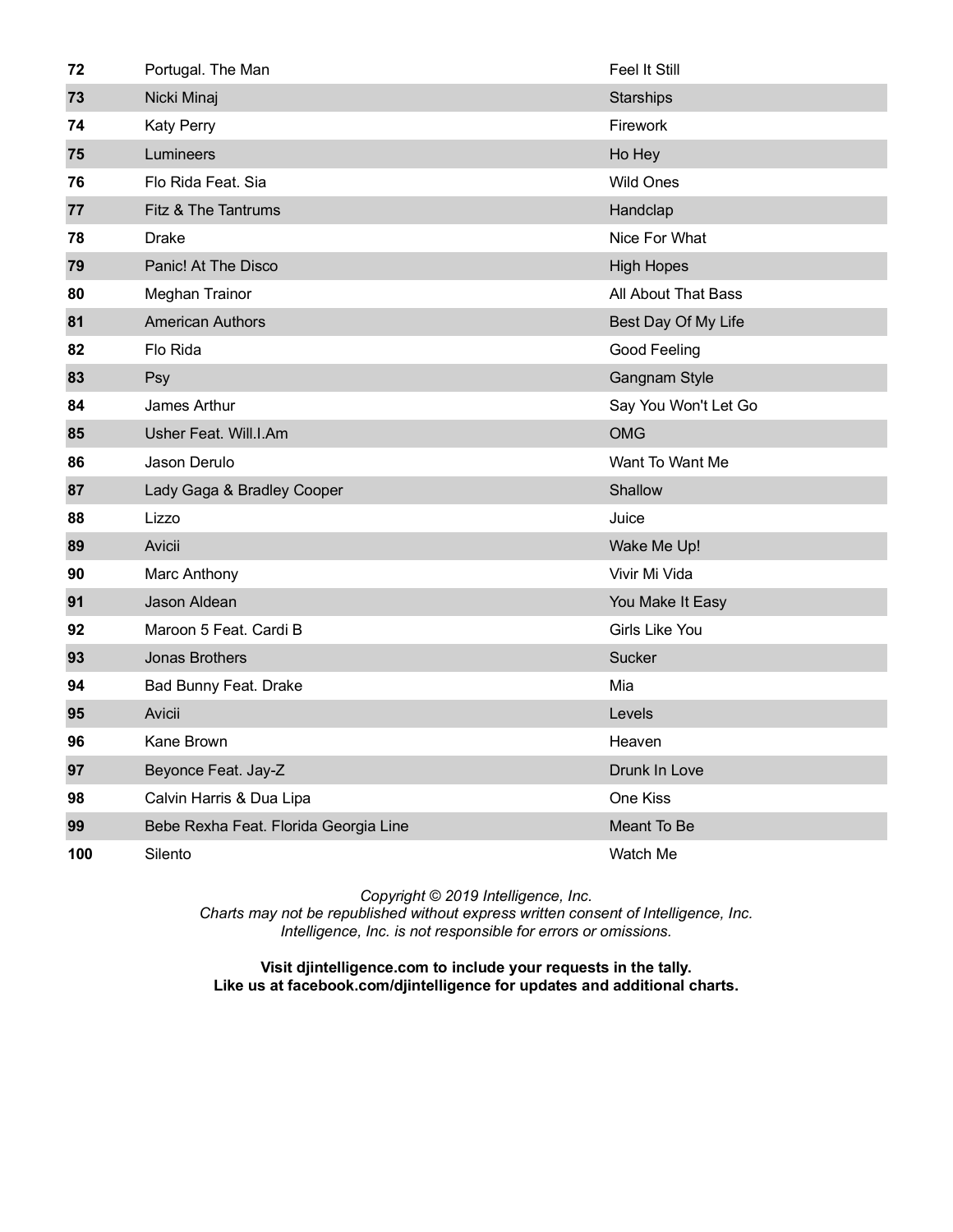| 72  | Portugal. The Man                     | <b>Feel It Still</b> |
|-----|---------------------------------------|----------------------|
| 73  | Nicki Minaj                           | Starships            |
| 74  | <b>Katy Perry</b>                     | Firework             |
| 75  | Lumineers                             | Ho Hey               |
| 76  | Flo Rida Feat. Sia                    | <b>Wild Ones</b>     |
| 77  | Fitz & The Tantrums                   | Handclap             |
| 78  | Drake                                 | Nice For What        |
| 79  | Panic! At The Disco                   | <b>High Hopes</b>    |
| 80  | <b>Meghan Trainor</b>                 | All About That Bass  |
| 81  | <b>American Authors</b>               | Best Day Of My Life  |
| 82  | Flo Rida                              | Good Feeling         |
| 83  | Psy                                   | Gangnam Style        |
| 84  | James Arthur                          | Say You Won't Let Go |
| 85  | Usher Feat. Will.I.Am                 | <b>OMG</b>           |
| 86  | Jason Derulo                          | Want To Want Me      |
| 87  | Lady Gaga & Bradley Cooper            | Shallow              |
| 88  | Lizzo                                 | Juice                |
| 89  | Avicii                                | Wake Me Up!          |
| 90  | Marc Anthony                          | Vivir Mi Vida        |
| 91  | Jason Aldean                          | You Make It Easy     |
| 92  | Maroon 5 Feat. Cardi B                | Girls Like You       |
| 93  | <b>Jonas Brothers</b>                 | Sucker               |
| 94  | Bad Bunny Feat. Drake                 | Mia                  |
| 95  | Avicii                                | Levels               |
| 96  | Kane Brown                            | Heaven               |
| 97  | Beyonce Feat. Jay-Z                   | Drunk In Love        |
| 98  | Calvin Harris & Dua Lipa              | One Kiss             |
| 99  | Bebe Rexha Feat. Florida Georgia Line | Meant To Be          |
| 100 | Silento                               | Watch Me             |

*Charts may not be republished without express written consent of Intelligence, Inc. Intelligence, Inc. is not responsible for errors or omissions.*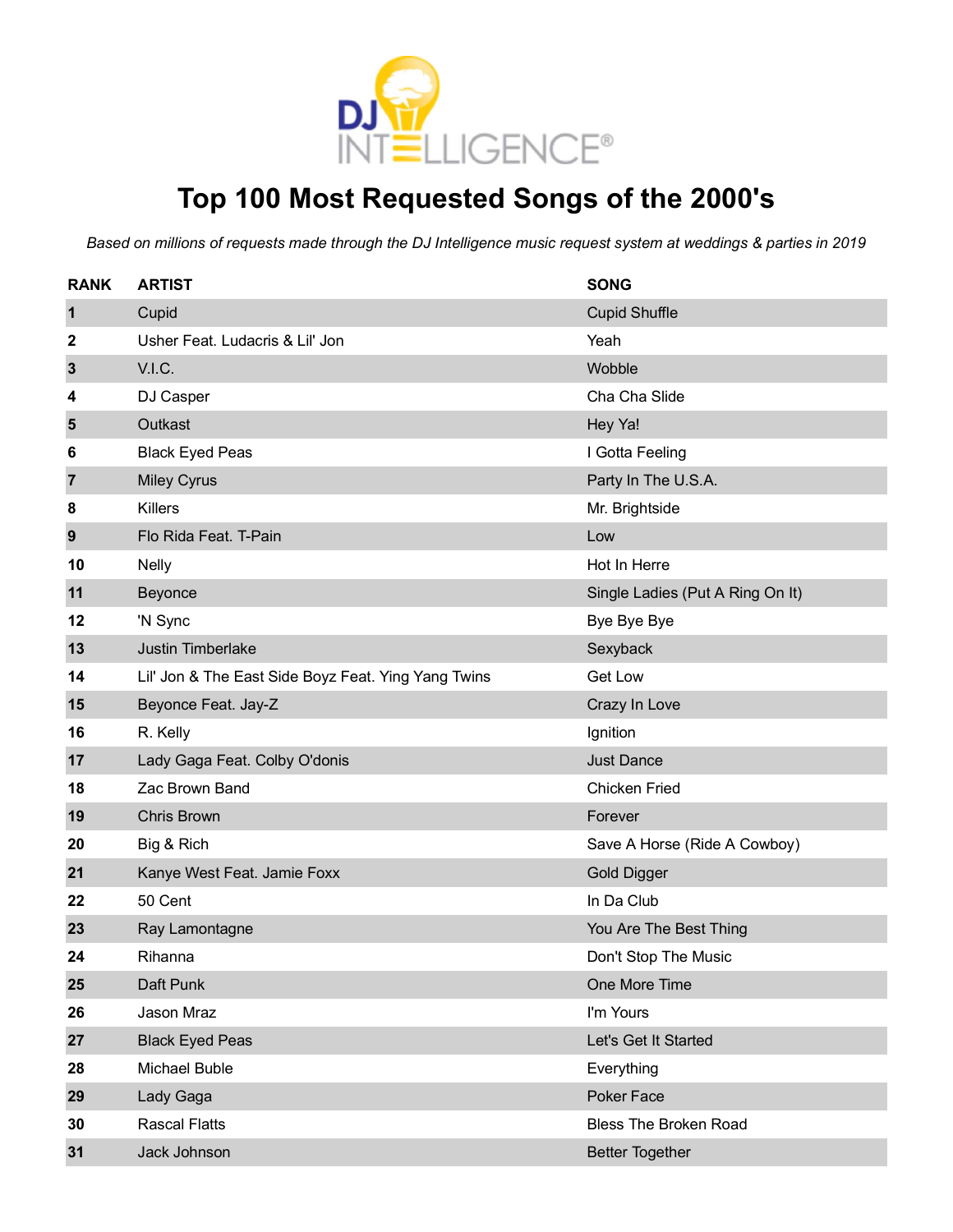

### **Top 100 Most Requested Songs of the 2000's**

| <b>RANK</b>  | <b>ARTIST</b>                                       | <b>SONG</b>                      |
|--------------|-----------------------------------------------------|----------------------------------|
| $\mathbf 1$  | Cupid                                               | <b>Cupid Shuffle</b>             |
| 2            | Usher Feat. Ludacris & Lil' Jon                     | Yeah                             |
| $\mathbf{3}$ | V.I.C.                                              | Wobble                           |
| 4            | DJ Casper                                           | Cha Cha Slide                    |
| 5            | Outkast                                             | Hey Ya!                          |
| 6            | <b>Black Eyed Peas</b>                              | I Gotta Feeling                  |
| 7            | <b>Miley Cyrus</b>                                  | Party In The U.S.A.              |
| 8            | Killers                                             | Mr. Brightside                   |
| 9            | Flo Rida Feat. T-Pain                               | Low                              |
| 10           | <b>Nelly</b>                                        | Hot In Herre                     |
| 11           | Beyonce                                             | Single Ladies (Put A Ring On It) |
| 12           | 'N Sync                                             | Bye Bye Bye                      |
| 13           | Justin Timberlake                                   | Sexyback                         |
| 14           | Lil' Jon & The East Side Boyz Feat. Ying Yang Twins | Get Low                          |
| 15           | Beyonce Feat. Jay-Z                                 | Crazy In Love                    |
| 16           | R. Kelly                                            | Ignition                         |
| 17           | Lady Gaga Feat. Colby O'donis                       | <b>Just Dance</b>                |
| 18           | Zac Brown Band                                      | <b>Chicken Fried</b>             |
| 19           | <b>Chris Brown</b>                                  | Forever                          |
| 20           | Big & Rich                                          | Save A Horse (Ride A Cowboy)     |
| 21           | Kanye West Feat. Jamie Foxx                         | <b>Gold Digger</b>               |
| 22           | 50 Cent                                             | In Da Club                       |
| 23           | Ray Lamontagne                                      | You Are The Best Thing           |
| 24           | Rihanna                                             | Don't Stop The Music             |
| 25           | Daft Punk                                           | One More Time                    |
| 26           | Jason Mraz                                          | I'm Yours                        |
| 27           | <b>Black Eyed Peas</b>                              | Let's Get It Started             |
| 28           | Michael Buble                                       | Everything                       |
| 29           | Lady Gaga                                           | Poker Face                       |
| 30           | <b>Rascal Flatts</b>                                | <b>Bless The Broken Road</b>     |
| 31           | Jack Johnson                                        | <b>Better Together</b>           |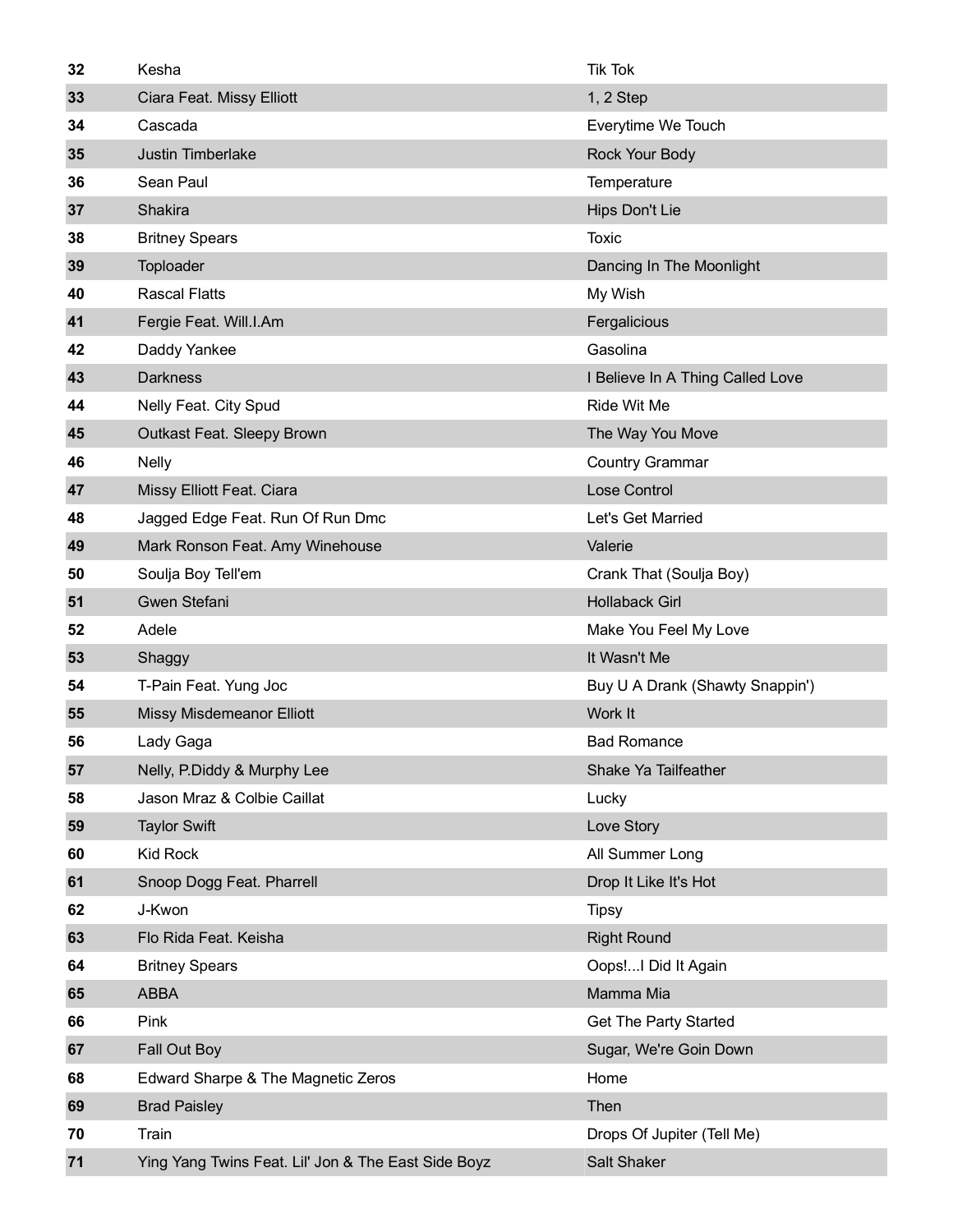| 32 | Kesha                              | <b>Tik Tok</b>                            |
|----|------------------------------------|-------------------------------------------|
| 33 | Ciara Feat. Missy Elliott          | 1, 2 Step                                 |
| 34 | Cascada                            | Everytime We Touch                        |
| 35 | Justin Timberlake                  | Rock Your Body                            |
| 36 | Sean Paul                          | Temperature                               |
| 37 | Shakira                            | Hips Don't Lie                            |
| 38 | <b>Britney Spears</b>              | Toxic                                     |
| 39 | Toploader                          | Dancing In The Moonlight                  |
| 40 | <b>Rascal Flatts</b>               | My Wish                                   |
| 41 | Fergie Feat. Will.I.Am             | Fergalicious                              |
| 42 | Daddy Yankee                       | Gasolina                                  |
| 43 | <b>Darkness</b>                    | I Believe In A Thing Called Love          |
| 44 | Nelly Feat. City Spud              | Ride Wit Me                               |
| 45 | Outkast Feat. Sleepy Brown         | The Way You Move                          |
| 46 | <b>Nelly</b>                       | <b>Country Grammar</b>                    |
| 47 | Missy Elliott Feat. Ciara          | Lose Control                              |
| 48 | Jagged Edge Feat. Run Of Run Dmc   | Let's Get Married                         |
| 49 | Mark Ronson Feat. Amy Winehouse    | Valerie                                   |
| 50 | Soulja Boy Tell'em                 | Crank That (Soulja Boy)                   |
| 51 | Gwen Stefani                       | <b>Hollaback Girl</b>                     |
|    |                                    |                                           |
| 52 | Adele                              | Make You Feel My Love                     |
| 53 | Shaggy                             | It Wasn't Me                              |
| 54 | T-Pain Feat. Yung Joc              | Buy U A Drank (Shawty Snappin')           |
| 55 | <b>Missy Misdemeanor Elliott</b>   | Work It                                   |
| 56 | Lady Gaga                          | <b>Bad Romance</b>                        |
| 57 | Nelly, P.Diddy & Murphy Lee        | Shake Ya Tailfeather                      |
| 58 | Jason Mraz & Colbie Caillat        | Lucky                                     |
| 59 | <b>Taylor Swift</b>                | Love Story                                |
| 60 | <b>Kid Rock</b>                    | All Summer Long                           |
| 61 | Snoop Dogg Feat. Pharrell          | Drop It Like It's Hot                     |
| 62 | J-Kwon                             | <b>Tipsy</b>                              |
| 63 | Flo Rida Feat. Keisha              | <b>Right Round</b>                        |
| 64 | <b>Britney Spears</b>              | Oops!I Did It Again                       |
| 65 | <b>ABBA</b>                        | Mamma Mia                                 |
| 66 | Pink                               | Get The Party Started                     |
| 67 | Fall Out Boy                       | Sugar, We're Goin Down                    |
| 68 | Edward Sharpe & The Magnetic Zeros | Home                                      |
| 69 | <b>Brad Paisley</b>                | Then                                      |
| 70 | Train                              | Drops Of Jupiter (Tell Me)<br>Salt Shaker |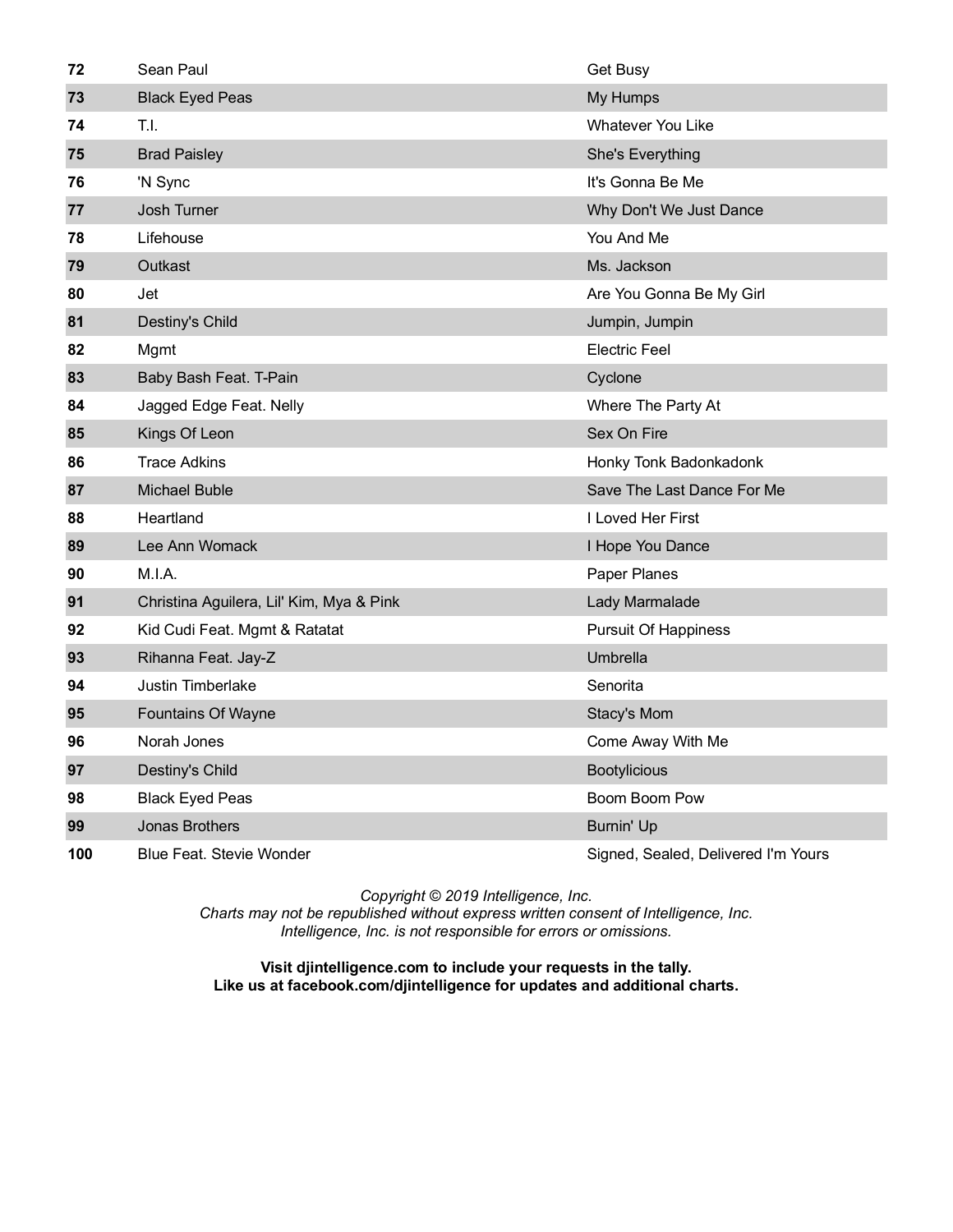| 72  | Sean Paul                                | Get Busy                            |
|-----|------------------------------------------|-------------------------------------|
| 73  | <b>Black Eyed Peas</b>                   | My Humps                            |
| 74  | T.I.                                     | <b>Whatever You Like</b>            |
| 75  | <b>Brad Paisley</b>                      | She's Everything                    |
| 76  | 'N Sync                                  | It's Gonna Be Me                    |
| 77  | Josh Turner                              | Why Don't We Just Dance             |
| 78  | Lifehouse                                | You And Me                          |
| 79  | Outkast                                  | Ms. Jackson                         |
| 80  | Jet                                      | Are You Gonna Be My Girl            |
| 81  | Destiny's Child                          | Jumpin, Jumpin                      |
| 82  | Mgmt                                     | Electric Feel                       |
| 83  | Baby Bash Feat. T-Pain                   | Cyclone                             |
| 84  | Jagged Edge Feat. Nelly                  | Where The Party At                  |
| 85  | Kings Of Leon                            | Sex On Fire                         |
| 86  | <b>Trace Adkins</b>                      | Honky Tonk Badonkadonk              |
| 87  | <b>Michael Buble</b>                     | Save The Last Dance For Me          |
| 88  | Heartland                                | I Loved Her First                   |
| 89  | Lee Ann Womack                           | I Hope You Dance                    |
| 90  | M.I.A.                                   | Paper Planes                        |
| 91  | Christina Aguilera, Lil' Kim, Mya & Pink | Lady Marmalade                      |
| 92  | Kid Cudi Feat. Mgmt & Ratatat            | <b>Pursuit Of Happiness</b>         |
| 93  | Rihanna Feat. Jay-Z                      | <b>Umbrella</b>                     |
| 94  | Justin Timberlake                        | Senorita                            |
| 95  | <b>Fountains Of Wayne</b>                | Stacy's Mom                         |
| 96  | Norah Jones                              | Come Away With Me                   |
| 97  | Destiny's Child                          | <b>Bootylicious</b>                 |
| 98  | <b>Black Eyed Peas</b>                   | Boom Boom Pow                       |
| 99  | Jonas Brothers                           | <b>Burnin' Up</b>                   |
| 100 | <b>Blue Feat. Stevie Wonder</b>          | Signed, Sealed, Delivered I'm Yours |

*Charts may not be republished without express written consent of Intelligence, Inc. Intelligence, Inc. is not responsible for errors or omissions.*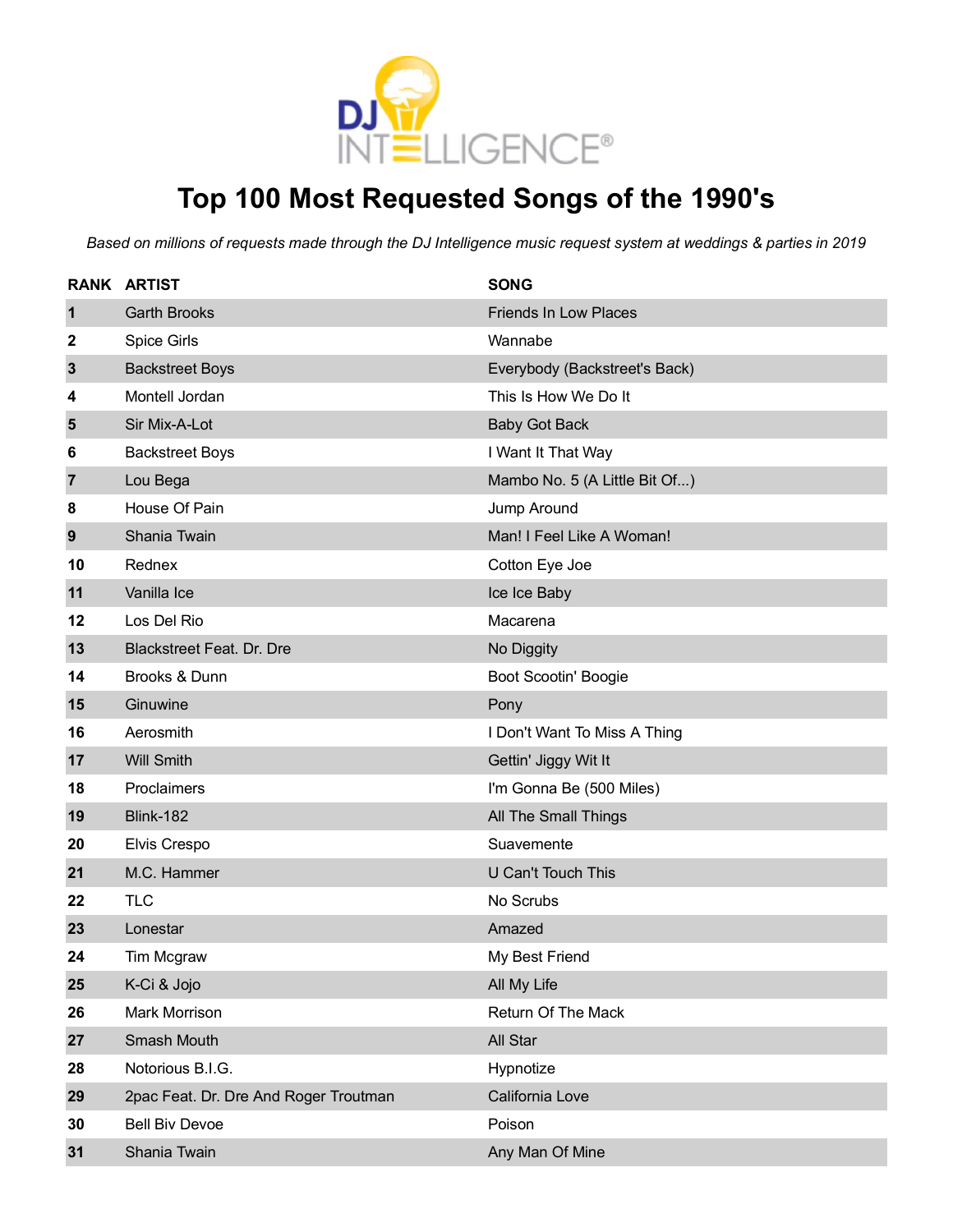

# **Top 100 Most Requested Songs of the 1990's**

|                | <b>RANK ARTIST</b>                    | <b>SONG</b>                   |
|----------------|---------------------------------------|-------------------------------|
| $\mathbf{1}$   | <b>Garth Brooks</b>                   | <b>Friends In Low Places</b>  |
| 2              | Spice Girls                           | Wannabe                       |
| $\mathbf{3}$   | <b>Backstreet Boys</b>                | Everybody (Backstreet's Back) |
| 4              | Montell Jordan                        | This Is How We Do It          |
| $5\phantom{1}$ | Sir Mix-A-Lot                         | <b>Baby Got Back</b>          |
| 6              | <b>Backstreet Boys</b>                | I Want It That Way            |
| $\overline{7}$ | Lou Bega                              | Mambo No. 5 (A Little Bit Of) |
| 8              | House Of Pain                         | Jump Around                   |
| 9              | Shania Twain                          | Man! I Feel Like A Woman!     |
| 10             | Rednex                                | Cotton Eye Joe                |
| 11             | Vanilla Ice                           | Ice Ice Baby                  |
| 12             | Los Del Rio                           | Macarena                      |
| 13             | <b>Blackstreet Feat. Dr. Dre</b>      | No Diggity                    |
| 14             | Brooks & Dunn                         | <b>Boot Scootin' Boogie</b>   |
| 15             | Ginuwine                              | Pony                          |
| 16             | Aerosmith                             | I Don't Want To Miss A Thing  |
| 17             | <b>Will Smith</b>                     | Gettin' Jiggy Wit It          |
| 18             | Proclaimers                           | I'm Gonna Be (500 Miles)      |
| 19             | <b>Blink-182</b>                      | <b>All The Small Things</b>   |
| 20             | Elvis Crespo                          | Suavemente                    |
| 21             | M.C. Hammer                           | U Can't Touch This            |
| 22             | <b>TLC</b>                            | No Scrubs                     |
| 23             | Lonestar                              | Amazed                        |
| 24             | Tim Mcgraw                            | My Best Friend                |
| 25             | K-Ci & Jojo                           | All My Life                   |
| 26             | <b>Mark Morrison</b>                  | Return Of The Mack            |
| 27             | Smash Mouth                           | All Star                      |
| 28             | Notorious B.I.G.                      | Hypnotize                     |
| 29             | 2pac Feat. Dr. Dre And Roger Troutman | California Love               |
| 30             | <b>Bell Biv Devoe</b>                 | Poison                        |
| 31             | Shania Twain                          | Any Man Of Mine               |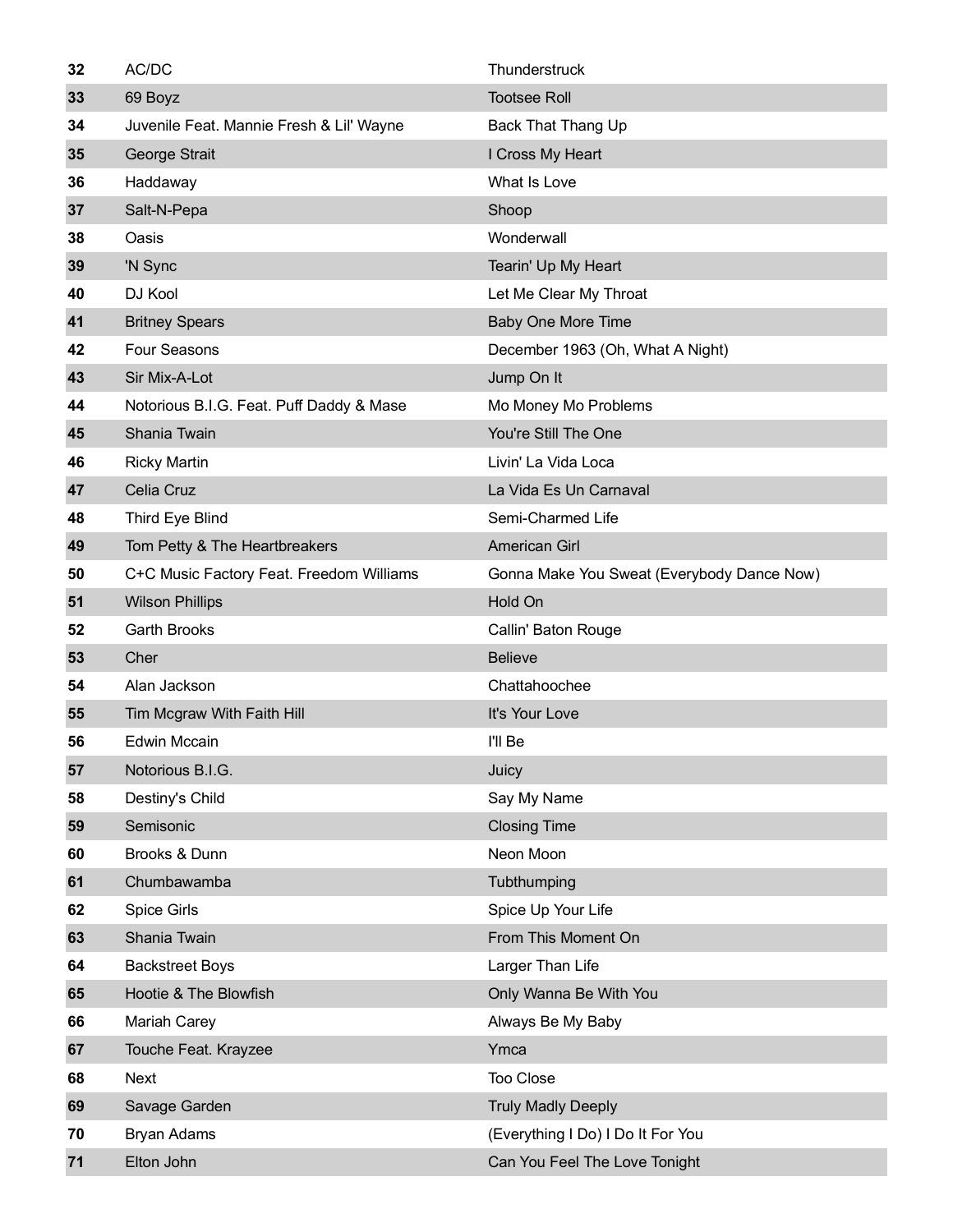| 32 | AC/DC                                    | Thunderstruck                              |
|----|------------------------------------------|--------------------------------------------|
| 33 | 69 Boyz                                  | <b>Tootsee Roll</b>                        |
| 34 | Juvenile Feat. Mannie Fresh & Lil' Wayne | <b>Back That Thang Up</b>                  |
| 35 | George Strait                            | I Cross My Heart                           |
| 36 | Haddaway                                 | What Is Love                               |
| 37 | Salt-N-Pepa                              | Shoop                                      |
| 38 | Oasis                                    | Wonderwall                                 |
| 39 | 'N Sync                                  | Tearin' Up My Heart                        |
| 40 | DJ Kool                                  | Let Me Clear My Throat                     |
| 41 | <b>Britney Spears</b>                    | <b>Baby One More Time</b>                  |
| 42 | <b>Four Seasons</b>                      | December 1963 (Oh, What A Night)           |
| 43 | Sir Mix-A-Lot                            | Jump On It                                 |
| 44 | Notorious B.I.G. Feat. Puff Daddy & Mase | Mo Money Mo Problems                       |
| 45 | Shania Twain                             | You're Still The One                       |
| 46 | <b>Ricky Martin</b>                      | Livin' La Vida Loca                        |
| 47 | Celia Cruz                               | La Vida Es Un Carnaval                     |
| 48 | Third Eye Blind                          | Semi-Charmed Life                          |
| 49 | Tom Petty & The Heartbreakers            | <b>American Girl</b>                       |
| 50 | C+C Music Factory Feat. Freedom Williams | Gonna Make You Sweat (Everybody Dance Now) |
| 51 | <b>Wilson Phillips</b>                   | Hold On                                    |
| 52 | <b>Garth Brooks</b>                      | Callin' Baton Rouge                        |
| 53 | Cher                                     | <b>Believe</b>                             |
| 54 | Alan Jackson                             | Chattahoochee                              |
| 55 | Tim Mcgraw With Faith Hill               | It's Your Love                             |
| 56 | <b>Edwin Mccain</b>                      | I'll Be                                    |
| 57 | Notorious B.I.G.                         | Juicy                                      |
| 58 | Destiny's Child                          | Say My Name                                |
| 59 | Semisonic                                | <b>Closing Time</b>                        |
| 60 | Brooks & Dunn                            | Neon Moon                                  |
| 61 | Chumbawamba                              | Tubthumping                                |
| 62 | Spice Girls                              | Spice Up Your Life                         |
| 63 | Shania Twain                             | From This Moment On                        |
| 64 | <b>Backstreet Boys</b>                   | Larger Than Life                           |
| 65 | Hootie & The Blowfish                    | Only Wanna Be With You                     |
| 66 | Mariah Carey                             | Always Be My Baby                          |
| 67 | Touche Feat. Krayzee                     | Ymca                                       |
| 68 | Next                                     | Too Close                                  |
| 69 | Savage Garden                            | <b>Truly Madly Deeply</b>                  |
| 70 | <b>Bryan Adams</b>                       | (Everything I Do) I Do It For You          |
| 71 | Elton John                               | Can You Feel The Love Tonight              |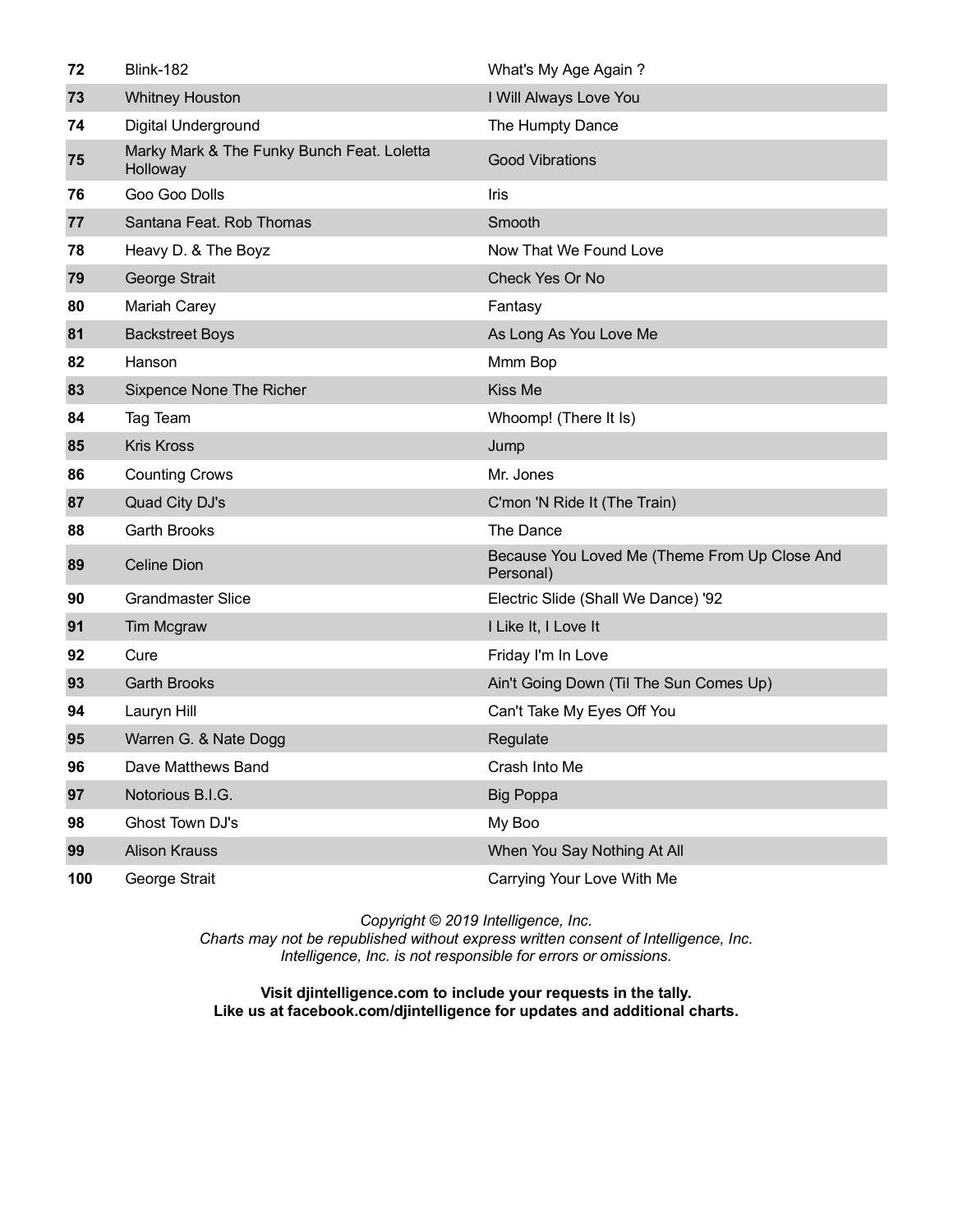| 72  | <b>Blink-182</b>                                       | What's My Age Again?                                       |
|-----|--------------------------------------------------------|------------------------------------------------------------|
| 73  | <b>Whitney Houston</b>                                 | I Will Always Love You                                     |
| 74  | Digital Underground                                    | The Humpty Dance                                           |
| 75  | Marky Mark & The Funky Bunch Feat. Loletta<br>Holloway | <b>Good Vibrations</b>                                     |
| 76  | Goo Goo Dolls                                          | Iris                                                       |
| 77  | Santana Feat. Rob Thomas                               | Smooth                                                     |
| 78  | Heavy D. & The Boyz                                    | Now That We Found Love                                     |
| 79  | George Strait                                          | Check Yes Or No                                            |
| 80  | <b>Mariah Carey</b>                                    | Fantasy                                                    |
| 81  | <b>Backstreet Boys</b>                                 | As Long As You Love Me                                     |
| 82  | Hanson                                                 | Mmm Bop                                                    |
| 83  | Sixpence None The Richer                               | Kiss Me                                                    |
| 84  | Tag Team                                               | Whoomp! (There It Is)                                      |
| 85  | <b>Kris Kross</b>                                      | Jump                                                       |
| 86  | <b>Counting Crows</b>                                  | Mr. Jones                                                  |
| 87  | Quad City DJ's                                         | C'mon 'N Ride It (The Train)                               |
| 88  | <b>Garth Brooks</b>                                    | The Dance                                                  |
| 89  | <b>Celine Dion</b>                                     | Because You Loved Me (Theme From Up Close And<br>Personal) |
| 90  | <b>Grandmaster Slice</b>                               | Electric Slide (Shall We Dance) '92                        |
| 91  | Tim Mcgraw                                             | I Like It, I Love It                                       |
| 92  | Cure                                                   | Friday I'm In Love                                         |
| 93  | <b>Garth Brooks</b>                                    | Ain't Going Down (Til The Sun Comes Up)                    |
| 94  | Lauryn Hill                                            | Can't Take My Eyes Off You                                 |
| 95  | Warren G. & Nate Dogg                                  | Regulate                                                   |
| 96  | Dave Matthews Band                                     | Crash Into Me                                              |
| 97  | Notorious B.I.G.                                       | <b>Big Poppa</b>                                           |
| 98  | Ghost Town DJ's                                        | My Boo                                                     |
| 99  | <b>Alison Krauss</b>                                   | When You Say Nothing At All                                |
| 100 | George Strait                                          | Carrying Your Love With Me                                 |

*Copyright © 2019 Intelligence, Inc. Charts may not be republished without express written consent of Intelligence, Inc. Intelligence, Inc. is not responsible for errors or omissions.*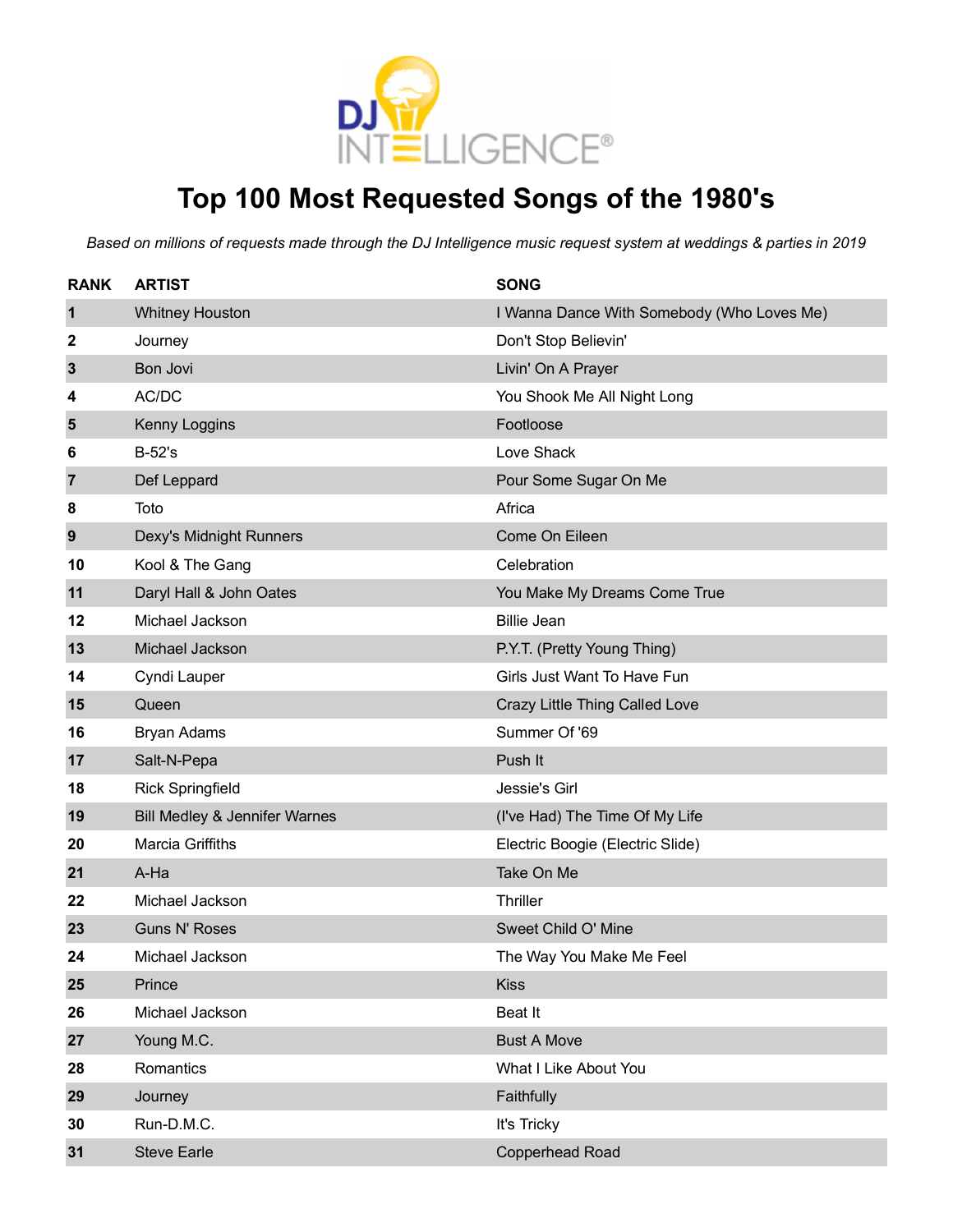

# **Top 100 Most Requested Songs of the 1980's**

| <b>RANK</b>    | <b>ARTIST</b>                 | <b>SONG</b>                                |
|----------------|-------------------------------|--------------------------------------------|
| 1              | <b>Whitney Houston</b>        | I Wanna Dance With Somebody (Who Loves Me) |
| 2              | Journey                       | Don't Stop Believin'                       |
| $\mathbf{3}$   | Bon Jovi                      | Livin' On A Prayer                         |
| 4              | AC/DC                         | You Shook Me All Night Long                |
| 5              | Kenny Loggins                 | Footloose                                  |
| 6              | $B-52's$                      | Love Shack                                 |
| $\overline{7}$ | Def Leppard                   | Pour Some Sugar On Me                      |
| 8              | Toto                          | Africa                                     |
| 9              | Dexy's Midnight Runners       | Come On Eileen                             |
| 10             | Kool & The Gang               | Celebration                                |
| 11             | Daryl Hall & John Oates       | You Make My Dreams Come True               |
| 12             | Michael Jackson               | <b>Billie Jean</b>                         |
| 13             | Michael Jackson               | P.Y.T. (Pretty Young Thing)                |
| 14             | Cyndi Lauper                  | Girls Just Want To Have Fun                |
| 15             | Queen                         | Crazy Little Thing Called Love             |
| 16             | <b>Bryan Adams</b>            | Summer Of '69                              |
| 17             | Salt-N-Pepa                   | Push It                                    |
| 18             | <b>Rick Springfield</b>       | Jessie's Girl                              |
| 19             | Bill Medley & Jennifer Warnes | (I've Had) The Time Of My Life             |
| 20             | <b>Marcia Griffiths</b>       | Electric Boogie (Electric Slide)           |
| 21             | A-Ha                          | Take On Me                                 |
| 22             | Michael Jackson               | Thriller                                   |
| 23             | <b>Guns N' Roses</b>          | Sweet Child O' Mine                        |
| 24             | Michael Jackson               | The Way You Make Me Feel                   |
| 25             | Prince                        | <b>Kiss</b>                                |
| 26             | Michael Jackson               | Beat It                                    |
| 27             | Young M.C.                    | <b>Bust A Move</b>                         |
| 28             | Romantics                     | What I Like About You                      |
| 29             | Journey                       | Faithfully                                 |
| 30             | Run-D.M.C.                    | It's Tricky                                |
| 31             | <b>Steve Earle</b>            | Copperhead Road                            |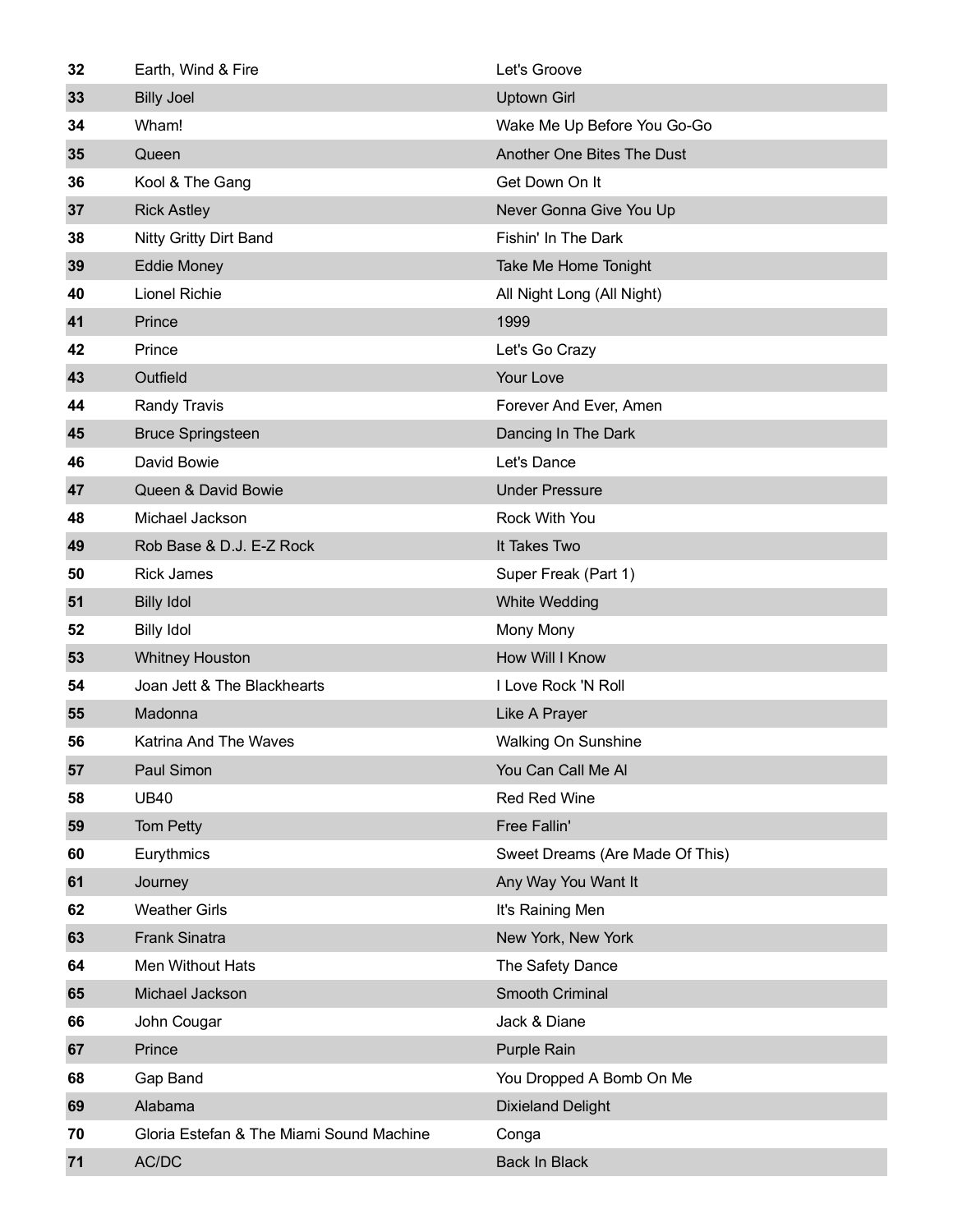| 32 | Earth, Wind & Fire                       | Let's Groove                    |
|----|------------------------------------------|---------------------------------|
| 33 | <b>Billy Joel</b>                        | <b>Uptown Girl</b>              |
| 34 | Wham!                                    | Wake Me Up Before You Go-Go     |
| 35 | Queen                                    | Another One Bites The Dust      |
| 36 | Kool & The Gang                          | Get Down On It                  |
| 37 | <b>Rick Astley</b>                       | Never Gonna Give You Up         |
| 38 | <b>Nitty Gritty Dirt Band</b>            | Fishin' In The Dark             |
| 39 | <b>Eddie Money</b>                       | Take Me Home Tonight            |
| 40 | <b>Lionel Richie</b>                     | All Night Long (All Night)      |
| 41 | Prince                                   | 1999                            |
| 42 | Prince                                   | Let's Go Crazy                  |
| 43 | Outfield                                 | Your Love                       |
| 44 | <b>Randy Travis</b>                      | Forever And Ever, Amen          |
| 45 | <b>Bruce Springsteen</b>                 | Dancing In The Dark             |
| 46 | David Bowie                              | Let's Dance                     |
| 47 | Queen & David Bowie                      | <b>Under Pressure</b>           |
| 48 | Michael Jackson                          | Rock With You                   |
| 49 | Rob Base & D.J. E-Z Rock                 | It Takes Two                    |
| 50 | <b>Rick James</b>                        | Super Freak (Part 1)            |
| 51 | <b>Billy Idol</b>                        | <b>White Wedding</b>            |
| 52 | <b>Billy Idol</b>                        | Mony Mony                       |
| 53 | <b>Whitney Houston</b>                   | <b>How Will I Know</b>          |
| 54 | Joan Jett & The Blackhearts              | I Love Rock 'N Roll             |
| 55 | Madonna                                  | Like A Prayer                   |
| 56 | <b>Katrina And The Waves</b>             | <b>Walking On Sunshine</b>      |
| 57 | Paul Simon                               | You Can Call Me Al              |
| 58 | <b>UB40</b>                              | Red Red Wine                    |
| 59 | Tom Petty                                | Free Fallin'                    |
| 60 | Eurythmics                               | Sweet Dreams (Are Made Of This) |
| 61 | Journey                                  | Any Way You Want It             |
| 62 | <b>Weather Girls</b>                     | It's Raining Men                |
| 63 | <b>Frank Sinatra</b>                     | New York, New York              |
| 64 | Men Without Hats                         | The Safety Dance                |
| 65 | Michael Jackson                          | Smooth Criminal                 |
| 66 | John Cougar                              | Jack & Diane                    |
| 67 | Prince                                   | <b>Purple Rain</b>              |
| 68 | Gap Band                                 | You Dropped A Bomb On Me        |
| 69 | Alabama                                  | <b>Dixieland Delight</b>        |
| 70 | Gloria Estefan & The Miami Sound Machine | Conga                           |
| 71 | AC/DC                                    | <b>Back In Black</b>            |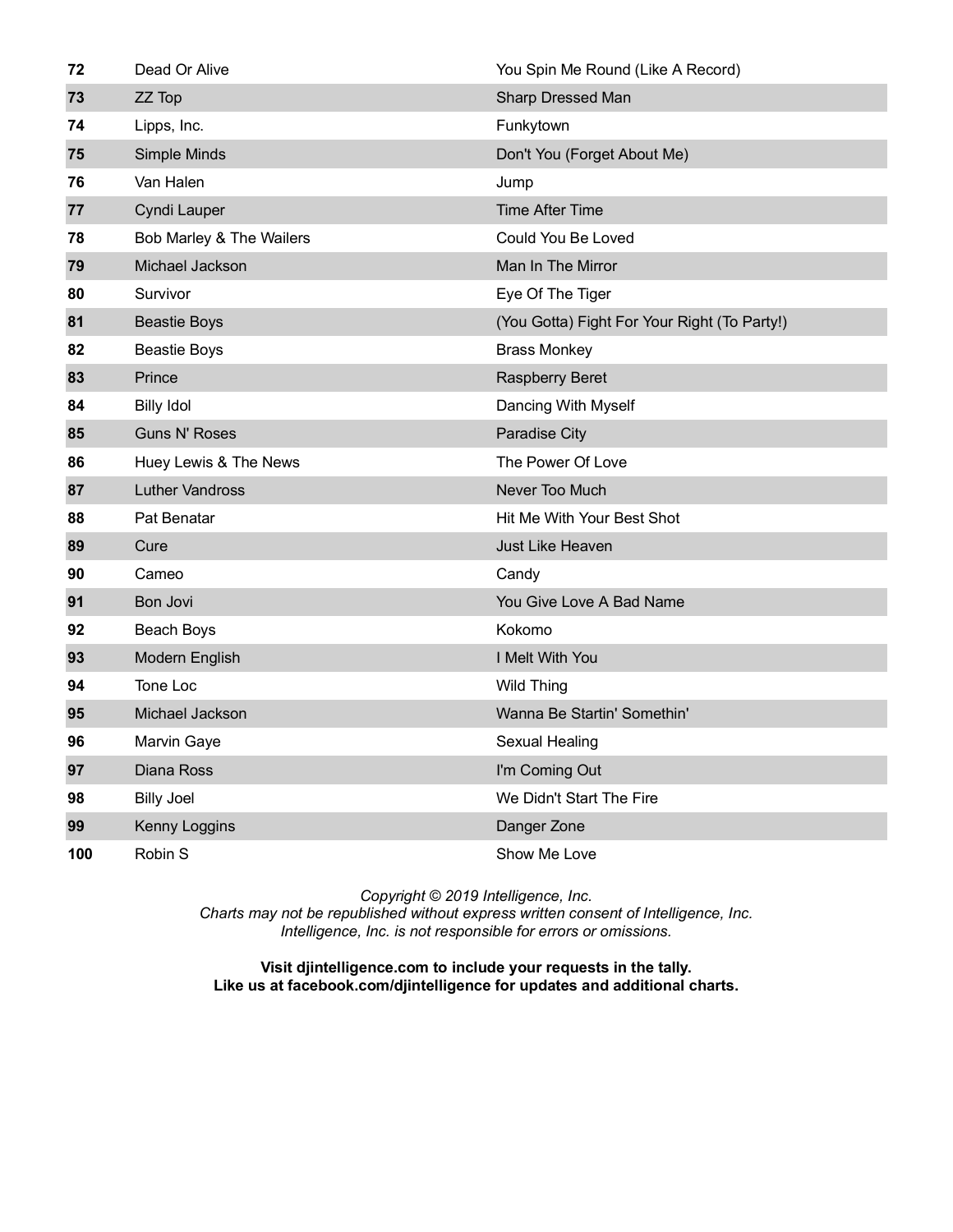| 72  | Dead Or Alive            | You Spin Me Round (Like A Record)            |
|-----|--------------------------|----------------------------------------------|
| 73  | ZZ Top                   | Sharp Dressed Man                            |
| 74  | Lipps, Inc.              | Funkytown                                    |
| 75  | Simple Minds             | Don't You (Forget About Me)                  |
| 76  | Van Halen                | Jump                                         |
| 77  | Cyndi Lauper             | <b>Time After Time</b>                       |
| 78  | Bob Marley & The Wailers | Could You Be Loved                           |
| 79  | Michael Jackson          | Man In The Mirror                            |
| 80  | Survivor                 | Eye Of The Tiger                             |
| 81  | <b>Beastie Boys</b>      | (You Gotta) Fight For Your Right (To Party!) |
| 82  | Beastie Boys             | <b>Brass Monkey</b>                          |
| 83  | Prince                   | <b>Raspberry Beret</b>                       |
| 84  | <b>Billy Idol</b>        | Dancing With Myself                          |
| 85  | <b>Guns N' Roses</b>     | Paradise City                                |
| 86  | Huey Lewis & The News    | The Power Of Love                            |
| 87  | <b>Luther Vandross</b>   | Never Too Much                               |
| 88  | Pat Benatar              | Hit Me With Your Best Shot                   |
| 89  | Cure                     | <b>Just Like Heaven</b>                      |
| 90  | Cameo                    | Candy                                        |
| 91  | Bon Jovi                 | You Give Love A Bad Name                     |
| 92  | Beach Boys               | Kokomo                                       |
| 93  | Modern English           | I Melt With You                              |
| 94  | Tone Loc                 | <b>Wild Thing</b>                            |
| 95  | Michael Jackson          | Wanna Be Startin' Somethin'                  |
| 96  | Marvin Gaye              | Sexual Healing                               |
| 97  | Diana Ross               | I'm Coming Out                               |
| 98  | <b>Billy Joel</b>        | We Didn't Start The Fire                     |
| 99  | Kenny Loggins            | Danger Zone                                  |
| 100 | Robin S                  | Show Me Love                                 |

*Charts may not be republished without express written consent of Intelligence, Inc. Intelligence, Inc. is not responsible for errors or omissions.*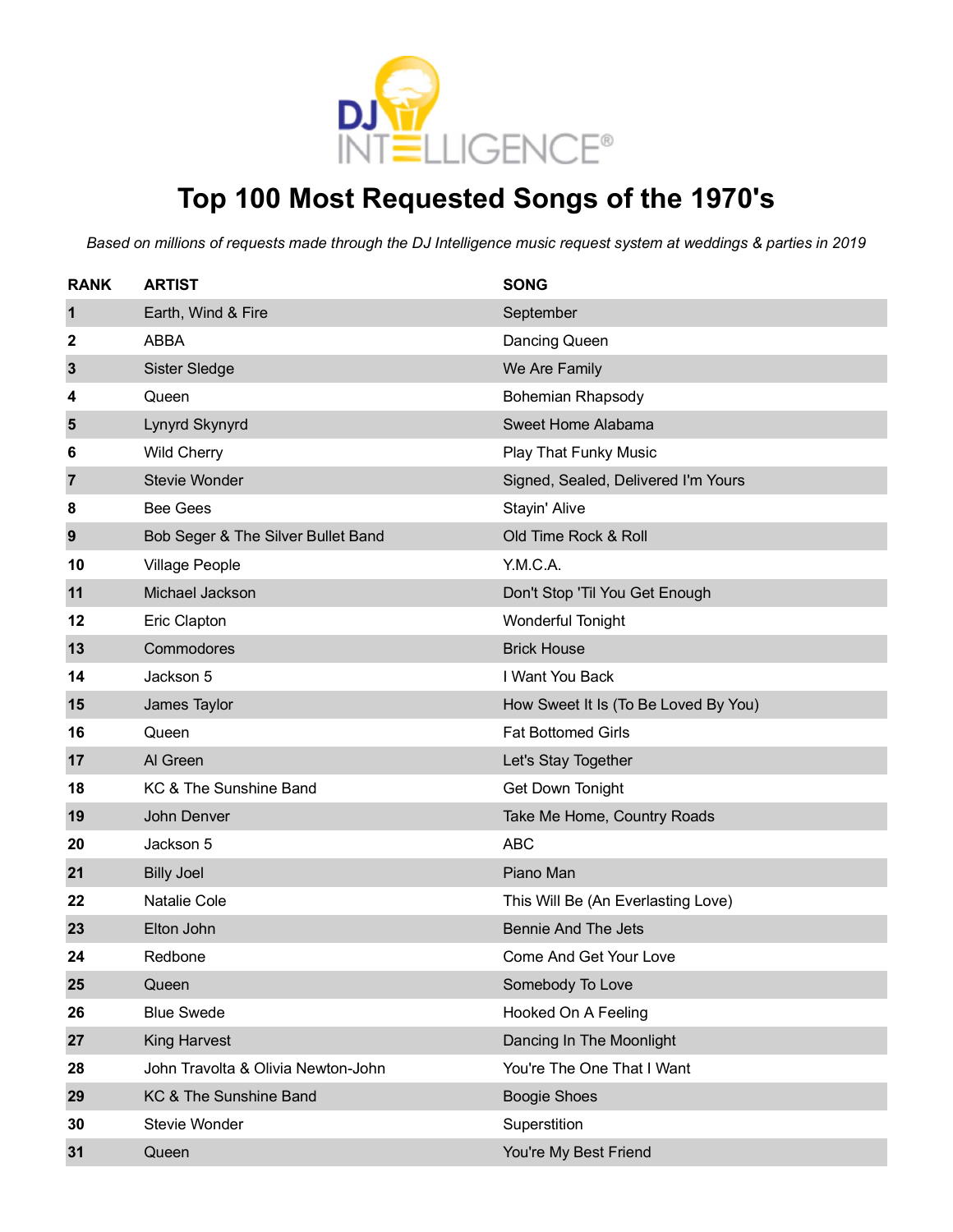

# **Top 100 Most Requested Songs of the 1970's**

| <b>RANK</b>    | <b>ARTIST</b>                      | <b>SONG</b>                          |
|----------------|------------------------------------|--------------------------------------|
| 1              | Earth, Wind & Fire                 | September                            |
| 2              | <b>ABBA</b>                        | Dancing Queen                        |
| 3              | Sister Sledge                      | We Are Family                        |
| 4              | Queen                              | <b>Bohemian Rhapsody</b>             |
| 5              | Lynyrd Skynyrd                     | Sweet Home Alabama                   |
| 6              | <b>Wild Cherry</b>                 | <b>Play That Funky Music</b>         |
| $\overline{7}$ | <b>Stevie Wonder</b>               | Signed, Sealed, Delivered I'm Yours  |
| 8              | <b>Bee Gees</b>                    | Stayin' Alive                        |
| 9              | Bob Seger & The Silver Bullet Band | Old Time Rock & Roll                 |
| 10             | <b>Village People</b>              | Y.M.C.A.                             |
| 11             | Michael Jackson                    | Don't Stop 'Til You Get Enough       |
| 12             | Eric Clapton                       | Wonderful Tonight                    |
| 13             | Commodores                         | <b>Brick House</b>                   |
| 14             | Jackson 5                          | I Want You Back                      |
| 15             | James Taylor                       | How Sweet It Is (To Be Loved By You) |
| 16             | Queen                              | <b>Fat Bottomed Girls</b>            |
| 17             | Al Green                           | Let's Stay Together                  |
| 18             | KC & The Sunshine Band             | Get Down Tonight                     |
| 19             | John Denver                        | Take Me Home, Country Roads          |
| 20             | Jackson 5                          | <b>ABC</b>                           |
| 21             | <b>Billy Joel</b>                  | Piano Man                            |
| 22             | <b>Natalie Cole</b>                | This Will Be (An Everlasting Love)   |
| 23             | Elton John                         | <b>Bennie And The Jets</b>           |
| 24             | Redbone                            | <b>Come And Get Your Love</b>        |
| 25             | Queen                              | Somebody To Love                     |
| 26             | <b>Blue Swede</b>                  | Hooked On A Feeling                  |
| 27             | <b>King Harvest</b>                | Dancing In The Moonlight             |
| 28             | John Travolta & Olivia Newton-John | You're The One That I Want           |
| 29             | KC & The Sunshine Band             | <b>Boogie Shoes</b>                  |
| 30             | Stevie Wonder                      | Superstition                         |
| 31             | Queen                              | You're My Best Friend                |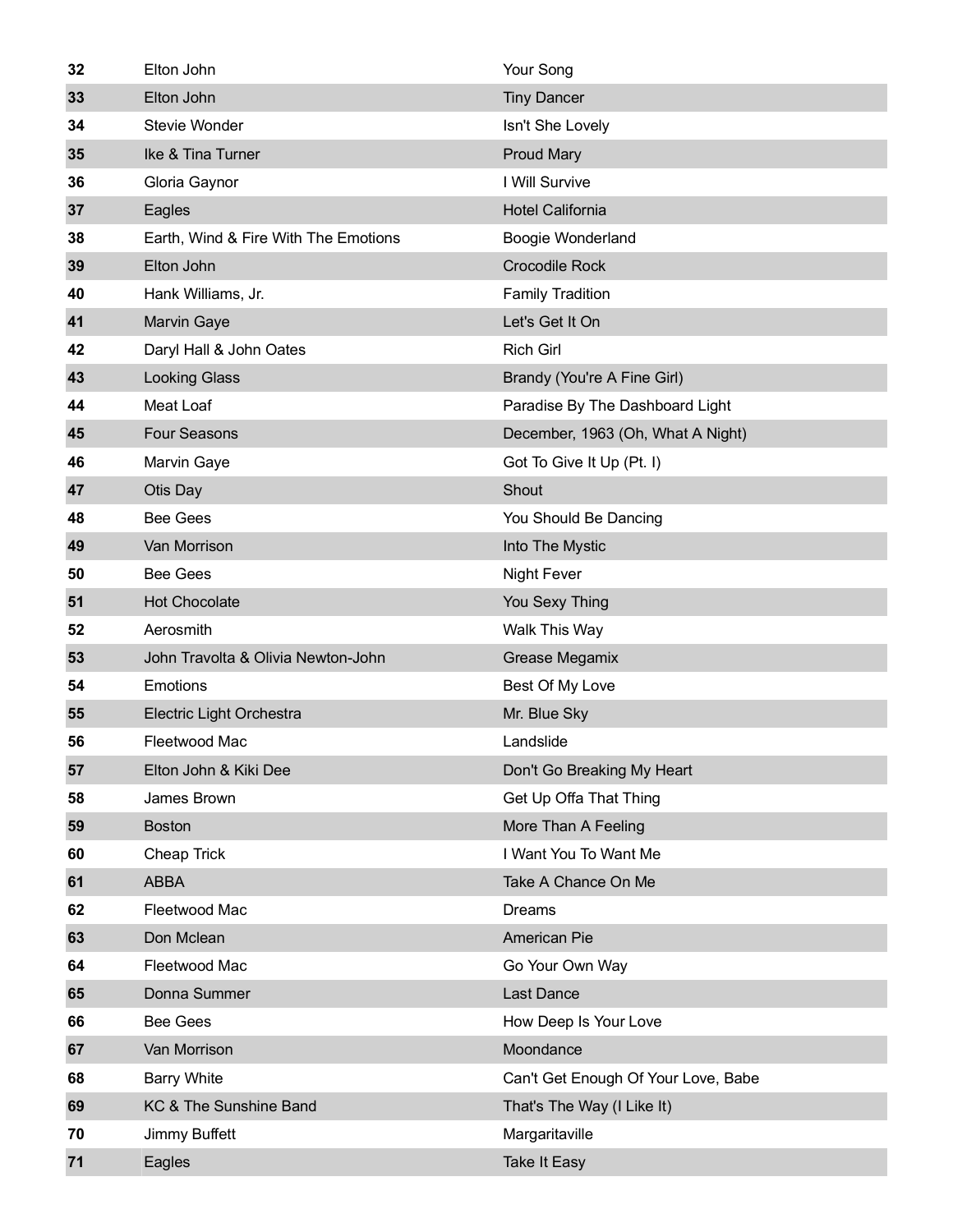| 32 | Elton John                           | Your Song                           |
|----|--------------------------------------|-------------------------------------|
| 33 | Elton John                           | <b>Tiny Dancer</b>                  |
| 34 | Stevie Wonder                        | Isn't She Lovely                    |
| 35 | Ike & Tina Turner                    | <b>Proud Mary</b>                   |
| 36 | Gloria Gaynor                        | I Will Survive                      |
| 37 | Eagles                               | <b>Hotel California</b>             |
| 38 | Earth, Wind & Fire With The Emotions | Boogie Wonderland                   |
| 39 | Elton John                           | <b>Crocodile Rock</b>               |
| 40 | Hank Williams, Jr.                   | <b>Family Tradition</b>             |
| 41 | <b>Marvin Gaye</b>                   | Let's Get It On                     |
| 42 | Daryl Hall & John Oates              | <b>Rich Girl</b>                    |
| 43 | <b>Looking Glass</b>                 | Brandy (You're A Fine Girl)         |
| 44 | Meat Loaf                            | Paradise By The Dashboard Light     |
| 45 | <b>Four Seasons</b>                  | December, 1963 (Oh, What A Night)   |
| 46 | Marvin Gaye                          | Got To Give It Up (Pt. I)           |
| 47 | Otis Day                             | Shout                               |
| 48 | <b>Bee Gees</b>                      | You Should Be Dancing               |
| 49 | Van Morrison                         | Into The Mystic                     |
| 50 | <b>Bee Gees</b>                      | <b>Night Fever</b>                  |
| 51 | Hot Chocolate                        | You Sexy Thing                      |
| 52 | Aerosmith                            | Walk This Way                       |
| 53 | John Travolta & Olivia Newton-John   | Grease Megamix                      |
| 54 | <b>Emotions</b>                      | Best Of My Love                     |
| 55 | Electric Light Orchestra             | Mr. Blue Sky                        |
| 56 | Fleetwood Mac                        | Landslide                           |
| 57 | Elton John & Kiki Dee                | Don't Go Breaking My Heart          |
| 58 | James Brown                          | Get Up Offa That Thing              |
| 59 | <b>Boston</b>                        | More Than A Feeling                 |
| 60 | Cheap Trick                          | I Want You To Want Me               |
| 61 | <b>ABBA</b>                          | Take A Chance On Me                 |
| 62 | Fleetwood Mac                        | <b>Dreams</b>                       |
| 63 | Don Mclean                           | American Pie                        |
| 64 | Fleetwood Mac                        | Go Your Own Way                     |
| 65 | Donna Summer                         | <b>Last Dance</b>                   |
| 66 | <b>Bee Gees</b>                      | How Deep Is Your Love               |
| 67 | Van Morrison                         | Moondance                           |
| 68 | <b>Barry White</b>                   | Can't Get Enough Of Your Love, Babe |
| 69 | KC & The Sunshine Band               | That's The Way (I Like It)          |
| 70 | Jimmy Buffett                        | Margaritaville                      |
| 71 | Eagles                               | <b>Take It Easy</b>                 |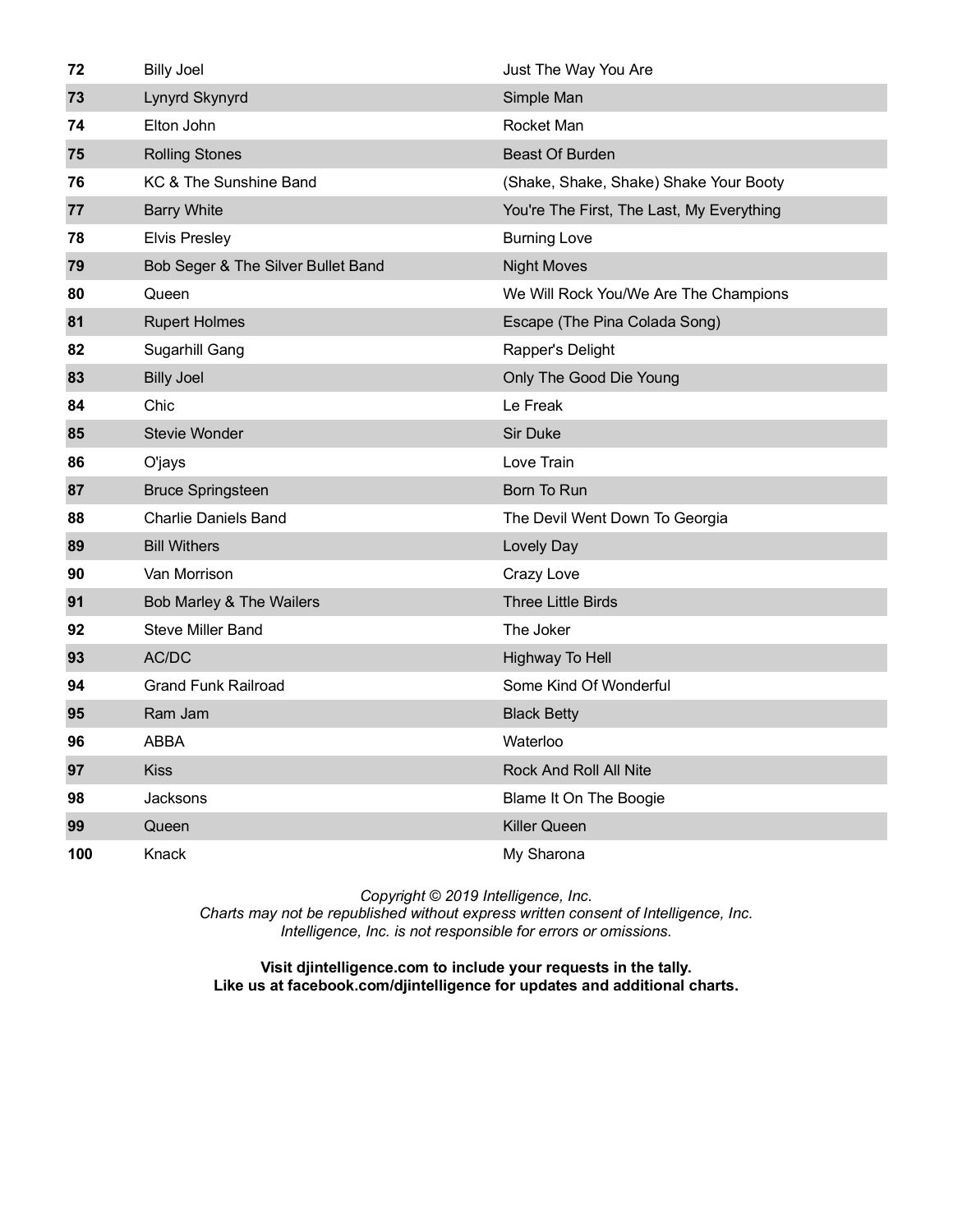| 72  | <b>Billy Joel</b>                  | Just The Way You Are                      |
|-----|------------------------------------|-------------------------------------------|
| 73  | Lynyrd Skynyrd                     | Simple Man                                |
| 74  | Elton John                         | Rocket Man                                |
| 75  | <b>Rolling Stones</b>              | <b>Beast Of Burden</b>                    |
| 76  | KC & The Sunshine Band             | (Shake, Shake, Shake) Shake Your Booty    |
| 77  | <b>Barry White</b>                 | You're The First, The Last, My Everything |
| 78  | <b>Elvis Presley</b>               | <b>Burning Love</b>                       |
| 79  | Bob Seger & The Silver Bullet Band | <b>Night Moves</b>                        |
| 80  | Queen                              | We Will Rock You/We Are The Champions     |
| 81  | <b>Rupert Holmes</b>               | Escape (The Pina Colada Song)             |
| 82  | Sugarhill Gang                     | Rapper's Delight                          |
| 83  | <b>Billy Joel</b>                  | Only The Good Die Young                   |
| 84  | Chic                               | Le Freak                                  |
| 85  | <b>Stevie Wonder</b>               | <b>Sir Duke</b>                           |
| 86  | O'jays                             | Love Train                                |
| 87  | <b>Bruce Springsteen</b>           | Born To Run                               |
| 88  | <b>Charlie Daniels Band</b>        | The Devil Went Down To Georgia            |
| 89  | <b>Bill Withers</b>                | Lovely Day                                |
| 90  | Van Morrison                       | Crazy Love                                |
| 91  | Bob Marley & The Wailers           | <b>Three Little Birds</b>                 |
| 92  | <b>Steve Miller Band</b>           | The Joker                                 |
| 93  | AC/DC                              | Highway To Hell                           |
| 94  | <b>Grand Funk Railroad</b>         | Some Kind Of Wonderful                    |
| 95  | Ram Jam                            | <b>Black Betty</b>                        |
| 96  | <b>ABBA</b>                        | Waterloo                                  |
| 97  | <b>Kiss</b>                        | Rock And Roll All Nite                    |
| 98  | Jacksons                           | Blame It On The Boogie                    |
| 99  | Queen                              | <b>Killer Queen</b>                       |
| 100 | Knack                              | My Sharona                                |

*Charts may not be republished without express written consent of Intelligence, Inc. Intelligence, Inc. is not responsible for errors or omissions.*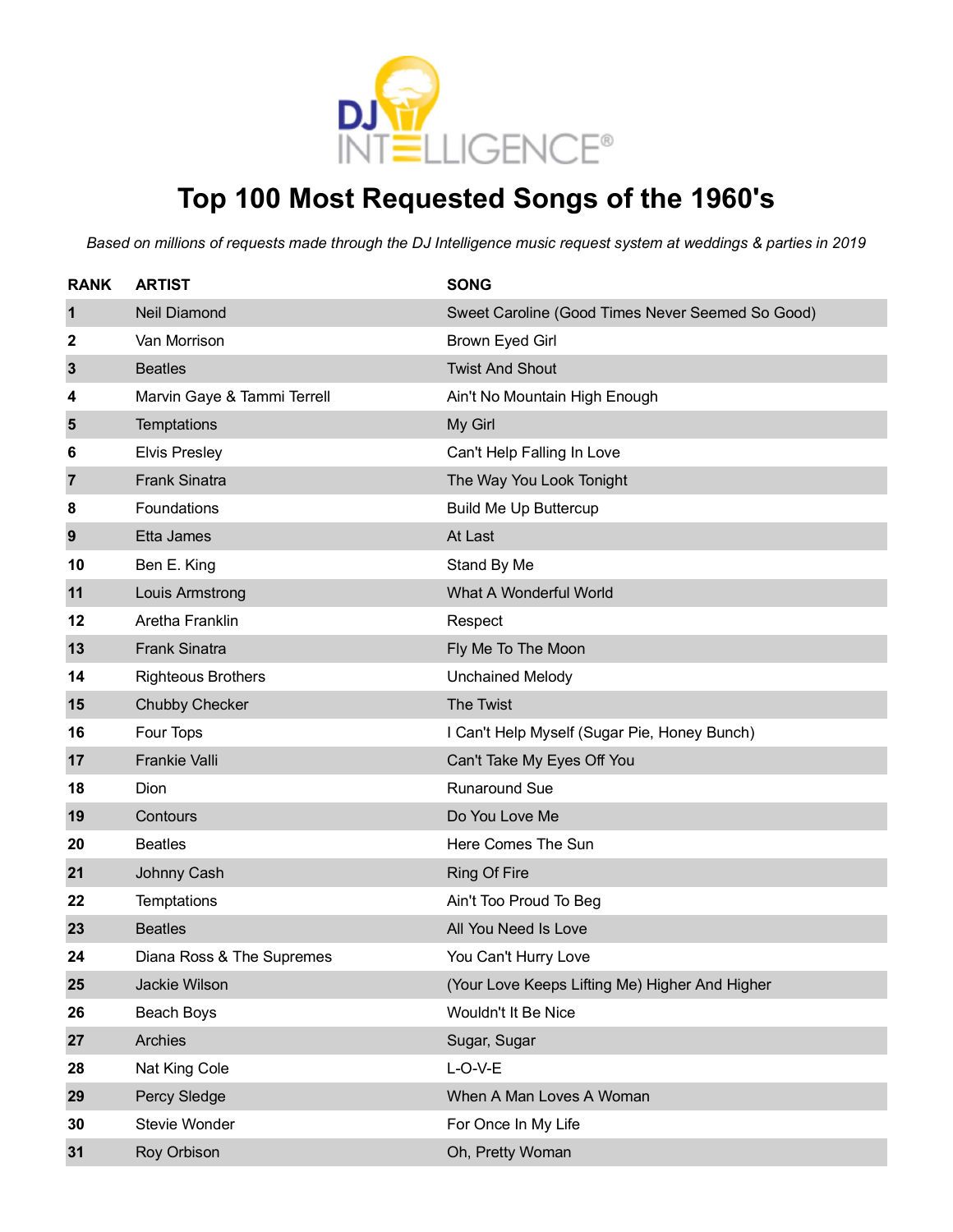

### **Top 100 Most Requested Songs of the 1960's**

| <b>RANK</b>    | <b>ARTIST</b>               | <b>SONG</b>                                      |
|----------------|-----------------------------|--------------------------------------------------|
| 1              | <b>Neil Diamond</b>         | Sweet Caroline (Good Times Never Seemed So Good) |
| 2              | Van Morrison                | <b>Brown Eyed Girl</b>                           |
| $\mathbf{3}$   | <b>Beatles</b>              | <b>Twist And Shout</b>                           |
| 4              | Marvin Gaye & Tammi Terrell | Ain't No Mountain High Enough                    |
| 5              | Temptations                 | My Girl                                          |
| 6              | <b>Elvis Presley</b>        | Can't Help Falling In Love                       |
| $\overline{7}$ | <b>Frank Sinatra</b>        | The Way You Look Tonight                         |
| 8              | Foundations                 | <b>Build Me Up Buttercup</b>                     |
| 9              | Etta James                  | At Last                                          |
| 10             | Ben E. King                 | Stand By Me                                      |
| 11             | Louis Armstrong             | What A Wonderful World                           |
| 12             | Aretha Franklin             | Respect                                          |
| 13             | <b>Frank Sinatra</b>        | Fly Me To The Moon                               |
| 14             | <b>Righteous Brothers</b>   | <b>Unchained Melody</b>                          |
| 15             | <b>Chubby Checker</b>       | The Twist                                        |
| 16             | Four Tops                   | I Can't Help Myself (Sugar Pie, Honey Bunch)     |
| 17             | <b>Frankie Valli</b>        | Can't Take My Eyes Off You                       |
| 18             | Dion                        | <b>Runaround Sue</b>                             |
| 19             | Contours                    | Do You Love Me                                   |
| 20             | <b>Beatles</b>              | Here Comes The Sun                               |
| 21             | Johnny Cash                 | <b>Ring Of Fire</b>                              |
| 22             | Temptations                 | Ain't Too Proud To Beg                           |
| 23             | <b>Beatles</b>              | All You Need Is Love                             |
| 24             | Diana Ross & The Supremes   | You Can't Hurry Love                             |
| 25             | Jackie Wilson               | (Your Love Keeps Lifting Me) Higher And Higher   |
| 26             | Beach Boys                  | Wouldn't It Be Nice                              |
| 27             | Archies                     | Sugar, Sugar                                     |
| 28             | Nat King Cole               | $L-O-V-E$                                        |
| 29             | Percy Sledge                | When A Man Loves A Woman                         |
| 30             | Stevie Wonder               | For Once In My Life                              |
| 31             | Roy Orbison                 | Oh, Pretty Woman                                 |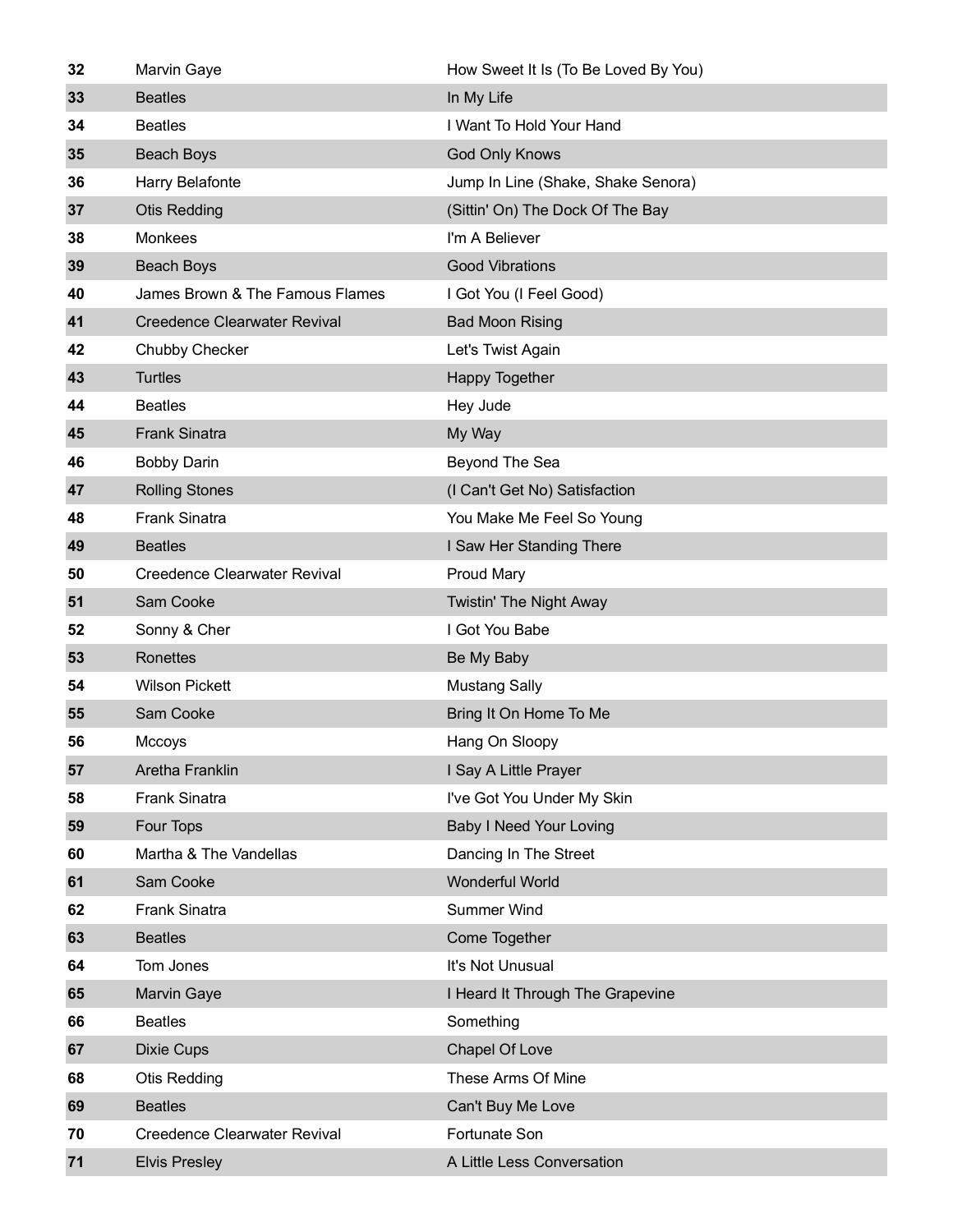| 32 | Marvin Gaye                         | How Sweet It Is (To Be Loved By You) |
|----|-------------------------------------|--------------------------------------|
| 33 | <b>Beatles</b>                      | In My Life                           |
| 34 | <b>Beatles</b>                      | I Want To Hold Your Hand             |
| 35 | Beach Boys                          | <b>God Only Knows</b>                |
| 36 | Harry Belafonte                     | Jump In Line (Shake, Shake Senora)   |
| 37 | <b>Otis Redding</b>                 | (Sittin' On) The Dock Of The Bay     |
| 38 | <b>Monkees</b>                      | I'm A Believer                       |
| 39 | Beach Boys                          | <b>Good Vibrations</b>               |
| 40 | James Brown & The Famous Flames     | I Got You (I Feel Good)              |
| 41 | <b>Creedence Clearwater Revival</b> | <b>Bad Moon Rising</b>               |
| 42 | Chubby Checker                      | Let's Twist Again                    |
| 43 | <b>Turtles</b>                      | <b>Happy Together</b>                |
| 44 | <b>Beatles</b>                      | Hey Jude                             |
| 45 | <b>Frank Sinatra</b>                | My Way                               |
| 46 | <b>Bobby Darin</b>                  | Beyond The Sea                       |
| 47 | <b>Rolling Stones</b>               | (I Can't Get No) Satisfaction        |
| 48 | <b>Frank Sinatra</b>                | You Make Me Feel So Young            |
| 49 | <b>Beatles</b>                      | I Saw Her Standing There             |
| 50 | <b>Creedence Clearwater Revival</b> | <b>Proud Mary</b>                    |
| 51 | Sam Cooke                           | Twistin' The Night Away              |
| 52 | Sonny & Cher                        | I Got You Babe                       |
| 53 | Ronettes                            | Be My Baby                           |
| 54 | <b>Wilson Pickett</b>               | <b>Mustang Sally</b>                 |
| 55 | Sam Cooke                           | Bring It On Home To Me               |
| 56 | Mccoys                              | Hang On Sloopy                       |
| 57 | Aretha Franklin                     | I Say A Little Prayer                |
| 58 | <b>Frank Sinatra</b>                | I've Got You Under My Skin           |
| 59 | Four Tops                           | <b>Baby I Need Your Loving</b>       |
| 60 | Martha & The Vandellas              | Dancing In The Street                |
| 61 | Sam Cooke                           | Wonderful World                      |
| 62 | <b>Frank Sinatra</b>                | <b>Summer Wind</b>                   |
| 63 | <b>Beatles</b>                      | Come Together                        |
| 64 | Tom Jones                           | It's Not Unusual                     |
| 65 | <b>Marvin Gaye</b>                  | I Heard It Through The Grapevine     |
| 66 | <b>Beatles</b>                      | Something                            |
| 67 | <b>Dixie Cups</b>                   | Chapel Of Love                       |
| 68 | <b>Otis Redding</b>                 | These Arms Of Mine                   |
| 69 | <b>Beatles</b>                      | Can't Buy Me Love                    |
| 70 | <b>Creedence Clearwater Revival</b> | Fortunate Son                        |
| 71 | <b>Elvis Presley</b>                | A Little Less Conversation           |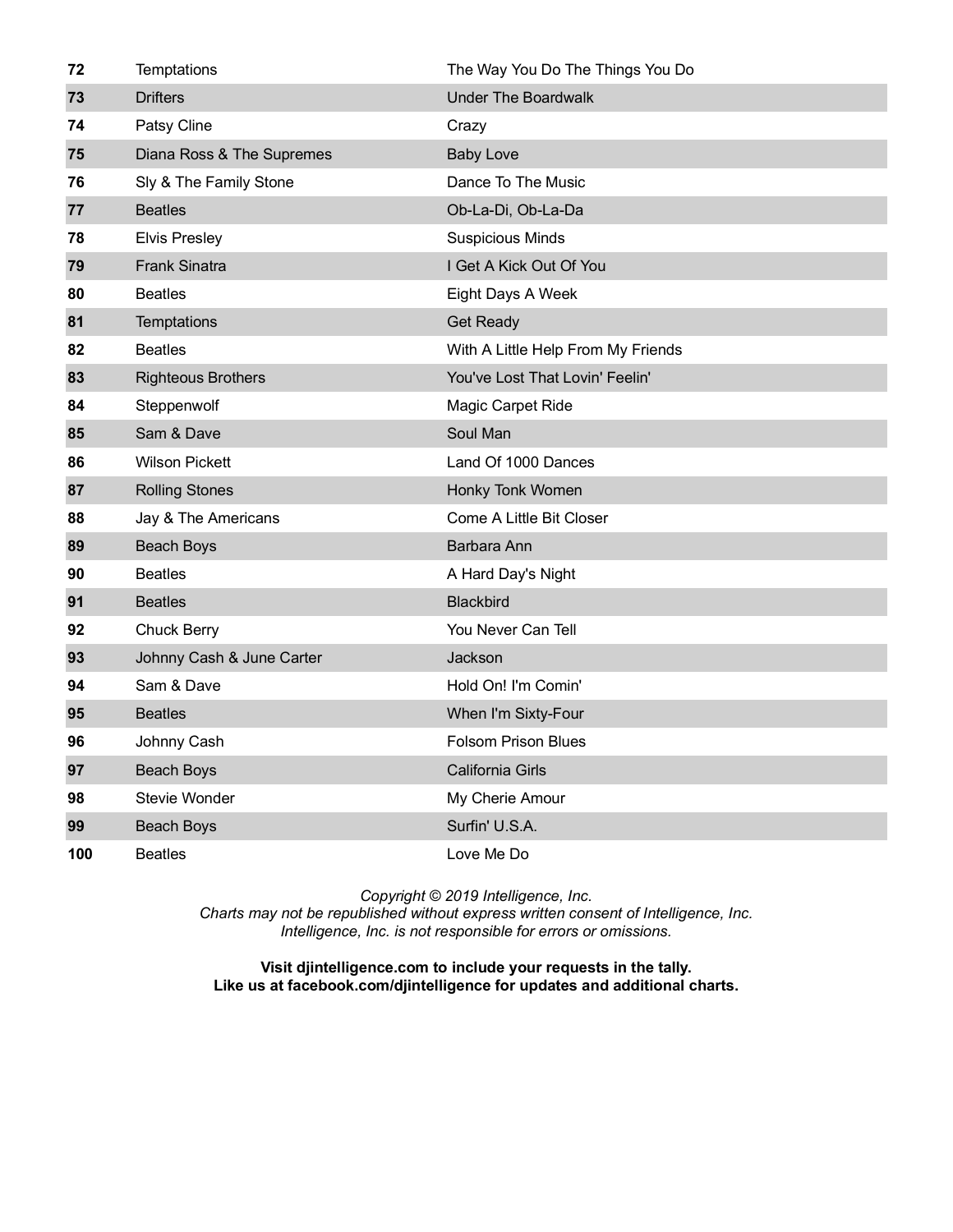| 72  | Temptations               | The Way You Do The Things You Do   |
|-----|---------------------------|------------------------------------|
| 73  | <b>Drifters</b>           | <b>Under The Boardwalk</b>         |
| 74  | Patsy Cline               | Crazy                              |
| 75  | Diana Ross & The Supremes | <b>Baby Love</b>                   |
| 76  | Sly & The Family Stone    | Dance To The Music                 |
| 77  | <b>Beatles</b>            | Ob-La-Di, Ob-La-Da                 |
| 78  | <b>Elvis Presley</b>      | <b>Suspicious Minds</b>            |
| 79  | <b>Frank Sinatra</b>      | I Get A Kick Out Of You            |
| 80  | <b>Beatles</b>            | Eight Days A Week                  |
| 81  | Temptations               | <b>Get Ready</b>                   |
| 82  | <b>Beatles</b>            | With A Little Help From My Friends |
| 83  | <b>Righteous Brothers</b> | You've Lost That Lovin' Feelin'    |
| 84  | Steppenwolf               | Magic Carpet Ride                  |
| 85  | Sam & Dave                | Soul Man                           |
| 86  | <b>Wilson Pickett</b>     | Land Of 1000 Dances                |
| 87  | <b>Rolling Stones</b>     | Honky Tonk Women                   |
| 88  | Jay & The Americans       | Come A Little Bit Closer           |
| 89  | <b>Beach Boys</b>         | Barbara Ann                        |
| 90  | <b>Beatles</b>            | A Hard Day's Night                 |
| 91  | <b>Beatles</b>            | <b>Blackbird</b>                   |
| 92  | <b>Chuck Berry</b>        | You Never Can Tell                 |
| 93  | Johnny Cash & June Carter | Jackson                            |
| 94  | Sam & Dave                | Hold On! I'm Comin'                |
| 95  | <b>Beatles</b>            | When I'm Sixty-Four                |
| 96  | Johnny Cash               | <b>Folsom Prison Blues</b>         |
| 97  | <b>Beach Boys</b>         | <b>California Girls</b>            |
| 98  | Stevie Wonder             | My Cherie Amour                    |
| 99  | Beach Boys                | Surfin' U.S.A.                     |
| 100 | <b>Beatles</b>            | Love Me Do                         |

*Charts may not be republished without express written consent of Intelligence, Inc. Intelligence, Inc. is not responsible for errors or omissions.*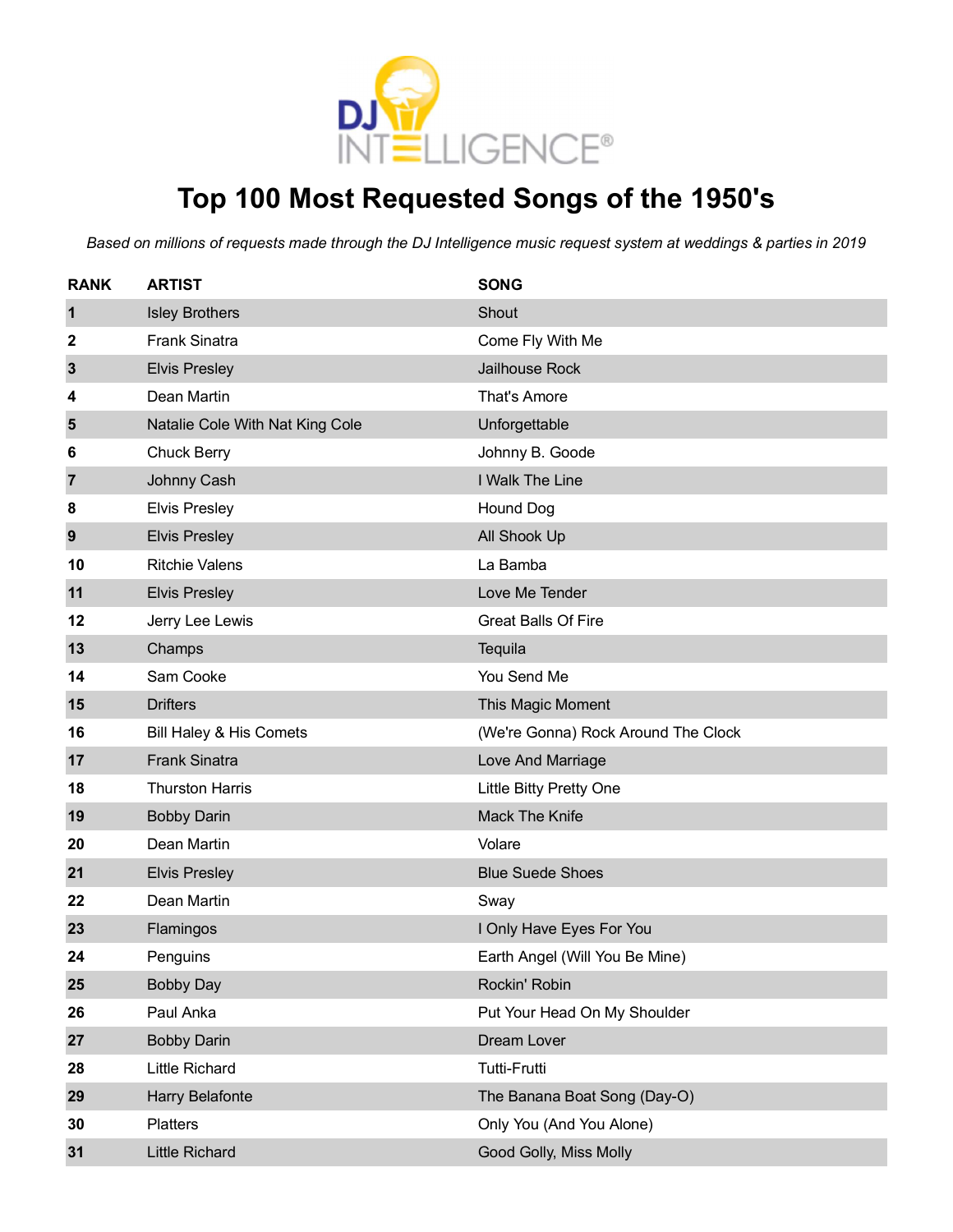

# **Top 100 Most Requested Songs of the 1950's**

| <b>RANK</b>  | <b>ARTIST</b>                   | <b>SONG</b>                         |
|--------------|---------------------------------|-------------------------------------|
| 1            | <b>Isley Brothers</b>           | Shout                               |
| 2            | <b>Frank Sinatra</b>            | Come Fly With Me                    |
| $\mathbf{3}$ | <b>Elvis Presley</b>            | <b>Jailhouse Rock</b>               |
| 4            | Dean Martin                     | That's Amore                        |
| 5            | Natalie Cole With Nat King Cole | Unforgettable                       |
| 6            | <b>Chuck Berry</b>              | Johnny B. Goode                     |
| 7            | Johnny Cash                     | I Walk The Line                     |
| 8            | <b>Elvis Presley</b>            | Hound Dog                           |
| 9            | <b>Elvis Presley</b>            | All Shook Up                        |
| 10           | <b>Ritchie Valens</b>           | La Bamba                            |
| 11           | <b>Elvis Presley</b>            | Love Me Tender                      |
| 12           | Jerry Lee Lewis                 | <b>Great Balls Of Fire</b>          |
| 13           | Champs                          | Tequila                             |
| 14           | Sam Cooke                       | You Send Me                         |
| 15           | <b>Drifters</b>                 | This Magic Moment                   |
| 16           | Bill Haley & His Comets         | (We're Gonna) Rock Around The Clock |
| 17           | <b>Frank Sinatra</b>            | Love And Marriage                   |
| 18           | <b>Thurston Harris</b>          | Little Bitty Pretty One             |
| 19           | <b>Bobby Darin</b>              | <b>Mack The Knife</b>               |
| 20           | Dean Martin                     | Volare                              |
| 21           | <b>Elvis Presley</b>            | <b>Blue Suede Shoes</b>             |
| 22           | Dean Martin                     | Sway                                |
| 23           | Flamingos                       | I Only Have Eyes For You            |
| 24           | Penguins                        | Earth Angel (Will You Be Mine)      |
| 25           | <b>Bobby Day</b>                | Rockin' Robin                       |
| 26           | Paul Anka                       | Put Your Head On My Shoulder        |
| 27           | <b>Bobby Darin</b>              | Dream Lover                         |
| 28           | <b>Little Richard</b>           | <b>Tutti-Frutti</b>                 |
| 29           | <b>Harry Belafonte</b>          | The Banana Boat Song (Day-O)        |
| 30           | Platters                        | Only You (And You Alone)            |
| 31           | <b>Little Richard</b>           | Good Golly, Miss Molly              |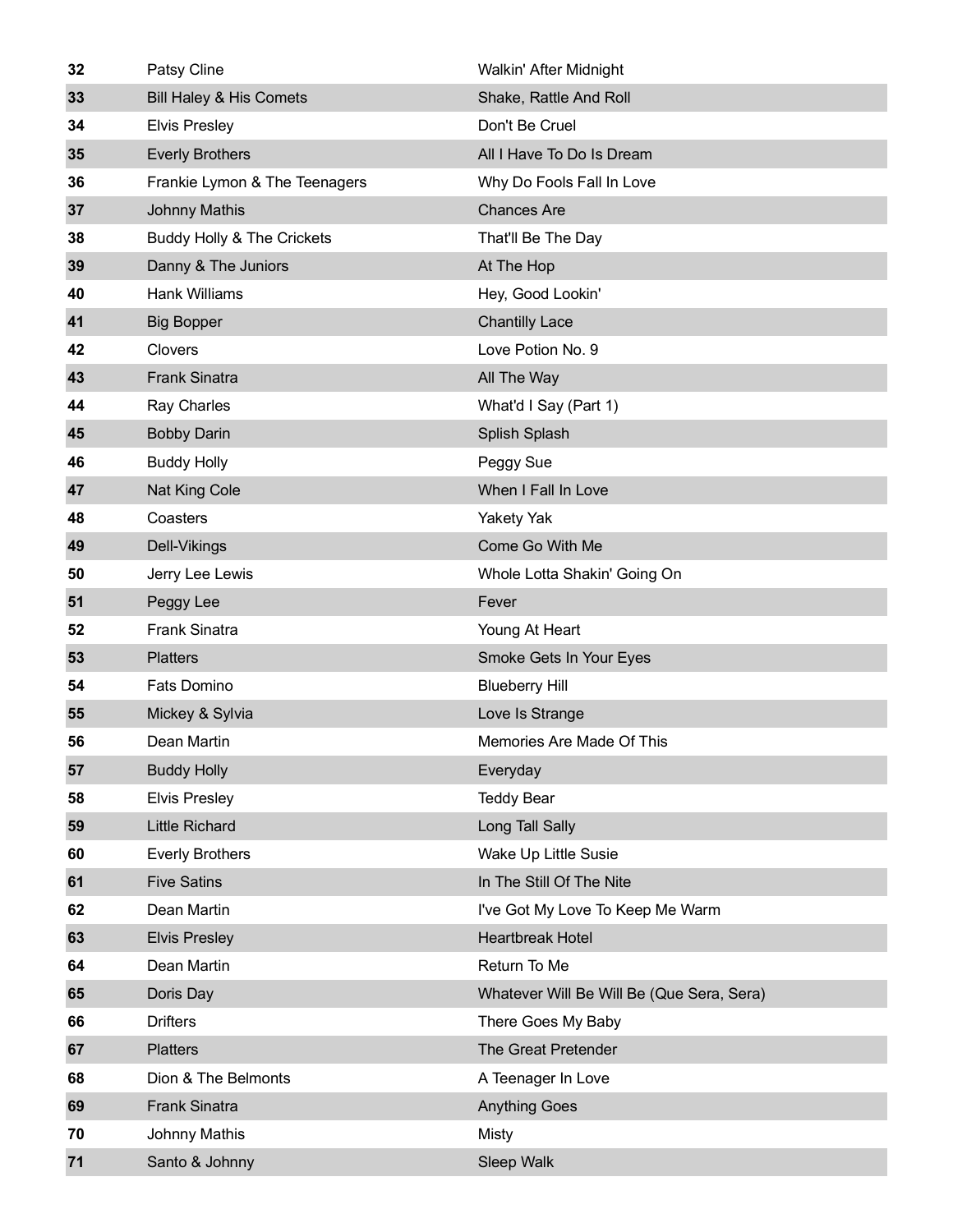| 32 | Patsy Cline                        | Walkin' After Midnight                    |
|----|------------------------------------|-------------------------------------------|
| 33 | <b>Bill Haley &amp; His Comets</b> | Shake, Rattle And Roll                    |
| 34 | <b>Elvis Presley</b>               | Don't Be Cruel                            |
| 35 | <b>Everly Brothers</b>             | All I Have To Do Is Dream                 |
| 36 | Frankie Lymon & The Teenagers      | Why Do Fools Fall In Love                 |
| 37 | <b>Johnny Mathis</b>               | <b>Chances Are</b>                        |
| 38 | Buddy Holly & The Crickets         | That'll Be The Day                        |
| 39 | Danny & The Juniors                | At The Hop                                |
| 40 | <b>Hank Williams</b>               | Hey, Good Lookin'                         |
| 41 | <b>Big Bopper</b>                  | <b>Chantilly Lace</b>                     |
| 42 | Clovers                            | Love Potion No. 9                         |
| 43 | <b>Frank Sinatra</b>               | All The Way                               |
| 44 | Ray Charles                        | What'd I Say (Part 1)                     |
| 45 | <b>Bobby Darin</b>                 | Splish Splash                             |
| 46 | <b>Buddy Holly</b>                 | Peggy Sue                                 |
| 47 | Nat King Cole                      | When I Fall In Love                       |
| 48 | Coasters                           | <b>Yakety Yak</b>                         |
| 49 | Dell-Vikings                       | Come Go With Me                           |
| 50 | Jerry Lee Lewis                    | Whole Lotta Shakin' Going On              |
| 51 | Peggy Lee                          | Fever                                     |
| 52 | <b>Frank Sinatra</b>               | Young At Heart                            |
| 53 | <b>Platters</b>                    | Smoke Gets In Your Eyes                   |
| 54 | <b>Fats Domino</b>                 | <b>Blueberry Hill</b>                     |
| 55 | Mickey & Sylvia                    | Love Is Strange                           |
| 56 | Dean Martin                        | Memories Are Made Of This                 |
| 57 | <b>Buddy Holly</b>                 | Everyday                                  |
| 58 | <b>Elvis Presley</b>               | <b>Teddy Bear</b>                         |
| 59 | <b>Little Richard</b>              | Long Tall Sally                           |
| 60 | <b>Everly Brothers</b>             | Wake Up Little Susie                      |
| 61 | <b>Five Satins</b>                 | In The Still Of The Nite                  |
| 62 | Dean Martin                        | I've Got My Love To Keep Me Warm          |
| 63 | <b>Elvis Presley</b>               | <b>Heartbreak Hotel</b>                   |
| 64 | Dean Martin                        | Return To Me                              |
| 65 | Doris Day                          | Whatever Will Be Will Be (Que Sera, Sera) |
| 66 | <b>Drifters</b>                    | There Goes My Baby                        |
| 67 | <b>Platters</b>                    | The Great Pretender                       |
| 68 | Dion & The Belmonts                | A Teenager In Love                        |
| 69 | <b>Frank Sinatra</b>               | <b>Anything Goes</b>                      |
| 70 | Johnny Mathis                      | Misty                                     |
| 71 | Santo & Johnny                     | Sleep Walk                                |